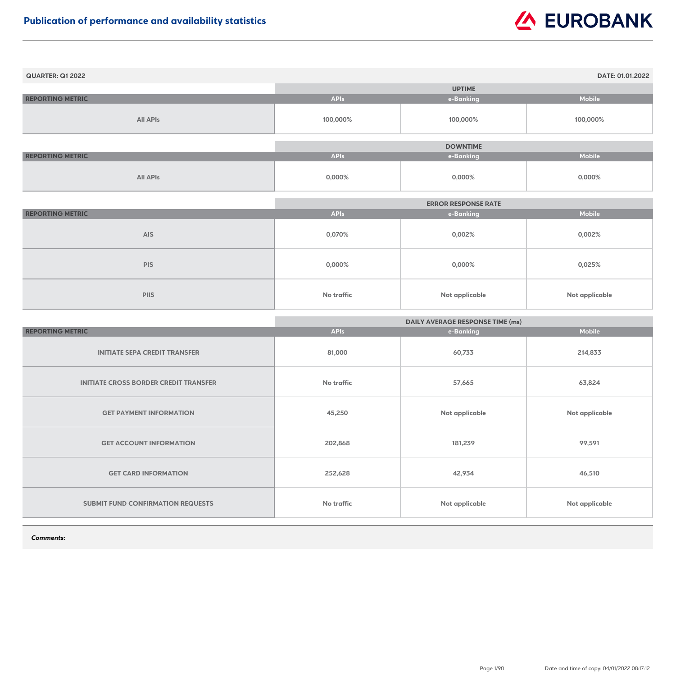| <b>QUARTER: Q1 2022</b> |             |                 | DATE: 01.01.2022 |
|-------------------------|-------------|-----------------|------------------|
|                         |             | <b>UPTIME</b>   |                  |
| <b>REPORTING METRIC</b> | <b>APIs</b> | e-Banking       | <b>Mobile</b>    |
| <b>All APIs</b>         | 100,000%    | 100,000%        | 100,000%         |
|                         |             |                 |                  |
|                         |             | <b>DOWNTIME</b> |                  |
| <b>REPORTING METRIC</b> | <b>APIs</b> | e-Banking       | <b>Mobile</b>    |
| <b>All APIs</b>         | 0,000%      | 0,000%          | 0,000%           |

|                         | <b>ERROR RESPONSE RATE</b> |                       |                       |
|-------------------------|----------------------------|-----------------------|-----------------------|
| <b>REPORTING METRIC</b> | <b>APIs</b>                | e-Banking             | <b>Mobile</b>         |
| <b>AIS</b>              | 0,070%                     | 0,002%                | 0,002%                |
| <b>PIS</b>              | 0,000%                     | 0,000%                | 0,025%                |
| <b>PIIS</b>             | No traffic                 | <b>Not applicable</b> | <b>Not applicable</b> |

|                                              | <b>DAILY AVERAGE RESPONSE TIME (ms)</b> |                |                |
|----------------------------------------------|-----------------------------------------|----------------|----------------|
| <b>REPORTING METRIC</b>                      | <b>APIs</b>                             | e-Banking      | <b>Mobile</b>  |
| <b>INITIATE SEPA CREDIT TRANSFER</b>         | 81,000                                  | 60,733         | 214,833        |
| <b>INITIATE CROSS BORDER CREDIT TRANSFER</b> | <b>No traffic</b>                       | 57,665         | 63,824         |
| <b>GET PAYMENT INFORMATION</b>               | 45,250                                  | Not applicable | Not applicable |
| <b>GET ACCOUNT INFORMATION</b>               | 202,868                                 | 181,239        | 99,591         |
| <b>GET CARD INFORMATION</b>                  | 252,628                                 | 42,934         | 46,510         |
| <b>SUBMIT FUND CONFIRMATION REQUESTS</b>     | No traffic                              | Not applicable | Not applicable |

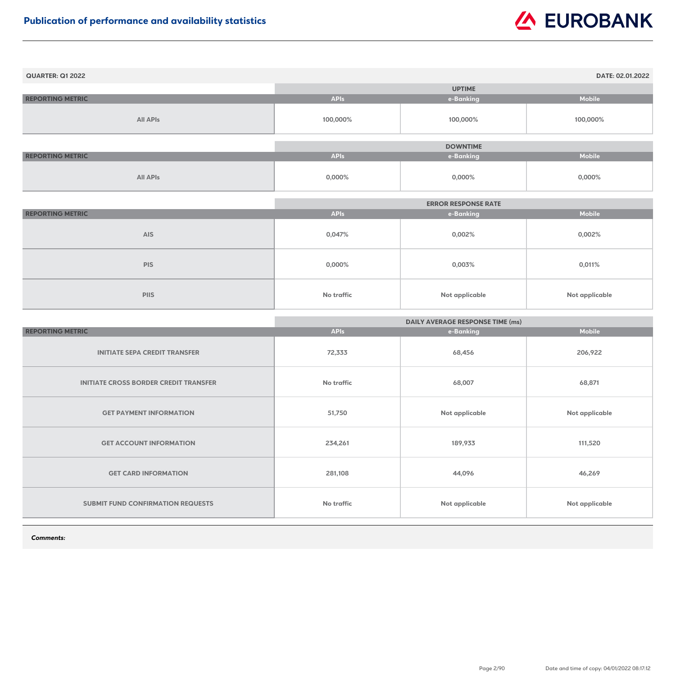| <b>QUARTER: Q1 2022</b> |             |                 | DATE: 02.01.2022 |
|-------------------------|-------------|-----------------|------------------|
|                         |             | <b>UPTIME</b>   |                  |
| <b>REPORTING METRIC</b> | <b>APIs</b> | e-Banking       | <b>Mobile</b>    |
| <b>All APIs</b>         | 100,000%    | 100,000%        | 100,000%         |
|                         |             |                 |                  |
|                         |             | <b>DOWNTIME</b> |                  |
| <b>REPORTING METRIC</b> | <b>APIs</b> | e-Banking       | <b>Mobile</b>    |
| <b>All APIs</b>         | $0,000\%$   | $0,000\%$       | 0,000%           |

|                         | <b>ERROR RESPONSE RATE</b> |                       |                       |
|-------------------------|----------------------------|-----------------------|-----------------------|
| <b>REPORTING METRIC</b> | <b>APIs</b>                | e-Banking             | <b>Mobile</b>         |
| <b>AIS</b>              | 0,047%                     | 0,002%                | 0,002%                |
| <b>PIS</b>              | $0,000\%$                  | 0,003%                | 0,011%                |
| <b>PIIS</b>             | No traffic                 | <b>Not applicable</b> | <b>Not applicable</b> |

|                                              | <b>DAILY AVERAGE RESPONSE TIME (ms)</b> |                       |                       |
|----------------------------------------------|-----------------------------------------|-----------------------|-----------------------|
| <b>REPORTING METRIC</b>                      | <b>APIs</b>                             | e-Banking             | <b>Mobile</b>         |
| <b>INITIATE SEPA CREDIT TRANSFER</b>         | 72,333                                  | 68,456                | 206,922               |
| <b>INITIATE CROSS BORDER CREDIT TRANSFER</b> | <b>No traffic</b>                       | 68,007                | 68,871                |
| <b>GET PAYMENT INFORMATION</b>               | 51,750                                  | Not applicable        | <b>Not applicable</b> |
| <b>GET ACCOUNT INFORMATION</b>               | 234,261                                 | 189,933               | 111,520               |
| <b>GET CARD INFORMATION</b>                  | 281,108                                 | 44,096                | 46,269                |
| <b>SUBMIT FUND CONFIRMATION REQUESTS</b>     | <b>No traffic</b>                       | <b>Not applicable</b> | <b>Not applicable</b> |

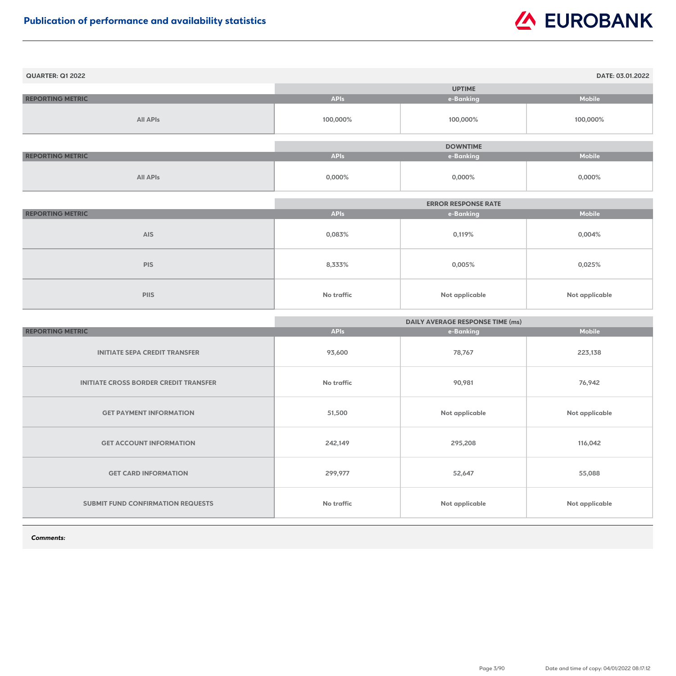| <b>QUARTER: Q1 2022</b> |             |                 | DATE: 03.01.2022 |
|-------------------------|-------------|-----------------|------------------|
|                         |             | <b>UPTIME</b>   |                  |
| <b>REPORTING METRIC</b> | <b>APIs</b> | e-Banking       | <b>Mobile</b>    |
| <b>All APIs</b>         | 100,000%    | 100,000%        | 100,000%         |
|                         |             |                 |                  |
|                         |             | <b>DOWNTIME</b> |                  |
| <b>REPORTING METRIC</b> | <b>APIs</b> | e-Banking       | <b>Mobile</b>    |
| <b>All APIs</b>         | $0,000\%$   | $0,000\%$       | 0,000%           |

|                         | <b>ERROR RESPONSE RATE</b> |                       |                       |
|-------------------------|----------------------------|-----------------------|-----------------------|
| <b>REPORTING METRIC</b> | <b>APIs</b>                | e-Banking             | <b>Mobile</b>         |
| <b>AIS</b>              | 0,083%                     | 0,119%                | $0,004\%$             |
| <b>PIS</b>              | 8,333%                     | $0,005\%$             | 0,025%                |
| <b>PIIS</b>             | <b>No traffic</b>          | <b>Not applicable</b> | <b>Not applicable</b> |

|                                              | <b>DAILY AVERAGE RESPONSE TIME (ms)</b> |                       |                       |
|----------------------------------------------|-----------------------------------------|-----------------------|-----------------------|
| <b>REPORTING METRIC</b>                      | <b>APIs</b>                             | e-Banking             | <b>Mobile</b>         |
| <b>INITIATE SEPA CREDIT TRANSFER</b>         | 93,600                                  | 78,767                | 223,138               |
| <b>INITIATE CROSS BORDER CREDIT TRANSFER</b> | <b>No traffic</b>                       | 90,981                | 76,942                |
| <b>GET PAYMENT INFORMATION</b>               | 51,500                                  | Not applicable        | <b>Not applicable</b> |
| <b>GET ACCOUNT INFORMATION</b>               | 242,149                                 | 295,208               | 116,042               |
| <b>GET CARD INFORMATION</b>                  | 299,977                                 | 52,647                | 55,088                |
| <b>SUBMIT FUND CONFIRMATION REQUESTS</b>     | <b>No traffic</b>                       | <b>Not applicable</b> | <b>Not applicable</b> |

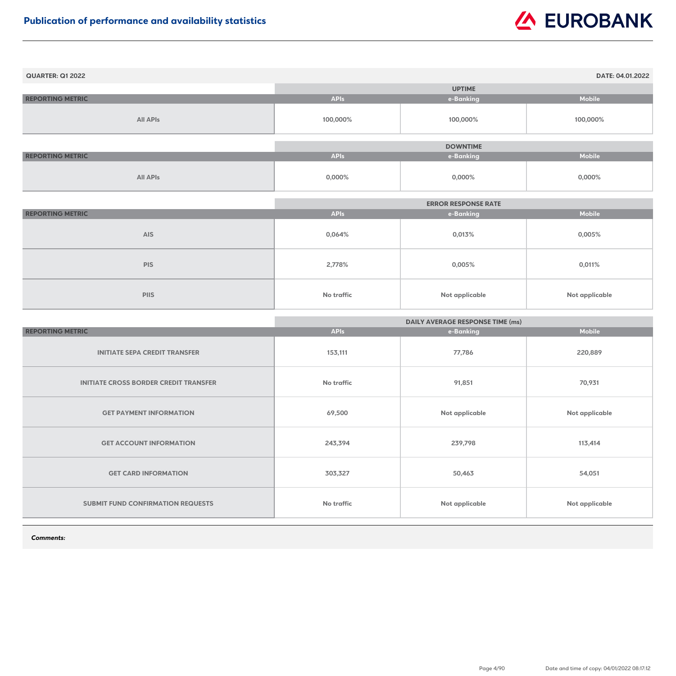| <b>QUARTER: Q1 2022</b> |             |                 | DATE: 04.01.2022 |
|-------------------------|-------------|-----------------|------------------|
|                         |             | <b>UPTIME</b>   |                  |
| <b>REPORTING METRIC</b> | <b>APIs</b> | e-Banking       | <b>Mobile</b>    |
| <b>All APIs</b>         | 100,000%    | 100,000%        | 100,000%         |
|                         |             |                 |                  |
|                         |             | <b>DOWNTIME</b> |                  |
| <b>REPORTING METRIC</b> | <b>APIs</b> | e-Banking       | <b>Mobile</b>    |
| <b>All APIs</b>         | $0,000\%$   | $0,000\%$       | $0,000\%$        |

|                         | <b>ERROR RESPONSE RATE</b> |                       |                       |
|-------------------------|----------------------------|-----------------------|-----------------------|
| <b>REPORTING METRIC</b> | <b>APIs</b>                | e-Banking             | <b>Mobile</b>         |
| <b>AIS</b>              | 0,064%                     | 0,013%                | 0,005%                |
| <b>PIS</b>              | 2,778%                     | $0,005\%$             | 0,011%                |
| <b>PIIS</b>             | <b>No traffic</b>          | <b>Not applicable</b> | <b>Not applicable</b> |

|                                              | <b>DAILY AVERAGE RESPONSE TIME (ms)</b> |                       |                       |
|----------------------------------------------|-----------------------------------------|-----------------------|-----------------------|
| <b>REPORTING METRIC</b>                      | <b>APIs</b>                             | e-Banking             | <b>Mobile</b>         |
| <b>INITIATE SEPA CREDIT TRANSFER</b>         | 153,111                                 | 77,786                | 220,889               |
| <b>INITIATE CROSS BORDER CREDIT TRANSFER</b> | <b>No traffic</b>                       | 91,851                | 70,931                |
| <b>GET PAYMENT INFORMATION</b>               | 69,500                                  | Not applicable        | <b>Not applicable</b> |
| <b>GET ACCOUNT INFORMATION</b>               | 243,394                                 | 239,798               | 113,414               |
| <b>GET CARD INFORMATION</b>                  | 303,327                                 | 50,463                | 54,051                |
| <b>SUBMIT FUND CONFIRMATION REQUESTS</b>     | No traffic                              | <b>Not applicable</b> | <b>Not applicable</b> |

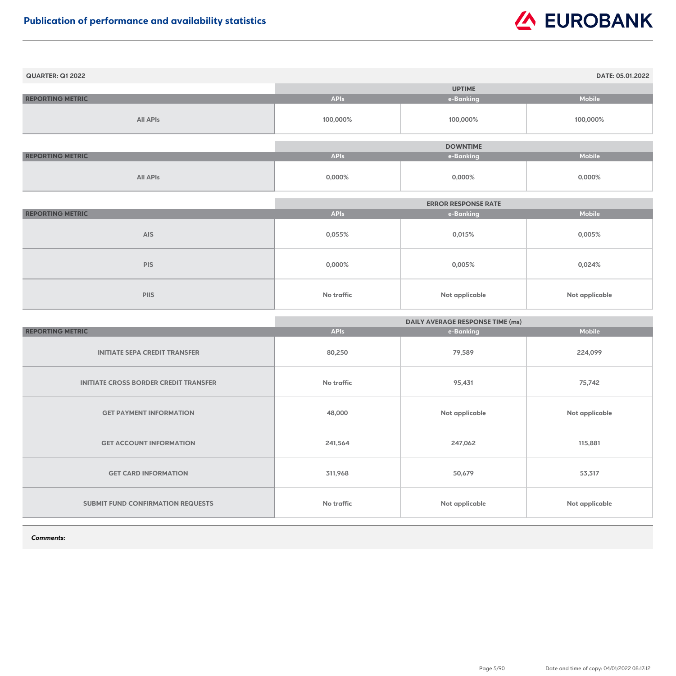| <b>QUARTER: Q1 2022</b> |             |                 | DATE: 05.01.2022 |
|-------------------------|-------------|-----------------|------------------|
|                         |             | <b>UPTIME</b>   |                  |
| <b>REPORTING METRIC</b> | <b>APIs</b> | e-Banking       | <b>Mobile</b>    |
| <b>All APIs</b>         | 100,000%    | 100,000%        | 100,000%         |
|                         |             |                 |                  |
|                         |             | <b>DOWNTIME</b> |                  |
| <b>REPORTING METRIC</b> | <b>APIs</b> | e-Banking       | <b>Mobile</b>    |
| <b>All APIs</b>         | $0,000\%$   | $0,000\%$       | 0,000%           |

|                         |             | <b>ERROR RESPONSE RATE</b> |                |
|-------------------------|-------------|----------------------------|----------------|
| <b>REPORTING METRIC</b> | <b>APIs</b> | e-Banking                  | <b>Mobile</b>  |
| <b>AIS</b>              | $0,055\%$   | 0,015%                     | $0,005\%$      |
| <b>PIS</b>              | $0,000\%$   | 0,005%                     | 0,024%         |
| <b>PIIS</b>             | No traffic  | Not applicable             | Not applicable |

|                                              | <b>DAILY AVERAGE RESPONSE TIME (ms)</b> |                       |                       |
|----------------------------------------------|-----------------------------------------|-----------------------|-----------------------|
| <b>REPORTING METRIC</b>                      | <b>APIs</b>                             | e-Banking             | <b>Mobile</b>         |
| <b>INITIATE SEPA CREDIT TRANSFER</b>         | 80,250                                  | 79,589                | 224,099               |
| <b>INITIATE CROSS BORDER CREDIT TRANSFER</b> | <b>No traffic</b>                       | 95,431                | 75,742                |
| <b>GET PAYMENT INFORMATION</b>               | 48,000                                  | Not applicable        | <b>Not applicable</b> |
| <b>GET ACCOUNT INFORMATION</b>               | 241,564                                 | 247,062               | 115,881               |
| <b>GET CARD INFORMATION</b>                  | 311,968                                 | 50,679                | 53,317                |
| <b>SUBMIT FUND CONFIRMATION REQUESTS</b>     | No traffic                              | <b>Not applicable</b> | <b>Not applicable</b> |

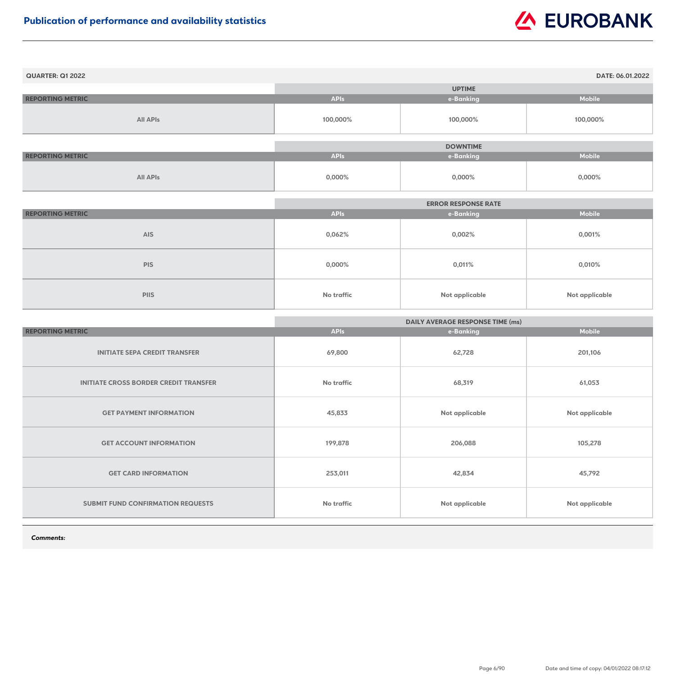| <b>QUARTER: Q1 2022</b> |             |                 | DATE: 06.01.2022 |
|-------------------------|-------------|-----------------|------------------|
|                         |             | <b>UPTIME</b>   |                  |
| <b>REPORTING METRIC</b> | <b>APIs</b> | e-Banking       | Mobile           |
| <b>All APIs</b>         | 100,000%    | 100,000%        | 100,000%         |
|                         |             |                 |                  |
|                         |             | <b>DOWNTIME</b> |                  |
| <b>REPORTING METRIC</b> | <b>APIs</b> | e-Banking       | <b>Mobile</b>    |
| <b>All APIs</b>         | $0,000\%$   | $0,000\%$       | $0,000\%$        |

|                         | <b>ERROR RESPONSE RATE</b> |                       |                       |
|-------------------------|----------------------------|-----------------------|-----------------------|
| <b>REPORTING METRIC</b> | <b>APIs</b>                | e-Banking             | <b>Mobile</b>         |
| <b>AIS</b>              | 0,062%                     | 0,002%                | 0,001%                |
| <b>PIS</b>              | $0,000\%$                  | 0,011%                | 0,010%                |
| <b>PIIS</b>             | No traffic                 | <b>Not applicable</b> | <b>Not applicable</b> |

|                                              | <b>DAILY AVERAGE RESPONSE TIME (ms)</b> |                |                       |
|----------------------------------------------|-----------------------------------------|----------------|-----------------------|
| <b>REPORTING METRIC</b>                      | <b>APIs</b>                             | e-Banking      | <b>Mobile</b>         |
| <b>INITIATE SEPA CREDIT TRANSFER</b>         | 69,800                                  | 62,728         | 201,106               |
| <b>INITIATE CROSS BORDER CREDIT TRANSFER</b> | <b>No traffic</b>                       | 68,319         | 61,053                |
| <b>GET PAYMENT INFORMATION</b>               | 45,833                                  | Not applicable | <b>Not applicable</b> |
| <b>GET ACCOUNT INFORMATION</b>               | 199,878                                 | 206,088        | 105,278               |
| <b>GET CARD INFORMATION</b>                  | 253,011                                 | 42,834         | 45,792                |
| <b>SUBMIT FUND CONFIRMATION REQUESTS</b>     | <b>No traffic</b>                       | Not applicable | <b>Not applicable</b> |

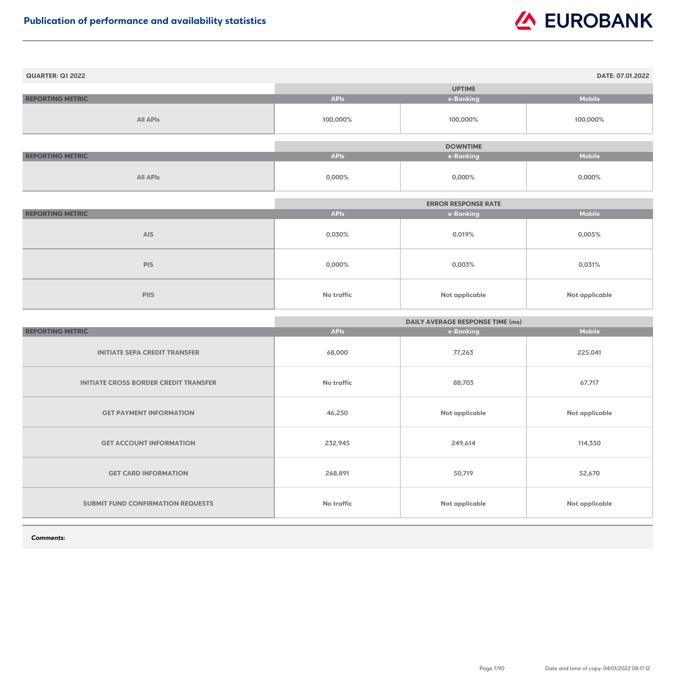| <b>QUARTER: Q1 2022</b> |             |                 | DATE: 07.01.2022 |
|-------------------------|-------------|-----------------|------------------|
|                         |             | <b>UPTIME</b>   |                  |
| <b>REPORTING METRIC</b> | <b>APIs</b> | e-Banking       | <b>Mobile</b>    |
| <b>All APIs</b>         | 100,000%    | 100,000%        | 100,000%         |
|                         |             |                 |                  |
|                         |             | <b>DOWNTIME</b> |                  |
| <b>REPORTING METRIC</b> | <b>APIs</b> | e-Banking       | <b>Mobile</b>    |
| <b>All APIs</b>         | $0,000\%$   | $0,000\%$       | 0,000%           |

|                         | <b>ERROR RESPONSE RATE</b> |                |                |
|-------------------------|----------------------------|----------------|----------------|
| <b>REPORTING METRIC</b> | <b>APIs</b>                | e-Banking      | <b>Mobile</b>  |
| <b>AIS</b>              | 0,030%                     | 0,019%         | $0,005\%$      |
| <b>PIS</b>              | $0,000\%$                  | 0,003%         | 0,031%         |
| <b>PIIS</b>             | <b>No traffic</b>          | Not applicable | Not applicable |

|                                              | <b>DAILY AVERAGE RESPONSE TIME (ms)</b> |                |                       |
|----------------------------------------------|-----------------------------------------|----------------|-----------------------|
| <b>REPORTING METRIC</b>                      | <b>APIs</b>                             | e-Banking      | <b>Mobile</b>         |
| <b>INITIATE SEPA CREDIT TRANSFER</b>         | 68,000                                  | 77,263         | 225,041               |
| <b>INITIATE CROSS BORDER CREDIT TRANSFER</b> | <b>No traffic</b>                       | 88,703         | 67,717                |
| <b>GET PAYMENT INFORMATION</b>               | 46,250                                  | Not applicable | <b>Not applicable</b> |
| <b>GET ACCOUNT INFORMATION</b>               | 232,945                                 | 249,614        | 114,350               |
| <b>GET CARD INFORMATION</b>                  | 268,891                                 | 50,719         | 52,670                |
| <b>SUBMIT FUND CONFIRMATION REQUESTS</b>     | <b>No traffic</b>                       | Not applicable | <b>Not applicable</b> |

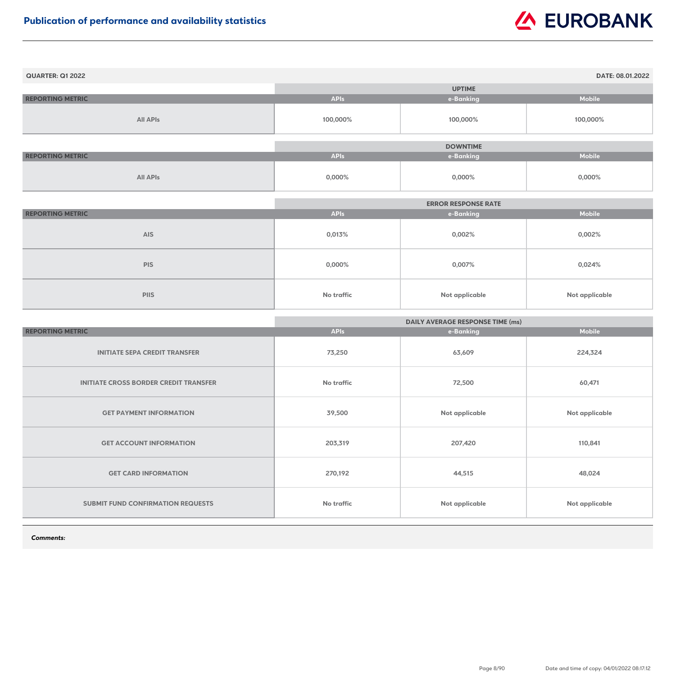| <b>QUARTER: Q1 2022</b> |             |                 | DATE: 08.01.2022 |
|-------------------------|-------------|-----------------|------------------|
|                         |             | <b>UPTIME</b>   |                  |
| <b>REPORTING METRIC</b> | <b>APIs</b> | e-Banking       | <b>Mobile</b>    |
| <b>All APIs</b>         | 100,000%    | 100,000%        | 100,000%         |
|                         |             | <b>DOWNTIME</b> |                  |
| <b>REPORTING METRIC</b> | <b>APIs</b> | e-Banking       | Mobile           |
| <b>All APIs</b>         | $0,000\%$   | 0,000%          | $0,000\%$        |

|                         |                   | <b>ERROR RESPONSE RATE</b> |                |
|-------------------------|-------------------|----------------------------|----------------|
| <b>REPORTING METRIC</b> | <b>APIs</b>       | e-Banking                  | <b>Mobile</b>  |
| <b>AIS</b>              | 0,013%            | 0,002%                     | 0,002%         |
| <b>PIS</b>              | $0,000\%$         | 0,007%                     | 0,024%         |
| <b>PIIS</b>             | <b>No traffic</b> | Not applicable             | Not applicable |

|                                              | <b>DAILY AVERAGE RESPONSE TIME (ms)</b> |                |                       |
|----------------------------------------------|-----------------------------------------|----------------|-----------------------|
| <b>REPORTING METRIC</b>                      | <b>APIs</b>                             | e-Banking      | <b>Mobile</b>         |
| <b>INITIATE SEPA CREDIT TRANSFER</b>         | 73,250                                  | 63,609         | 224,324               |
| <b>INITIATE CROSS BORDER CREDIT TRANSFER</b> | <b>No traffic</b>                       | 72,500         | 60,471                |
| <b>GET PAYMENT INFORMATION</b>               | 39,500                                  | Not applicable | <b>Not applicable</b> |
| <b>GET ACCOUNT INFORMATION</b>               | 203,319                                 | 207,420        | 110,841               |
| <b>GET CARD INFORMATION</b>                  | 270,192                                 | 44,515         | 48,024                |
| <b>SUBMIT FUND CONFIRMATION REQUESTS</b>     | No traffic                              | Not applicable | <b>Not applicable</b> |

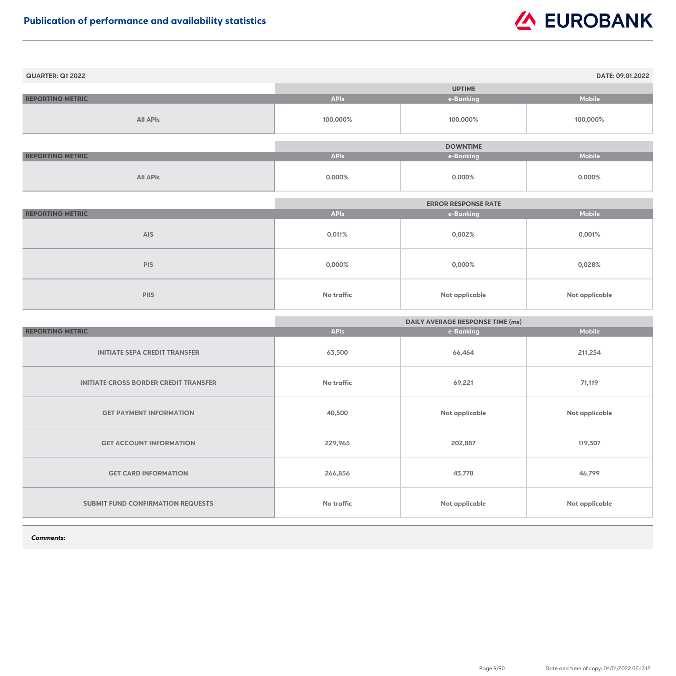| <b>QUARTER: Q1 2022</b> |             |                 | DATE: 09.01.2022 |
|-------------------------|-------------|-----------------|------------------|
|                         |             | <b>UPTIME</b>   |                  |
| <b>REPORTING METRIC</b> | <b>APIs</b> | e-Banking       | <b>Mobile</b>    |
| <b>All APIs</b>         | 100,000%    | 100,000%        | 100,000%         |
|                         |             |                 |                  |
|                         |             | <b>DOWNTIME</b> |                  |
| <b>REPORTING METRIC</b> | <b>APIs</b> | e-Banking       | <b>Mobile</b>    |
| <b>All APIs</b>         | $0,000\%$   | $0,000\%$       | 0,000%           |

|                         |                   | <b>ERROR RESPONSE RATE</b> |                |
|-------------------------|-------------------|----------------------------|----------------|
| <b>REPORTING METRIC</b> | <b>APIs</b>       | e-Banking                  | <b>Mobile</b>  |
| <b>AIS</b>              | 0,011%            | 0,002%                     | 0,001%         |
| <b>PIS</b>              | $0,000\%$         | $0,000\%$                  | 0,028%         |
| <b>PIIS</b>             | <b>No traffic</b> | <b>Not applicable</b>      | Not applicable |

|                                              | <b>DAILY AVERAGE RESPONSE TIME (ms)</b> |                |                       |
|----------------------------------------------|-----------------------------------------|----------------|-----------------------|
| <b>REPORTING METRIC</b>                      | <b>APIs</b>                             | e-Banking      | <b>Mobile</b>         |
| <b>INITIATE SEPA CREDIT TRANSFER</b>         | 63,500                                  | 66,464         | 211,254               |
| <b>INITIATE CROSS BORDER CREDIT TRANSFER</b> | <b>No traffic</b>                       | 69,221         | 71,119                |
| <b>GET PAYMENT INFORMATION</b>               | 40,500                                  | Not applicable | <b>Not applicable</b> |
| <b>GET ACCOUNT INFORMATION</b>               | 229,965                                 | 202,887        | 119,307               |
| <b>GET CARD INFORMATION</b>                  | 266,856                                 | 43,778         | 46,799                |
| <b>SUBMIT FUND CONFIRMATION REQUESTS</b>     | <b>No traffic</b>                       | Not applicable | <b>Not applicable</b> |

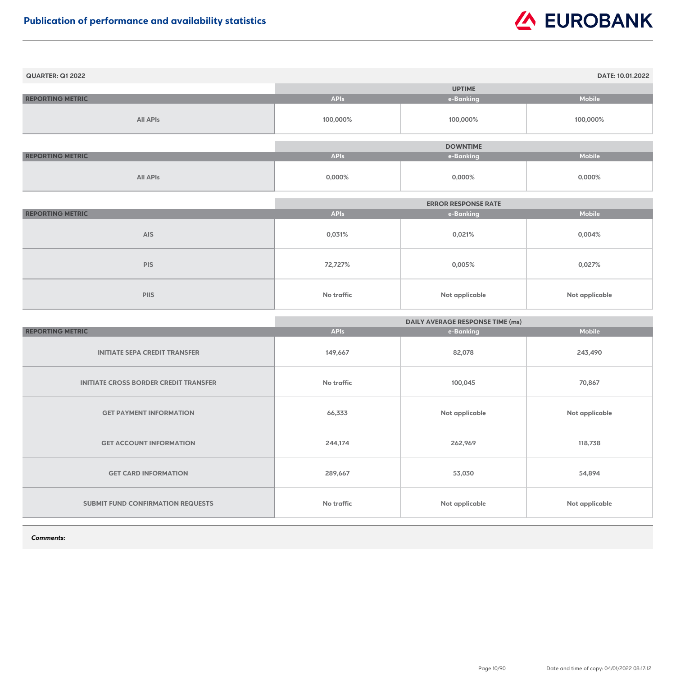| <b>QUARTER: Q1 2022</b> |             |                 | DATE: 10.01.2022 |
|-------------------------|-------------|-----------------|------------------|
|                         |             | <b>UPTIME</b>   |                  |
| <b>REPORTING METRIC</b> | <b>APIs</b> | e-Banking       | <b>Mobile</b>    |
| <b>All APIs</b>         | 100,000%    | 100,000%        | 100,000%         |
|                         |             | <b>DOWNTIME</b> |                  |
| <b>REPORTING METRIC</b> | <b>APIs</b> | e-Banking       | <b>Mobile</b>    |
| <b>All APIs</b>         | 0,000%      | 0,000%          | 0,000%           |

|                         |             | <b>ERROR RESPONSE RATE</b> |                |
|-------------------------|-------------|----------------------------|----------------|
| <b>REPORTING METRIC</b> | <b>APIs</b> | e-Banking                  | <b>Mobile</b>  |
| <b>AIS</b>              | 0,031%      | 0,021%                     | 0,004%         |
| <b>PIS</b>              | 72,727%     | 0,005%                     | 0,027%         |
| <b>PIIS</b>             | No traffic  | <b>Not applicable</b>      | Not applicable |

|                                              | <b>DAILY AVERAGE RESPONSE TIME (ms)</b> |                |                       |
|----------------------------------------------|-----------------------------------------|----------------|-----------------------|
| <b>REPORTING METRIC</b>                      | <b>APIs</b>                             | e-Banking      | <b>Mobile</b>         |
| <b>INITIATE SEPA CREDIT TRANSFER</b>         | 149,667                                 | 82,078         | 243,490               |
| <b>INITIATE CROSS BORDER CREDIT TRANSFER</b> | <b>No traffic</b>                       | 100,045        | 70,867                |
| <b>GET PAYMENT INFORMATION</b>               | 66,333                                  | Not applicable | Not applicable        |
| <b>GET ACCOUNT INFORMATION</b>               | 244,174                                 | 262,969        | 118,738               |
| <b>GET CARD INFORMATION</b>                  | 289,667                                 | 53,030         | 54,894                |
| <b>SUBMIT FUND CONFIRMATION REQUESTS</b>     | No traffic                              | Not applicable | <b>Not applicable</b> |

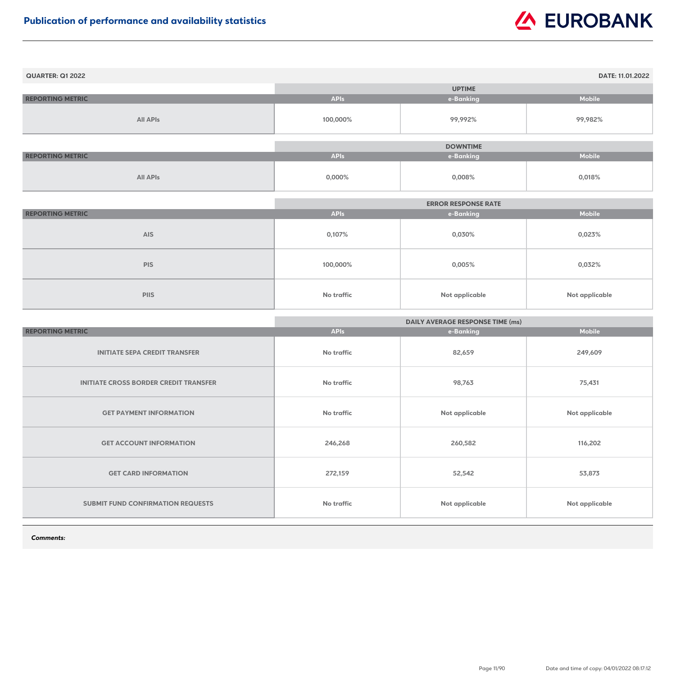| <b>QUARTER: Q1 2022</b> |             |                 | <b>DATE: 11.01.2022</b> |
|-------------------------|-------------|-----------------|-------------------------|
|                         |             | <b>UPTIME</b>   |                         |
| <b>REPORTING METRIC</b> | <b>APIs</b> | e-Banking       | <b>Mobile</b>           |
| <b>All APIs</b>         | 100,000%    | 99,992%         | 99,982%                 |
|                         |             | <b>DOWNTIME</b> |                         |
| <b>REPORTING METRIC</b> | <b>APIs</b> | e-Banking       | <b>Mobile</b>           |
|                         |             |                 |                         |
| <b>All APIs</b>         | $0,000\%$   | 0,008%          | 0,018%                  |

|                         |                   | <b>ERROR RESPONSE RATE</b> |                       |
|-------------------------|-------------------|----------------------------|-----------------------|
| <b>REPORTING METRIC</b> | <b>APIs</b>       | e-Banking                  | <b>Mobile</b>         |
| <b>AIS</b>              | 0,107%            | 0,030%                     | 0,023%                |
| <b>PIS</b>              | 100,000%          | 0,005%                     | 0,032%                |
| <b>PIIS</b>             | <b>No traffic</b> | <b>Not applicable</b>      | <b>Not applicable</b> |

|                                              | <b>DAILY AVERAGE RESPONSE TIME (ms)</b> |                |                |
|----------------------------------------------|-----------------------------------------|----------------|----------------|
| <b>REPORTING METRIC</b>                      | <b>APIs</b>                             | e-Banking      | <b>Mobile</b>  |
| <b>INITIATE SEPA CREDIT TRANSFER</b>         | <b>No traffic</b>                       | 82,659         | 249,609        |
| <b>INITIATE CROSS BORDER CREDIT TRANSFER</b> | <b>No traffic</b>                       | 98,763         | 75,431         |
| <b>GET PAYMENT INFORMATION</b>               | No traffic                              | Not applicable | Not applicable |
| <b>GET ACCOUNT INFORMATION</b>               | 246,268                                 | 260,582        | 116,202        |
| <b>GET CARD INFORMATION</b>                  | 272,159                                 | 52,542         | 53,873         |
| <b>SUBMIT FUND CONFIRMATION REQUESTS</b>     | <b>No traffic</b>                       | Not applicable | Not applicable |

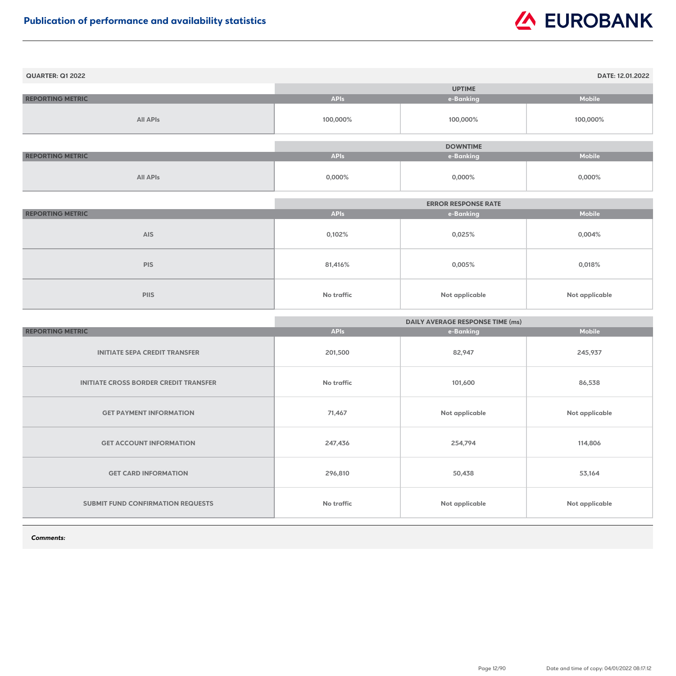| <b>QUARTER: Q1 2022</b> |             |                 | DATE: 12.01.2022 |
|-------------------------|-------------|-----------------|------------------|
|                         |             | <b>UPTIME</b>   |                  |
| <b>REPORTING METRIC</b> | <b>APIs</b> | e-Banking       | <b>Mobile</b>    |
| <b>All APIs</b>         | 100,000%    | 100,000%        | 100,000%         |
|                         |             |                 |                  |
|                         |             | <b>DOWNTIME</b> |                  |
| <b>REPORTING METRIC</b> | <b>APIs</b> | e-Banking       | <b>Mobile</b>    |
| <b>All APIs</b>         | $0,000\%$   | $0,000\%$       | 0,000%           |

|                         |             | <b>ERROR RESPONSE RATE</b> |                |
|-------------------------|-------------|----------------------------|----------------|
| <b>REPORTING METRIC</b> | <b>APIs</b> | e-Banking                  | <b>Mobile</b>  |
| <b>AIS</b>              | 0,102%      | 0,025%                     | 0,004%         |
| <b>PIS</b>              | 81,416%     | 0,005%                     | 0,018%         |
| <b>PIIS</b>             | No traffic  | <b>Not applicable</b>      | Not applicable |

|                                              | <b>DAILY AVERAGE RESPONSE TIME (ms)</b> |                       |                       |
|----------------------------------------------|-----------------------------------------|-----------------------|-----------------------|
| <b>REPORTING METRIC</b>                      | <b>APIs</b>                             | e-Banking             | <b>Mobile</b>         |
| <b>INITIATE SEPA CREDIT TRANSFER</b>         | 201,500                                 | 82,947                | 245,937               |
| <b>INITIATE CROSS BORDER CREDIT TRANSFER</b> | <b>No traffic</b>                       | 101,600               | 86,538                |
| <b>GET PAYMENT INFORMATION</b>               | 71,467                                  | Not applicable        | <b>Not applicable</b> |
| <b>GET ACCOUNT INFORMATION</b>               | 247,436                                 | 254,794               | 114,806               |
| <b>GET CARD INFORMATION</b>                  | 296,810                                 | 50,438                | 53,164                |
| <b>SUBMIT FUND CONFIRMATION REQUESTS</b>     | <b>No traffic</b>                       | <b>Not applicable</b> | <b>Not applicable</b> |

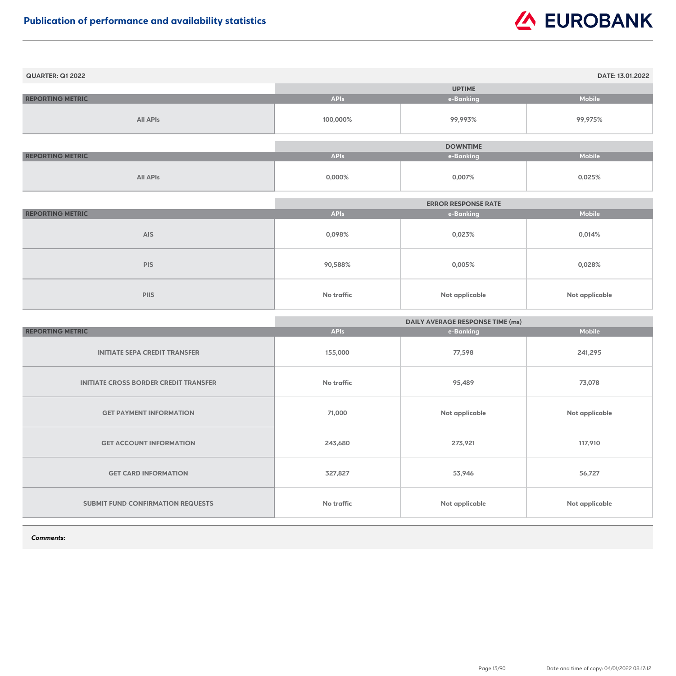| <b>QUARTER: Q1 2022</b> |             |                 | DATE: 13.01.2022 |
|-------------------------|-------------|-----------------|------------------|
|                         |             | <b>UPTIME</b>   |                  |
| <b>REPORTING METRIC</b> | <b>APIs</b> | e-Banking       | <b>Mobile</b>    |
| <b>All APIs</b>         | 100,000%    | 99,993%         | 99,975%          |
|                         |             | <b>DOWNTIME</b> |                  |
| <b>REPORTING METRIC</b> | <b>APIs</b> | e-Banking       | <b>Mobile</b>    |
| <b>All APIs</b>         | 0,000%      | 0,007%          | 0,025%           |

|                         |             | <b>ERROR RESPONSE RATE</b> |                       |
|-------------------------|-------------|----------------------------|-----------------------|
| <b>REPORTING METRIC</b> | <b>APIs</b> | e-Banking                  | <b>Mobile</b>         |
| <b>AIS</b>              | 0,098%      | 0,023%                     | 0,014%                |
| <b>PIS</b>              | 90,588%     | 0,005%                     | 0,028%                |
| <b>PIIS</b>             | No traffic  | <b>Not applicable</b>      | <b>Not applicable</b> |

|                                              | <b>DAILY AVERAGE RESPONSE TIME (ms)</b> |                |                       |
|----------------------------------------------|-----------------------------------------|----------------|-----------------------|
| <b>REPORTING METRIC</b>                      | <b>APIs</b>                             | e-Banking      | <b>Mobile</b>         |
| <b>INITIATE SEPA CREDIT TRANSFER</b>         | 155,000                                 | 77,598         | 241,295               |
| <b>INITIATE CROSS BORDER CREDIT TRANSFER</b> | <b>No traffic</b>                       | 95,489         | 73,078                |
| <b>GET PAYMENT INFORMATION</b>               | 71,000                                  | Not applicable | <b>Not applicable</b> |
| <b>GET ACCOUNT INFORMATION</b>               | 243,680                                 | 273,921        | 117,910               |
| <b>GET CARD INFORMATION</b>                  | 327,827                                 | 53,946         | 56,727                |
| <b>SUBMIT FUND CONFIRMATION REQUESTS</b>     | No traffic                              | Not applicable | <b>Not applicable</b> |

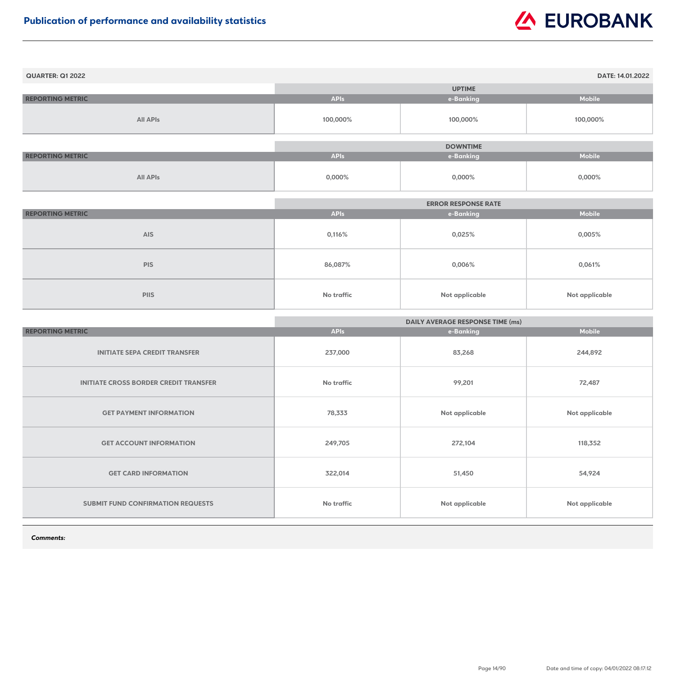| <b>QUARTER: Q1 2022</b> |             |                 | DATE: 14.01.2022 |
|-------------------------|-------------|-----------------|------------------|
|                         |             | <b>UPTIME</b>   |                  |
| <b>REPORTING METRIC</b> | <b>APIs</b> | e-Banking       | <b>Mobile</b>    |
| <b>All APIs</b>         | 100,000%    | 100,000%        | 100,000%         |
|                         |             |                 |                  |
|                         |             | <b>DOWNTIME</b> |                  |
| <b>REPORTING METRIC</b> | <b>APIs</b> | e-Banking       | <b>Mobile</b>    |
| <b>All APIs</b>         | $0,000\%$   | $0,000\%$       | 0,000%           |

|                         | <b>ERROR RESPONSE RATE</b> |                       |                       |
|-------------------------|----------------------------|-----------------------|-----------------------|
| <b>REPORTING METRIC</b> | <b>APIs</b>                | e-Banking             | <b>Mobile</b>         |
| <b>AIS</b>              | 0,116%                     | 0,025%                | $0,005\%$             |
| <b>PIS</b>              | 86,087%                    | $0,006\%$             | 0,061%                |
| <b>PIIS</b>             | <b>No traffic</b>          | <b>Not applicable</b> | <b>Not applicable</b> |

|                                              | <b>DAILY AVERAGE RESPONSE TIME (ms)</b> |                       |                       |
|----------------------------------------------|-----------------------------------------|-----------------------|-----------------------|
| <b>REPORTING METRIC</b>                      | <b>APIs</b>                             | e-Banking             | <b>Mobile</b>         |
| <b>INITIATE SEPA CREDIT TRANSFER</b>         | 237,000                                 | 83,268                | 244,892               |
| <b>INITIATE CROSS BORDER CREDIT TRANSFER</b> | <b>No traffic</b>                       | 99,201                | 72,487                |
| <b>GET PAYMENT INFORMATION</b>               | 78,333                                  | Not applicable        | <b>Not applicable</b> |
| <b>GET ACCOUNT INFORMATION</b>               | 249,705                                 | 272,104               | 118,352               |
| <b>GET CARD INFORMATION</b>                  | 322,014                                 | 51,450                | 54,924                |
| <b>SUBMIT FUND CONFIRMATION REQUESTS</b>     | No traffic                              | <b>Not applicable</b> | <b>Not applicable</b> |

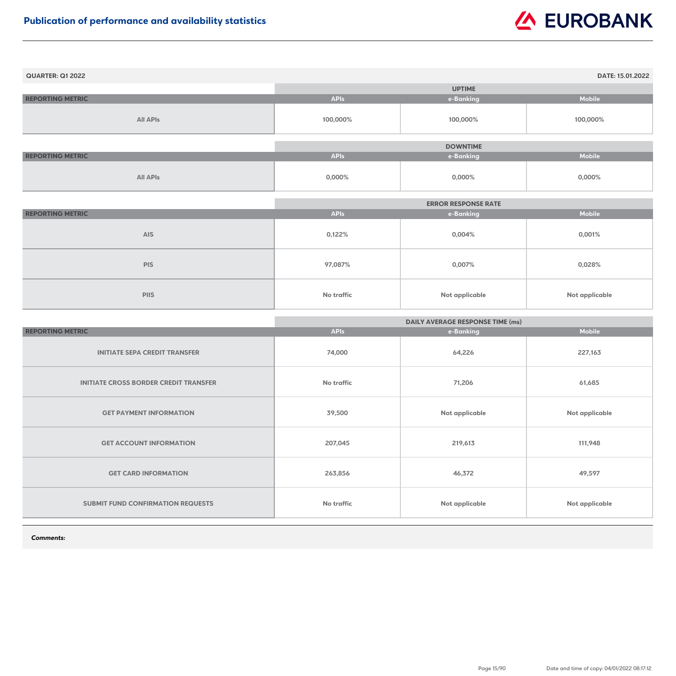| <b>QUARTER: Q1 2022</b> |             |                 | DATE: 15.01.2022 |
|-------------------------|-------------|-----------------|------------------|
|                         |             | <b>UPTIME</b>   |                  |
| <b>REPORTING METRIC</b> | <b>APIs</b> | e-Banking       | <b>Mobile</b>    |
| <b>All APIs</b>         | 100,000%    | 100,000%        | 100,000%         |
|                         |             |                 |                  |
|                         |             | <b>DOWNTIME</b> |                  |
| <b>REPORTING METRIC</b> | <b>APIs</b> | e-Banking       | <b>Mobile</b>    |
| <b>All APIs</b>         | $0,000\%$   | $0,000\%$       | 0,000%           |

|                         | <b>ERROR RESPONSE RATE</b> |                       |                       |
|-------------------------|----------------------------|-----------------------|-----------------------|
| <b>REPORTING METRIC</b> | <b>APIs</b>                | e-Banking             | <b>Mobile</b>         |
| <b>AIS</b>              | 0,122%                     | $0,004\%$             | 0,001%                |
| <b>PIS</b>              | 97,087%                    | 0,007%                | 0,028%                |
| <b>PIIS</b>             | <b>No traffic</b>          | <b>Not applicable</b> | <b>Not applicable</b> |

|                                              | <b>DAILY AVERAGE RESPONSE TIME (ms)</b> |                       |                       |
|----------------------------------------------|-----------------------------------------|-----------------------|-----------------------|
| <b>REPORTING METRIC</b>                      | <b>APIs</b>                             | e-Banking             | <b>Mobile</b>         |
| <b>INITIATE SEPA CREDIT TRANSFER</b>         | 74,000                                  | 64,226                | 227,163               |
| <b>INITIATE CROSS BORDER CREDIT TRANSFER</b> | <b>No traffic</b>                       | 71,206                | 61,685                |
| <b>GET PAYMENT INFORMATION</b>               | 39,500                                  | Not applicable        | <b>Not applicable</b> |
| <b>GET ACCOUNT INFORMATION</b>               | 207,045                                 | 219,613               | 111,948               |
| <b>GET CARD INFORMATION</b>                  | 263,856                                 | 46,372                | 49,597                |
| <b>SUBMIT FUND CONFIRMATION REQUESTS</b>     | <b>No traffic</b>                       | <b>Not applicable</b> | <b>Not applicable</b> |

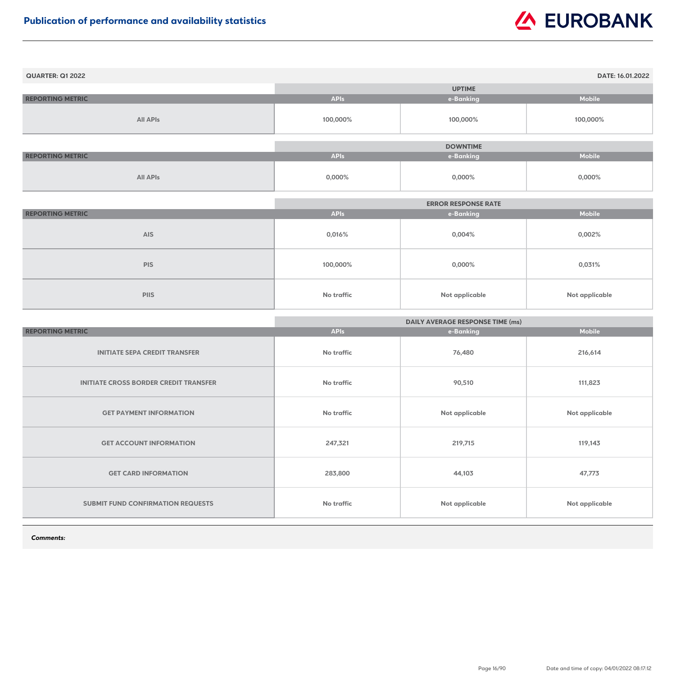| <b>QUARTER: Q1 2022</b> |             |                 | DATE: 16.01.2022 |
|-------------------------|-------------|-----------------|------------------|
|                         |             | <b>UPTIME</b>   |                  |
| <b>REPORTING METRIC</b> | <b>APIs</b> | e-Banking       | <b>Mobile</b>    |
| <b>All APIs</b>         | 100,000%    | 100,000%        | 100,000%         |
|                         |             |                 |                  |
|                         |             | <b>DOWNTIME</b> |                  |
| <b>REPORTING METRIC</b> | <b>APIs</b> | e-Banking       | <b>Mobile</b>    |
| <b>All APIs</b>         | $0,000\%$   | $0,000\%$       | $0,000\%$        |

|                         | <b>ERROR RESPONSE RATE</b> |                |                |
|-------------------------|----------------------------|----------------|----------------|
| <b>REPORTING METRIC</b> | <b>APIs</b>                | e-Banking      | <b>Mobile</b>  |
| <b>AIS</b>              | 0,016%                     | $0,004\%$      | 0,002%         |
| <b>PIS</b>              | 100,000%                   | $0,000\%$      | 0,031%         |
| <b>PIIS</b>             | <b>No traffic</b>          | Not applicable | Not applicable |

|                                              | <b>DAILY AVERAGE RESPONSE TIME (ms)</b> |                |                       |
|----------------------------------------------|-----------------------------------------|----------------|-----------------------|
| <b>REPORTING METRIC</b>                      | <b>APIs</b>                             | e-Banking      | <b>Mobile</b>         |
| <b>INITIATE SEPA CREDIT TRANSFER</b>         | <b>No traffic</b>                       | 76,480         | 216,614               |
| <b>INITIATE CROSS BORDER CREDIT TRANSFER</b> | <b>No traffic</b>                       | 90,510         | 111,823               |
| <b>GET PAYMENT INFORMATION</b>               | No traffic                              | Not applicable | <b>Not applicable</b> |
| <b>GET ACCOUNT INFORMATION</b>               | 247,321                                 | 219,715        | 119,143               |
| <b>GET CARD INFORMATION</b>                  | 283,800                                 | 44,103         | 47,773                |
| <b>SUBMIT FUND CONFIRMATION REQUESTS</b>     | <b>No traffic</b>                       | Not applicable | <b>Not applicable</b> |

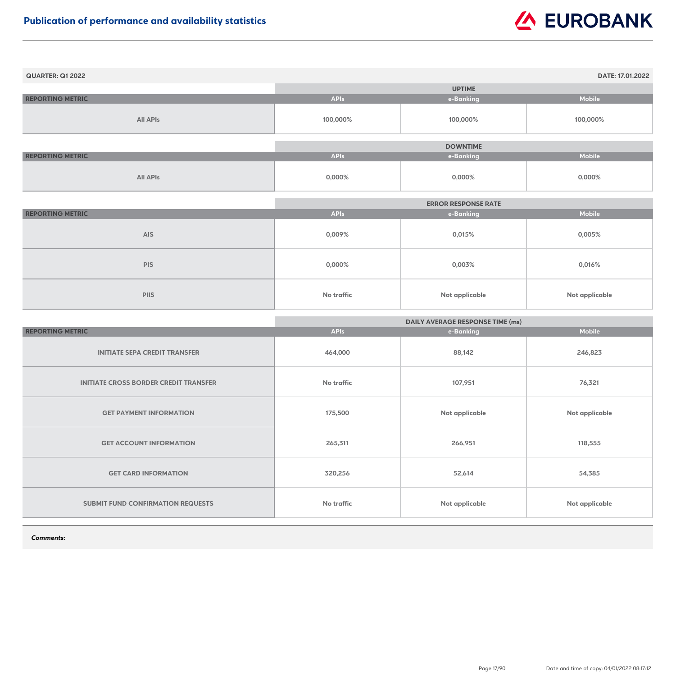| <b>QUARTER: Q1 2022</b> |             |                 | DATE: 17.01.2022 |
|-------------------------|-------------|-----------------|------------------|
|                         |             | <b>UPTIME</b>   |                  |
| <b>REPORTING METRIC</b> | <b>APIs</b> | e-Banking       | <b>Mobile</b>    |
| <b>All APIs</b>         | 100,000%    | 100,000%        | 100,000%         |
|                         |             |                 |                  |
|                         |             | <b>DOWNTIME</b> |                  |
| <b>REPORTING METRIC</b> | <b>APIs</b> | e-Banking       | <b>Mobile</b>    |
| <b>All APIs</b>         | 0,000%      | $0,000\%$       | $0,000\%$        |

|                         | <b>ERROR RESPONSE RATE</b> |                       |                |
|-------------------------|----------------------------|-----------------------|----------------|
| <b>REPORTING METRIC</b> | <b>APIs</b>                | e-Banking             | <b>Mobile</b>  |
| <b>AIS</b>              | 0,009%                     | 0,015%                | 0,005%         |
| <b>PIS</b>              | 0,000%                     | 0,003%                | 0,016%         |
| <b>PIIS</b>             | <b>No traffic</b>          | <b>Not applicable</b> | Not applicable |

|                                              | <b>DAILY AVERAGE RESPONSE TIME (ms)</b> |                       |                       |
|----------------------------------------------|-----------------------------------------|-----------------------|-----------------------|
| <b>REPORTING METRIC</b>                      | <b>APIs</b>                             | e-Banking             | <b>Mobile</b>         |
| <b>INITIATE SEPA CREDIT TRANSFER</b>         | 464,000                                 | 88,142                | 246,823               |
| <b>INITIATE CROSS BORDER CREDIT TRANSFER</b> | <b>No traffic</b>                       | 107,951               | 76,321                |
| <b>GET PAYMENT INFORMATION</b>               | 175,500                                 | Not applicable        | <b>Not applicable</b> |
| <b>GET ACCOUNT INFORMATION</b>               | 265,311                                 | 266,951               | 118,555               |
| <b>GET CARD INFORMATION</b>                  | 320,256                                 | 52,614                | 54,385                |
| <b>SUBMIT FUND CONFIRMATION REQUESTS</b>     | No traffic                              | <b>Not applicable</b> | <b>Not applicable</b> |

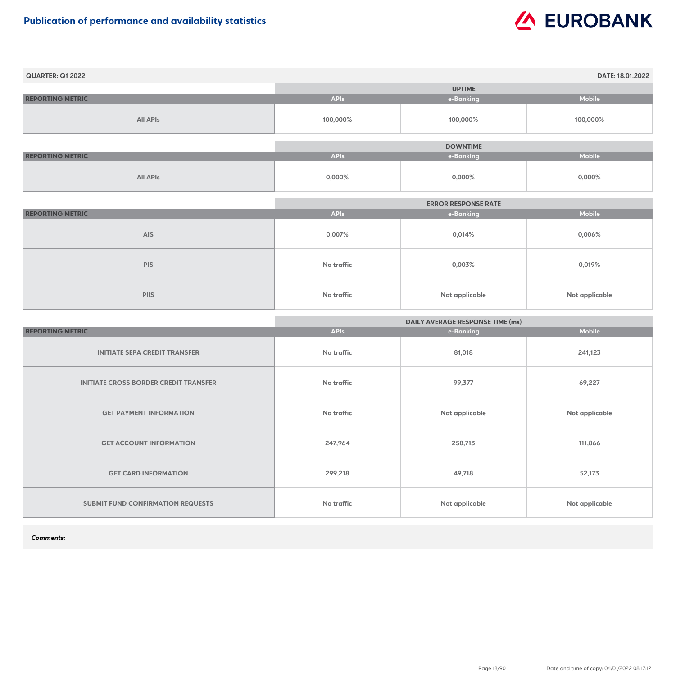| <b>QUARTER: Q1 2022</b> |             |                 | DATE: 18.01.2022 |
|-------------------------|-------------|-----------------|------------------|
|                         |             | <b>UPTIME</b>   |                  |
| <b>REPORTING METRIC</b> | <b>APIs</b> | e-Banking       | <b>Mobile</b>    |
| <b>All APIs</b>         | 100,000%    | 100,000%        | 100,000%         |
|                         |             |                 |                  |
|                         |             | <b>DOWNTIME</b> |                  |
| <b>REPORTING METRIC</b> | <b>APIs</b> | e-Banking       | <b>Mobile</b>    |
| <b>All APIs</b>         | 0,000%      | $0,000\%$       | $0,000\%$        |

|                         | <b>ERROR RESPONSE RATE</b> |                       |                |
|-------------------------|----------------------------|-----------------------|----------------|
| <b>REPORTING METRIC</b> | <b>APIs</b>                | e-Banking             | <b>Mobile</b>  |
| <b>AIS</b>              | 0,007%                     | 0,014%                | 0,006%         |
| <b>PIS</b>              | <b>No traffic</b>          | 0,003%                | 0,019%         |
| <b>PIIS</b>             | <b>No traffic</b>          | <b>Not applicable</b> | Not applicable |

|                                              | <b>DAILY AVERAGE RESPONSE TIME (ms)</b> |                       |                       |
|----------------------------------------------|-----------------------------------------|-----------------------|-----------------------|
| <b>REPORTING METRIC</b>                      | <b>APIs</b>                             | e-Banking             | <b>Mobile</b>         |
| <b>INITIATE SEPA CREDIT TRANSFER</b>         | No traffic                              | 81,018                | 241,123               |
| <b>INITIATE CROSS BORDER CREDIT TRANSFER</b> | <b>No traffic</b>                       | 99,377                | 69,227                |
| <b>GET PAYMENT INFORMATION</b>               | No traffic                              | <b>Not applicable</b> | <b>Not applicable</b> |
| <b>GET ACCOUNT INFORMATION</b>               | 247,964                                 | 258,713               | 111,866               |
| <b>GET CARD INFORMATION</b>                  | 299,218                                 | 49,718                | 52,173                |
| SUBMIT FUND CONFIRMATION REQUESTS            | No traffic                              | Not applicable        | <b>Not applicable</b> |

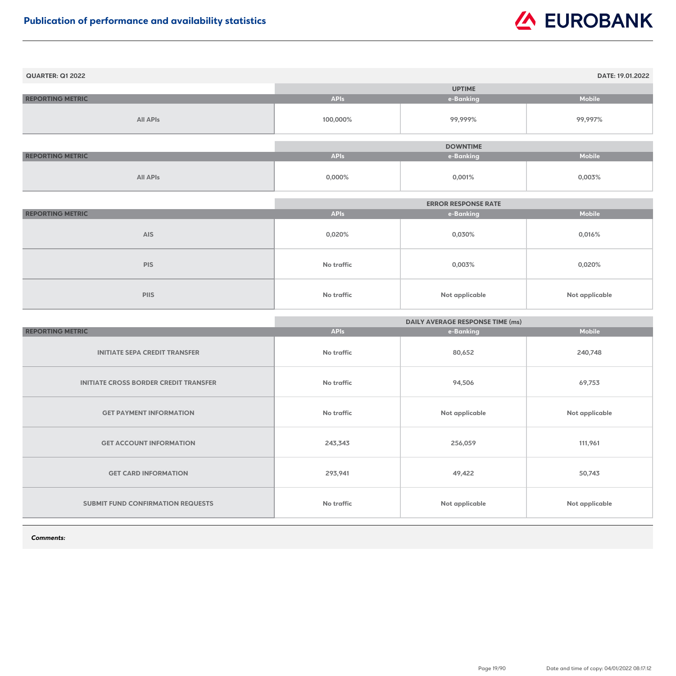| <b>QUARTER: Q1 2022</b> |             |                 | DATE: 19.01.2022 |
|-------------------------|-------------|-----------------|------------------|
|                         |             | <b>UPTIME</b>   |                  |
| <b>REPORTING METRIC</b> | <b>APIs</b> | e-Banking       | <b>Mobile</b>    |
| <b>All APIs</b>         | 100,000%    | 99,999%         | 99,997%          |
|                         |             | <b>DOWNTIME</b> |                  |
|                         |             |                 |                  |
| <b>REPORTING METRIC</b> | <b>APIs</b> | e-Banking       | <b>Mobile</b>    |
| <b>All APIs</b>         | $0,000\%$   | 0,001%          | 0,003%           |

|                         |                   | <b>ERROR RESPONSE RATE</b> |                |
|-------------------------|-------------------|----------------------------|----------------|
| <b>REPORTING METRIC</b> | <b>APIs</b>       | e-Banking                  | <b>Mobile</b>  |
| <b>AIS</b>              | 0,020%            | 0,030%                     | 0,016%         |
| <b>PIS</b>              | <b>No traffic</b> | 0,003%                     | 0,020%         |
| <b>PIIS</b>             | <b>No traffic</b> | <b>Not applicable</b>      | Not applicable |

|                                              | <b>DAILY AVERAGE RESPONSE TIME (ms)</b> |                |                       |
|----------------------------------------------|-----------------------------------------|----------------|-----------------------|
| <b>REPORTING METRIC</b>                      | <b>APIs</b>                             | e-Banking      | <b>Mobile</b>         |
| <b>INITIATE SEPA CREDIT TRANSFER</b>         | <b>No traffic</b>                       | 80,652         | 240,748               |
| <b>INITIATE CROSS BORDER CREDIT TRANSFER</b> | <b>No traffic</b>                       | 94,506         | 69,753                |
| <b>GET PAYMENT INFORMATION</b>               | <b>No traffic</b>                       | Not applicable | <b>Not applicable</b> |
| <b>GET ACCOUNT INFORMATION</b>               | 243,343                                 | 256,059        | 111,961               |
| <b>GET CARD INFORMATION</b>                  | 293,941                                 | 49,422         | 50,743                |
| <b>SUBMIT FUND CONFIRMATION REQUESTS</b>     | <b>No traffic</b>                       | Not applicable | <b>Not applicable</b> |

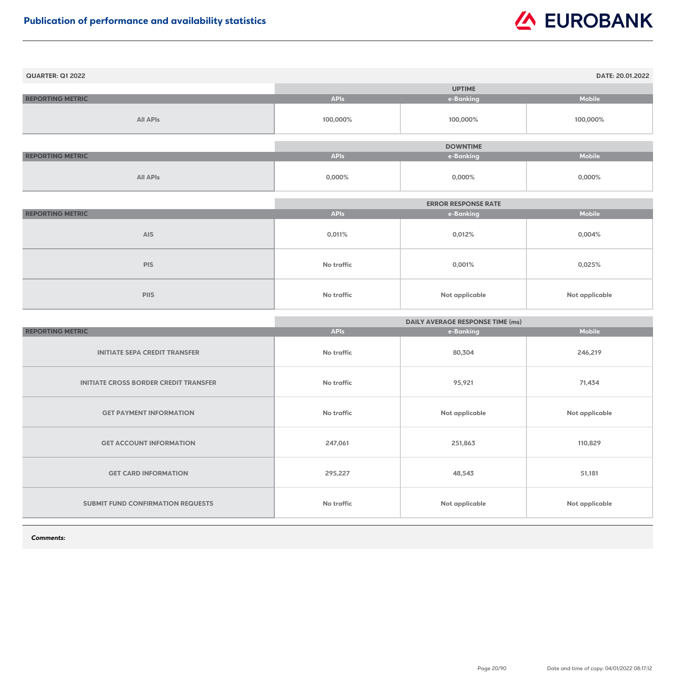| <b>QUARTER: Q1 2022</b> |             |                 | DATE: 20.01.2022 |
|-------------------------|-------------|-----------------|------------------|
|                         |             | <b>UPTIME</b>   |                  |
| <b>REPORTING METRIC</b> | <b>APIs</b> | e-Banking       | <b>Mobile</b>    |
| <b>All APIs</b>         | 100,000%    | 100,000%        | 100,000%         |
|                         |             |                 |                  |
|                         |             | <b>DOWNTIME</b> |                  |
| <b>REPORTING METRIC</b> | <b>APIs</b> | e-Banking       | <b>Mobile</b>    |
| <b>All APIs</b>         | 0,000%      | $0,000\%$       | $0,000\%$        |

|                         | <b>ERROR RESPONSE RATE</b> |                       |                |
|-------------------------|----------------------------|-----------------------|----------------|
| <b>REPORTING METRIC</b> | <b>APIs</b>                | e-Banking             | <b>Mobile</b>  |
| <b>AIS</b>              | 0,011%                     | 0,012%                | 0,004%         |
| <b>PIS</b>              | <b>No traffic</b>          | 0,001%                | 0,025%         |
| <b>PIIS</b>             | <b>No traffic</b>          | <b>Not applicable</b> | Not applicable |

|                                              | <b>DAILY AVERAGE RESPONSE TIME (ms)</b> |                |                       |
|----------------------------------------------|-----------------------------------------|----------------|-----------------------|
| <b>REPORTING METRIC</b>                      | <b>APIs</b>                             | e-Banking      | <b>Mobile</b>         |
| <b>INITIATE SEPA CREDIT TRANSFER</b>         | No traffic                              | 80,304         | 246,219               |
| <b>INITIATE CROSS BORDER CREDIT TRANSFER</b> | No traffic                              | 95,921         | 71,434                |
| <b>GET PAYMENT INFORMATION</b>               | No traffic                              | Not applicable | <b>Not applicable</b> |
| <b>GET ACCOUNT INFORMATION</b>               | 247,061                                 | 251,863        | 110,829               |
| <b>GET CARD INFORMATION</b>                  | 295,227                                 | 48,543         | 51,181                |
| SUBMIT FUND CONFIRMATION REQUESTS            | <b>No traffic</b>                       | Not applicable | Not applicable        |

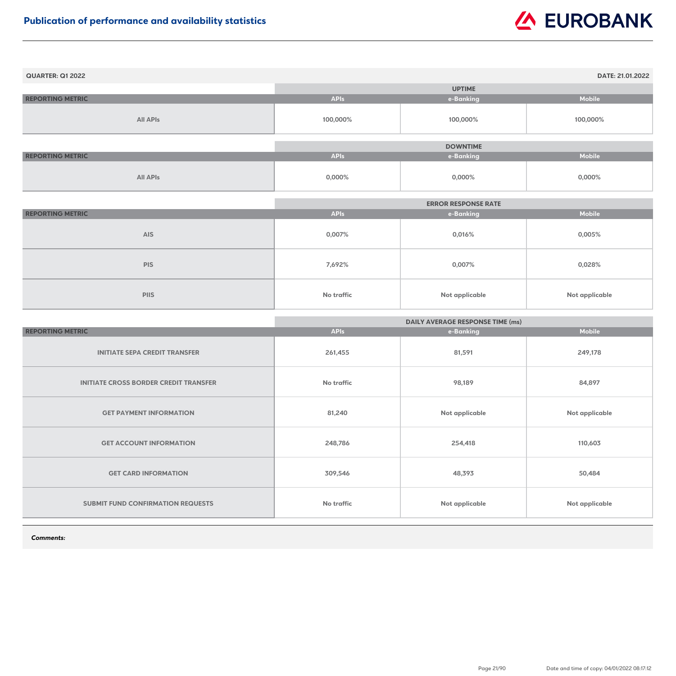| <b>QUARTER: Q1 2022</b> |             |                 | DATE: 21.01.2022 |
|-------------------------|-------------|-----------------|------------------|
|                         |             | <b>UPTIME</b>   |                  |
| <b>REPORTING METRIC</b> | <b>APIs</b> | e-Banking       | <b>Mobile</b>    |
| <b>All APIs</b>         | 100,000%    | 100,000%        | 100,000%         |
|                         |             | <b>DOWNTIME</b> |                  |
| <b>REPORTING METRIC</b> | <b>APIs</b> | e-Banking       | <b>Mobile</b>    |
| <b>All APIs</b>         | $0,000\%$   | $0,000\%$       | $0,000\%$        |

|                         |                   | <b>ERROR RESPONSE RATE</b> |                |
|-------------------------|-------------------|----------------------------|----------------|
| <b>REPORTING METRIC</b> | <b>APIs</b>       | e-Banking                  | <b>Mobile</b>  |
| <b>AIS</b>              | 0,007%            | 0,016%                     | 0,005%         |
| <b>PIS</b>              | 7,692%            | 0,007%                     | 0,028%         |
| <b>PIIS</b>             | <b>No traffic</b> | <b>Not applicable</b>      | Not applicable |

|                                              | <b>DAILY AVERAGE RESPONSE TIME (ms)</b> |                |                       |
|----------------------------------------------|-----------------------------------------|----------------|-----------------------|
| <b>REPORTING METRIC</b>                      | <b>APIs</b>                             | e-Banking      | <b>Mobile</b>         |
| <b>INITIATE SEPA CREDIT TRANSFER</b>         | 261,455                                 | 81,591         | 249,178               |
| <b>INITIATE CROSS BORDER CREDIT TRANSFER</b> | <b>No traffic</b>                       | 98,189         | 84,897                |
| <b>GET PAYMENT INFORMATION</b>               | 81,240                                  | Not applicable | <b>Not applicable</b> |
| <b>GET ACCOUNT INFORMATION</b>               | 248,786                                 | 254,418        | 110,603               |
| <b>GET CARD INFORMATION</b>                  | 309,546                                 | 48,393         | 50,484                |
| SUBMIT FUND CONFIRMATION REQUESTS            | <b>No traffic</b>                       | Not applicable | <b>Not applicable</b> |

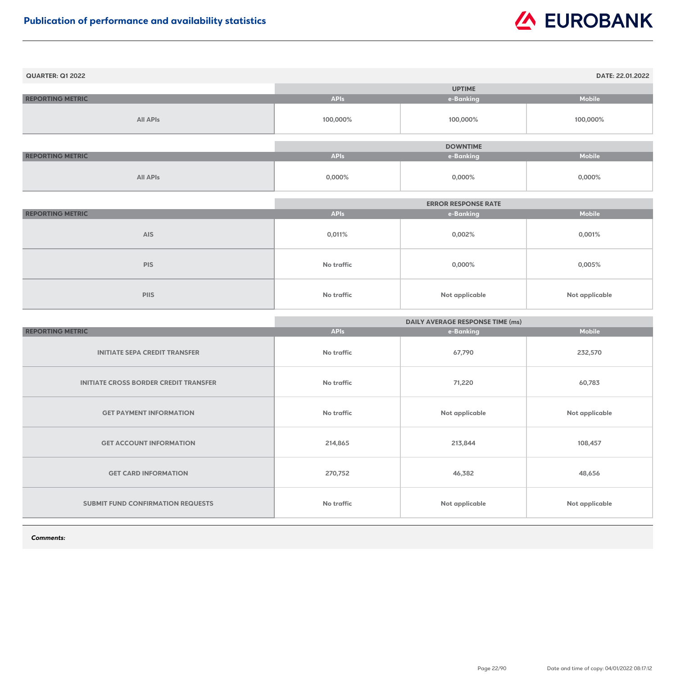| <b>QUARTER: Q1 2022</b> |             |                 | DATE: 22.01.2022 |
|-------------------------|-------------|-----------------|------------------|
|                         |             | <b>UPTIME</b>   |                  |
| <b>REPORTING METRIC</b> | <b>APIs</b> | e-Banking       | <b>Mobile</b>    |
| <b>All APIs</b>         | 100,000%    | 100,000%        | 100,000%         |
|                         |             |                 |                  |
|                         |             | <b>DOWNTIME</b> |                  |
| <b>REPORTING METRIC</b> | <b>APIs</b> | e-Banking       | <b>Mobile</b>    |
| <b>All APIs</b>         | $0,000\%$   | $0,000\%$       | $0,000\%$        |

|                         |                   | <b>ERROR RESPONSE RATE</b> |                |
|-------------------------|-------------------|----------------------------|----------------|
| <b>REPORTING METRIC</b> | <b>APIs</b>       | e-Banking                  | <b>Mobile</b>  |
| <b>AIS</b>              | 0,011%            | 0,002%                     | 0,001%         |
| <b>PIS</b>              | <b>No traffic</b> | 0,000%                     | $0,005\%$      |
| <b>PIIS</b>             | No traffic        | <b>Not applicable</b>      | Not applicable |

|                                              | <b>DAILY AVERAGE RESPONSE TIME (ms)</b> |                       |                       |
|----------------------------------------------|-----------------------------------------|-----------------------|-----------------------|
| <b>REPORTING METRIC</b>                      | <b>APIs</b>                             | e-Banking             | <b>Mobile</b>         |
| <b>INITIATE SEPA CREDIT TRANSFER</b>         | <b>No traffic</b>                       | 67,790                | 232,570               |
| <b>INITIATE CROSS BORDER CREDIT TRANSFER</b> | No traffic                              | 71,220                | 60,783                |
| <b>GET PAYMENT INFORMATION</b>               | <b>No traffic</b>                       | Not applicable        | Not applicable        |
| <b>GET ACCOUNT INFORMATION</b>               | 214,865                                 | 213,844               | 108,457               |
| <b>GET CARD INFORMATION</b>                  | 270,752                                 | 46,382                | 48,656                |
| <b>SUBMIT FUND CONFIRMATION REQUESTS</b>     | <b>No traffic</b>                       | <b>Not applicable</b> | <b>Not applicable</b> |

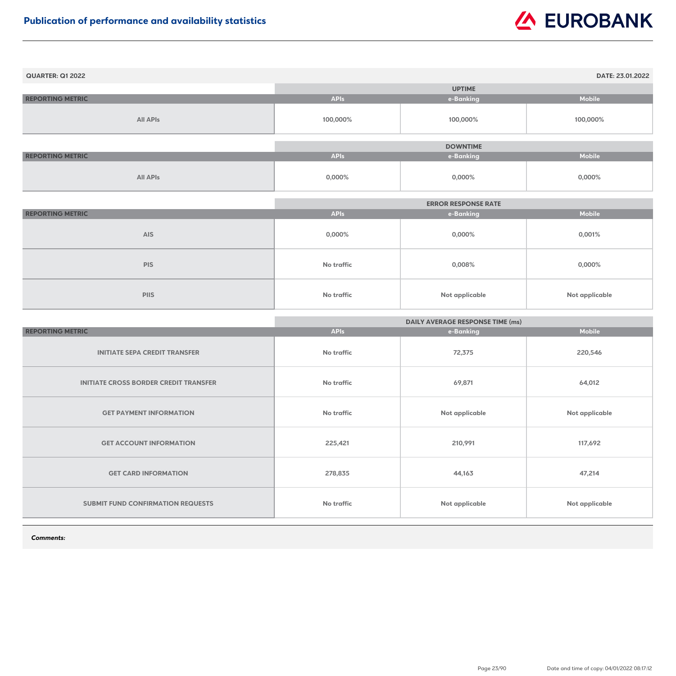| <b>QUARTER: Q1 2022</b> |             |                 | DATE: 23.01.2022 |
|-------------------------|-------------|-----------------|------------------|
|                         |             | <b>UPTIME</b>   |                  |
| <b>REPORTING METRIC</b> | <b>APIs</b> | e-Banking       | <b>Mobile</b>    |
| <b>All APIs</b>         | 100,000%    | 100,000%        | 100,000%         |
|                         |             |                 |                  |
|                         |             | <b>DOWNTIME</b> |                  |
| <b>REPORTING METRIC</b> | <b>APIs</b> | e-Banking       | <b>Mobile</b>    |
| <b>All APIs</b>         | $0,000\%$   | $0,000\%$       | $0,000\%$        |

|                         |                   | <b>ERROR RESPONSE RATE</b> |                |
|-------------------------|-------------------|----------------------------|----------------|
| <b>REPORTING METRIC</b> | <b>APIs</b>       | e-Banking                  | <b>Mobile</b>  |
| <b>AIS</b>              | $0,000\%$         | $0,000\%$                  | 0,001%         |
| <b>PIS</b>              | <b>No traffic</b> | 0,008%                     | $0,000\%$      |
| <b>PIIS</b>             | No traffic        | <b>Not applicable</b>      | Not applicable |

|                                              | <b>DAILY AVERAGE RESPONSE TIME (ms)</b> |                |                       |
|----------------------------------------------|-----------------------------------------|----------------|-----------------------|
| <b>REPORTING METRIC</b>                      | <b>APIs</b>                             | e-Banking      | <b>Mobile</b>         |
| <b>INITIATE SEPA CREDIT TRANSFER</b>         | No traffic                              | 72,375         | 220,546               |
| <b>INITIATE CROSS BORDER CREDIT TRANSFER</b> | <b>No traffic</b>                       | 69,871         | 64,012                |
| <b>GET PAYMENT INFORMATION</b>               | <b>No traffic</b>                       | Not applicable | <b>Not applicable</b> |
| <b>GET ACCOUNT INFORMATION</b>               | 225,421                                 | 210,991        | 117,692               |
| <b>GET CARD INFORMATION</b>                  | 278,835                                 | 44,163         | 47,214                |
| SUBMIT FUND CONFIRMATION REQUESTS            | <b>No traffic</b>                       | Not applicable | Not applicable        |

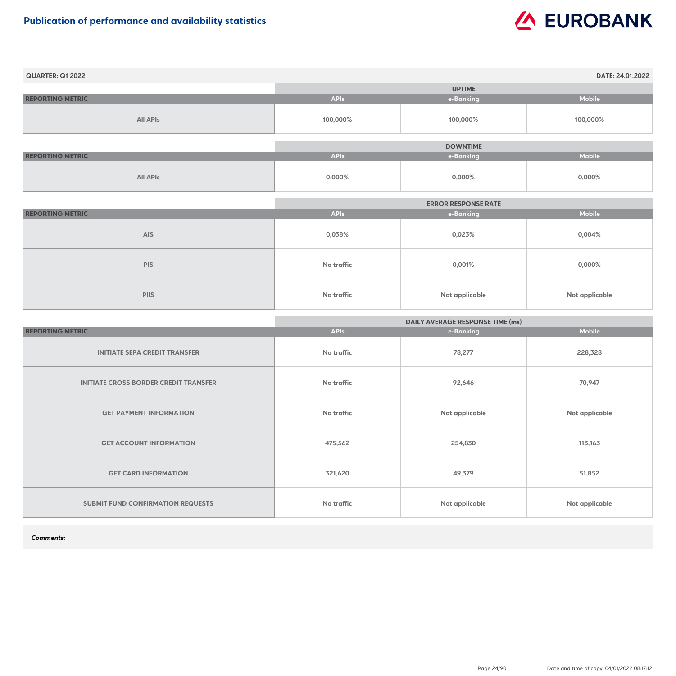| <b>QUARTER: Q1 2022</b> |             |                 | DATE: 24.01.2022 |
|-------------------------|-------------|-----------------|------------------|
|                         |             | <b>UPTIME</b>   |                  |
| <b>REPORTING METRIC</b> | <b>APIs</b> | e-Banking       | <b>Mobile</b>    |
| <b>All APIs</b>         | 100,000%    | 100,000%        | 100,000%         |
|                         |             |                 |                  |
|                         |             | <b>DOWNTIME</b> |                  |
| <b>REPORTING METRIC</b> | <b>APIs</b> | e-Banking       | <b>Mobile</b>    |
| <b>All APIs</b>         | $0,000\%$   | $0,000\%$       | $0,000\%$        |

|                         |                   | <b>ERROR RESPONSE RATE</b> |                |
|-------------------------|-------------------|----------------------------|----------------|
| <b>REPORTING METRIC</b> | <b>APIs</b>       | e-Banking                  | <b>Mobile</b>  |
| <b>AIS</b>              | 0,038%            | 0,023%                     | $0,004\%$      |
| <b>PIS</b>              | <b>No traffic</b> | 0,001%                     | $0,000\%$      |
| <b>PIIS</b>             | No traffic        | <b>Not applicable</b>      | Not applicable |

|                                              | <b>DAILY AVERAGE RESPONSE TIME (ms)</b> |                |                       |
|----------------------------------------------|-----------------------------------------|----------------|-----------------------|
| <b>REPORTING METRIC</b>                      | <b>APIs</b>                             | e-Banking      | <b>Mobile</b>         |
| <b>INITIATE SEPA CREDIT TRANSFER</b>         | No traffic                              | 78,277         | 228,328               |
| <b>INITIATE CROSS BORDER CREDIT TRANSFER</b> | <b>No traffic</b>                       | 92,646         | 70,947                |
| <b>GET PAYMENT INFORMATION</b>               | <b>No traffic</b>                       | Not applicable | <b>Not applicable</b> |
| <b>GET ACCOUNT INFORMATION</b>               | 475,562                                 | 254,830        | 113,163               |
| <b>GET CARD INFORMATION</b>                  | 321,620                                 | 49,379         | 51,852                |
| SUBMIT FUND CONFIRMATION REQUESTS            | <b>No traffic</b>                       | Not applicable | Not applicable        |

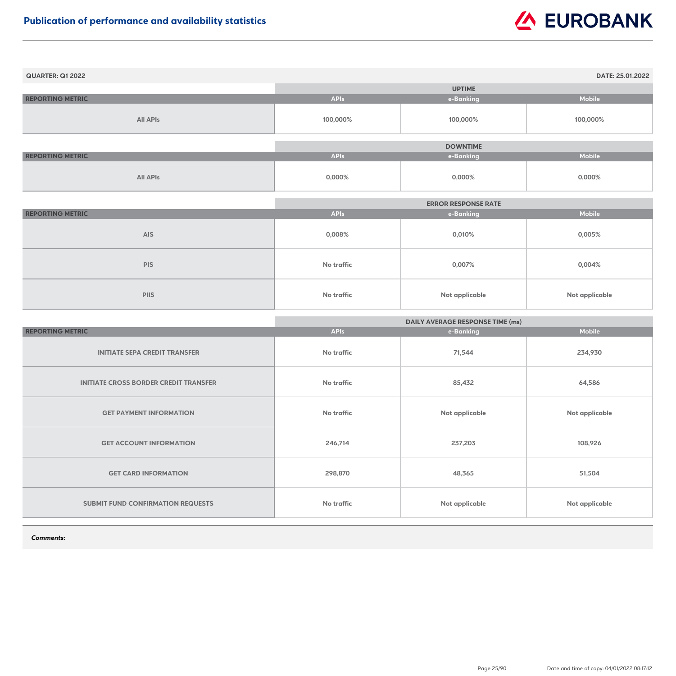| <b>QUARTER: Q1 2022</b> |             |                 | DATE: 25.01.2022 |
|-------------------------|-------------|-----------------|------------------|
|                         |             | <b>UPTIME</b>   |                  |
| <b>REPORTING METRIC</b> | <b>APIs</b> | e-Banking       | <b>Mobile</b>    |
| <b>All APIs</b>         | 100,000%    | 100,000%        | 100,000%         |
|                         |             |                 |                  |
|                         |             | <b>DOWNTIME</b> |                  |
| <b>REPORTING METRIC</b> | <b>APIs</b> | e-Banking       | <b>Mobile</b>    |
| <b>All APIs</b>         | $0,000\%$   | $0,000\%$       | $0,000\%$        |

|                         | <b>ERROR RESPONSE RATE</b> |                       |                |
|-------------------------|----------------------------|-----------------------|----------------|
| <b>REPORTING METRIC</b> | <b>APIs</b>                | e-Banking             | <b>Mobile</b>  |
| <b>AIS</b>              | $0,008\%$                  | 0,010%                | $0,005\%$      |
| <b>PIS</b>              | No traffic                 | 0,007%                | 0,004%         |
| <b>PIIS</b>             | No traffic                 | <b>Not applicable</b> | Not applicable |

|                                              | <b>DAILY AVERAGE RESPONSE TIME (ms)</b> |                       |                |
|----------------------------------------------|-----------------------------------------|-----------------------|----------------|
| <b>REPORTING METRIC</b>                      | <b>APIs</b>                             | e-Banking             | <b>Mobile</b>  |
| <b>INITIATE SEPA CREDIT TRANSFER</b>         | <b>No traffic</b>                       | 71,544                | 234,930        |
| <b>INITIATE CROSS BORDER CREDIT TRANSFER</b> | <b>No traffic</b>                       | 85,432                | 64,586         |
| <b>GET PAYMENT INFORMATION</b>               | <b>No traffic</b>                       | <b>Not applicable</b> | Not applicable |
| <b>GET ACCOUNT INFORMATION</b>               | 246,714                                 | 237,203               | 108,926        |
| <b>GET CARD INFORMATION</b>                  | 298,870                                 | 48,365                | 51,504         |
| SUBMIT FUND CONFIRMATION REQUESTS            | <b>No traffic</b>                       | Not applicable        | Not applicable |

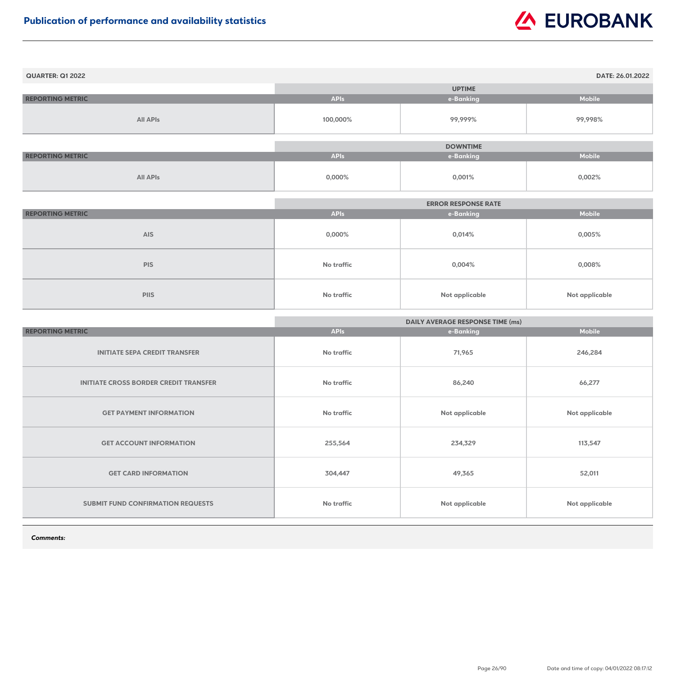| <b>QUARTER: Q1 2022</b> |             |                 | DATE: 26.01.2022 |
|-------------------------|-------------|-----------------|------------------|
|                         |             | <b>UPTIME</b>   |                  |
| <b>REPORTING METRIC</b> | <b>APIs</b> | e-Banking       | <b>Mobile</b>    |
| <b>All APIs</b>         | 100,000%    | 99,999%         | 99,998%          |
|                         |             | <b>DOWNTIME</b> |                  |
|                         |             |                 |                  |
| <b>REPORTING METRIC</b> | <b>APIs</b> | e-Banking       | <b>Mobile</b>    |
| <b>All APIs</b>         | 0,000%      | 0,001%          | 0,002%           |

|                         | <b>ERROR RESPONSE RATE</b> |                       |                       |
|-------------------------|----------------------------|-----------------------|-----------------------|
| <b>REPORTING METRIC</b> | <b>APIs</b>                | e-Banking             | <b>Mobile</b>         |
| <b>AIS</b>              | 0,000%                     | 0,014%                | 0,005%                |
| <b>PIS</b>              | No traffic                 | $0,004\%$             | 0,008%                |
| <b>PIIS</b>             | No traffic                 | <b>Not applicable</b> | <b>Not applicable</b> |

|                                              | <b>DAILY AVERAGE RESPONSE TIME (ms)</b> |                |                       |
|----------------------------------------------|-----------------------------------------|----------------|-----------------------|
| <b>REPORTING METRIC</b>                      | <b>APIs</b>                             | e-Banking      | <b>Mobile</b>         |
| <b>INITIATE SEPA CREDIT TRANSFER</b>         | <b>No traffic</b>                       | 71,965         | 246,284               |
| <b>INITIATE CROSS BORDER CREDIT TRANSFER</b> | <b>No traffic</b>                       | 86,240         | 66,277                |
| <b>GET PAYMENT INFORMATION</b>               | No traffic                              | Not applicable | <b>Not applicable</b> |
| <b>GET ACCOUNT INFORMATION</b>               | 255,564                                 | 234,329        | 113,547               |
| <b>GET CARD INFORMATION</b>                  | 304,447                                 | 49,365         | 52,011                |
| <b>SUBMIT FUND CONFIRMATION REQUESTS</b>     | <b>No traffic</b>                       | Not applicable | <b>Not applicable</b> |

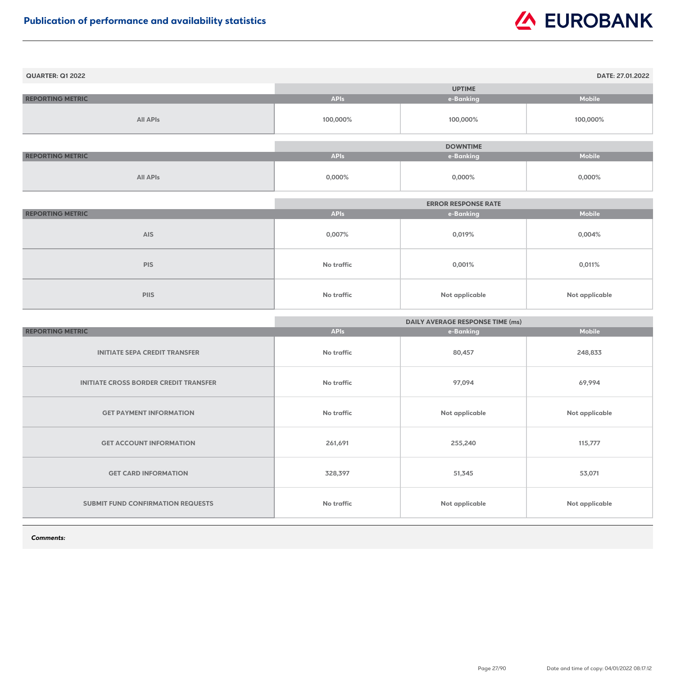| <b>QUARTER: Q1 2022</b> |             |                 | DATE: 27.01.2022 |
|-------------------------|-------------|-----------------|------------------|
|                         |             | <b>UPTIME</b>   |                  |
| <b>REPORTING METRIC</b> | <b>APIs</b> | e-Banking       | <b>Mobile</b>    |
| <b>All APIs</b>         | 100,000%    | 100,000%        | 100,000%         |
|                         |             |                 |                  |
|                         |             | <b>DOWNTIME</b> |                  |
| <b>REPORTING METRIC</b> | <b>APIs</b> | e-Banking       | <b>Mobile</b>    |
| <b>All APIs</b>         | $0,000\%$   | $0,000\%$       | 0,000%           |

|                         | <b>ERROR RESPONSE RATE</b> |                       |                       |
|-------------------------|----------------------------|-----------------------|-----------------------|
| <b>REPORTING METRIC</b> | <b>APIs</b>                | e-Banking             | <b>Mobile</b>         |
| <b>AIS</b>              | 0,007%                     | 0,019%                | $0,004\%$             |
| <b>PIS</b>              | <b>No traffic</b>          | 0,001%                | 0,011%                |
| <b>PIIS</b>             | <b>No traffic</b>          | <b>Not applicable</b> | <b>Not applicable</b> |

|                                              | <b>DAILY AVERAGE RESPONSE TIME (ms)</b> |                       |                       |
|----------------------------------------------|-----------------------------------------|-----------------------|-----------------------|
| <b>REPORTING METRIC</b>                      | <b>APIs</b>                             | e-Banking             | <b>Mobile</b>         |
| <b>INITIATE SEPA CREDIT TRANSFER</b>         | <b>No traffic</b>                       | 80,457                | 248,833               |
| <b>INITIATE CROSS BORDER CREDIT TRANSFER</b> | No traffic                              | 97,094                | 69,994                |
| <b>GET PAYMENT INFORMATION</b>               | <b>No traffic</b>                       | <b>Not applicable</b> | Not applicable        |
| <b>GET ACCOUNT INFORMATION</b>               | 261,691                                 | 255,240               | 115,777               |
| <b>GET CARD INFORMATION</b>                  | 328,397                                 | 51,345                | 53,071                |
| SUBMIT FUND CONFIRMATION REQUESTS            | <b>No traffic</b>                       | <b>Not applicable</b> | <b>Not applicable</b> |

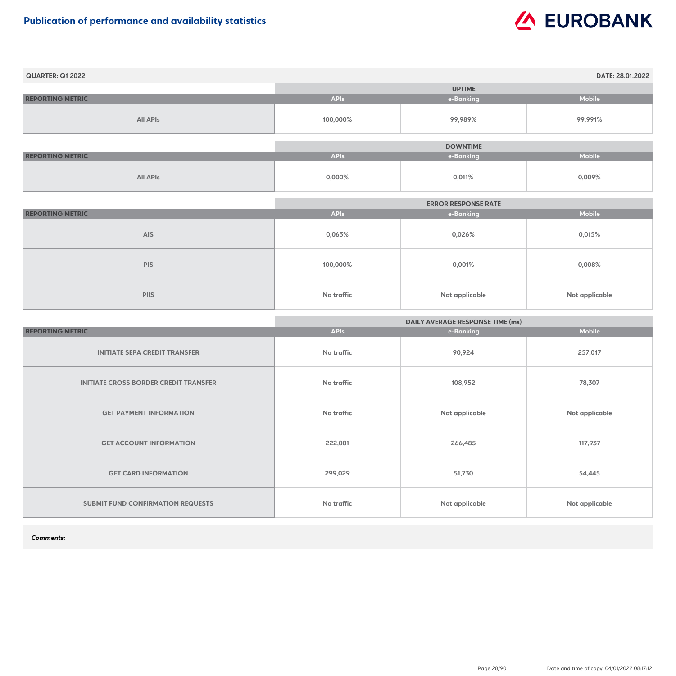| <b>QUARTER: Q1 2022</b> |             |                 | DATE: 28.01.2022 |
|-------------------------|-------------|-----------------|------------------|
|                         |             | <b>UPTIME</b>   |                  |
| <b>REPORTING METRIC</b> | <b>APIs</b> | e-Banking       | <b>Mobile</b>    |
| <b>All APIs</b>         | 100,000%    | 99,989%         | 99,991%          |
|                         |             | <b>DOWNTIME</b> |                  |
| <b>REPORTING METRIC</b> | <b>APIs</b> | e-Banking       | <b>Mobile</b>    |
| <b>All APIs</b>         | 0,000%      | 0,011%          | 0,009%           |

|                         | <b>ERROR RESPONSE RATE</b> |                       |                       |
|-------------------------|----------------------------|-----------------------|-----------------------|
| <b>REPORTING METRIC</b> | <b>APIs</b>                | e-Banking             | <b>Mobile</b>         |
| <b>AIS</b>              | 0,063%                     | 0,026%                | 0,015%                |
| <b>PIS</b>              | 100,000%                   | 0,001%                | 0,008%                |
| <b>PIIS</b>             | <b>No traffic</b>          | <b>Not applicable</b> | <b>Not applicable</b> |

|                                              | <b>DAILY AVERAGE RESPONSE TIME (ms)</b> |                       |                       |
|----------------------------------------------|-----------------------------------------|-----------------------|-----------------------|
| <b>REPORTING METRIC</b>                      | <b>APIs</b>                             | e-Banking             | <b>Mobile</b>         |
| <b>INITIATE SEPA CREDIT TRANSFER</b>         | <b>No traffic</b>                       | 90,924                | 257,017               |
| <b>INITIATE CROSS BORDER CREDIT TRANSFER</b> | <b>No traffic</b>                       | 108,952               | 78,307                |
| <b>GET PAYMENT INFORMATION</b>               | <b>No traffic</b>                       | Not applicable        | <b>Not applicable</b> |
| <b>GET ACCOUNT INFORMATION</b>               | 222,081                                 | 266,485               | 117,937               |
| <b>GET CARD INFORMATION</b>                  | 299,029                                 | 51,730                | 54,445                |
| SUBMIT FUND CONFIRMATION REQUESTS            | <b>No traffic</b>                       | <b>Not applicable</b> | <b>Not applicable</b> |

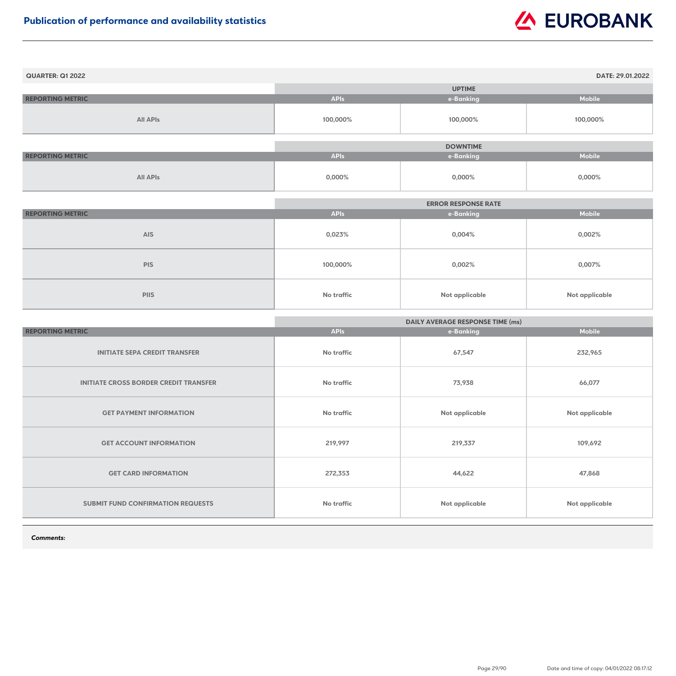| <b>QUARTER: Q1 2022</b> |             |                 | DATE: 29.01.2022 |
|-------------------------|-------------|-----------------|------------------|
|                         |             | <b>UPTIME</b>   |                  |
| <b>REPORTING METRIC</b> | <b>APIs</b> | e-Banking       | <b>Mobile</b>    |
| <b>All APIs</b>         | 100,000%    | 100,000%        | 100,000%         |
|                         |             |                 |                  |
|                         |             | <b>DOWNTIME</b> |                  |
| <b>REPORTING METRIC</b> | <b>APIs</b> | e-Banking       | <b>Mobile</b>    |
| <b>All APIs</b>         | 0,000%      | 0,000%          | 0,000%           |

|                         |             | <b>ERROR RESPONSE RATE</b> |                |
|-------------------------|-------------|----------------------------|----------------|
| <b>REPORTING METRIC</b> | <b>APIs</b> | e-Banking                  | <b>Mobile</b>  |
| <b>AIS</b>              | 0,023%      | $0,004\%$                  | 0,002%         |
| <b>PIS</b>              | 100,000%    | 0,002%                     | 0,007%         |
| <b>PIIS</b>             | No traffic  | <b>Not applicable</b>      | Not applicable |

|                                              | <b>DAILY AVERAGE RESPONSE TIME (ms)</b> |                       |                       |
|----------------------------------------------|-----------------------------------------|-----------------------|-----------------------|
| <b>REPORTING METRIC</b>                      | <b>APIs</b>                             | e-Banking             | <b>Mobile</b>         |
| <b>INITIATE SEPA CREDIT TRANSFER</b>         | No traffic                              | 67,547                | 232,965               |
| <b>INITIATE CROSS BORDER CREDIT TRANSFER</b> | <b>No traffic</b>                       | 73,938                | 66,077                |
| <b>GET PAYMENT INFORMATION</b>               | No traffic                              | Not applicable        | <b>Not applicable</b> |
| <b>GET ACCOUNT INFORMATION</b>               | 219,997                                 | 219,337               | 109,692               |
| <b>GET CARD INFORMATION</b>                  | 272,353                                 | 44,622                | 47,868                |
| <b>SUBMIT FUND CONFIRMATION REQUESTS</b>     | <b>No traffic</b>                       | <b>Not applicable</b> | <b>Not applicable</b> |

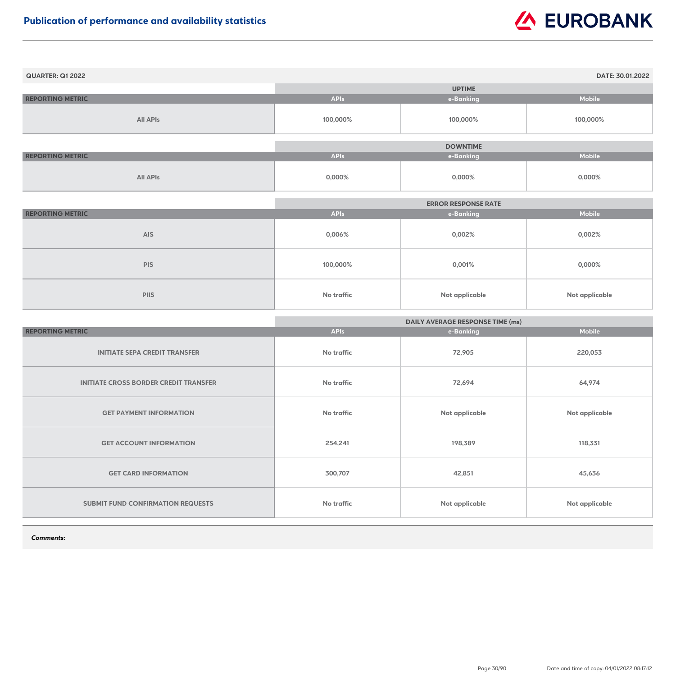| <b>QUARTER: Q1 2022</b> |             |                 | DATE: 30.01.2022 |
|-------------------------|-------------|-----------------|------------------|
|                         |             | <b>UPTIME</b>   |                  |
| <b>REPORTING METRIC</b> | <b>APIs</b> | e-Banking       | <b>Mobile</b>    |
| <b>All APIs</b>         | 100,000%    | 100,000%        | 100,000%         |
|                         |             |                 |                  |
|                         |             | <b>DOWNTIME</b> |                  |
| <b>REPORTING METRIC</b> | <b>APIs</b> | e-Banking       | <b>Mobile</b>    |
| <b>All APIs</b>         | 0,000%      | 0,000%          | $0,000\%$        |

|                         | <b>ERROR RESPONSE RATE</b> |                       |                       |
|-------------------------|----------------------------|-----------------------|-----------------------|
| <b>REPORTING METRIC</b> | <b>APIs</b>                | e-Banking             | <b>Mobile</b>         |
| <b>AIS</b>              | 0,006%                     | 0,002%                | 0,002%                |
| <b>PIS</b>              | 100,000%                   | 0,001%                | 0,000%                |
| <b>PIIS</b>             | <b>No traffic</b>          | <b>Not applicable</b> | <b>Not applicable</b> |

|                                              | <b>DAILY AVERAGE RESPONSE TIME (ms)</b> |                       |                       |
|----------------------------------------------|-----------------------------------------|-----------------------|-----------------------|
| <b>REPORTING METRIC</b>                      | <b>APIs</b>                             | e-Banking             | <b>Mobile</b>         |
| <b>INITIATE SEPA CREDIT TRANSFER</b>         | No traffic                              | 72,905                | 220,053               |
| <b>INITIATE CROSS BORDER CREDIT TRANSFER</b> | <b>No traffic</b>                       | 72,694                | 64,974                |
| <b>GET PAYMENT INFORMATION</b>               | No traffic                              | Not applicable        | <b>Not applicable</b> |
| <b>GET ACCOUNT INFORMATION</b>               | 254,241                                 | 198,389               | 118,331               |
| <b>GET CARD INFORMATION</b>                  | 300,707                                 | 42,851                | 45,636                |
| <b>SUBMIT FUND CONFIRMATION REQUESTS</b>     | <b>No traffic</b>                       | <b>Not applicable</b> | <b>Not applicable</b> |

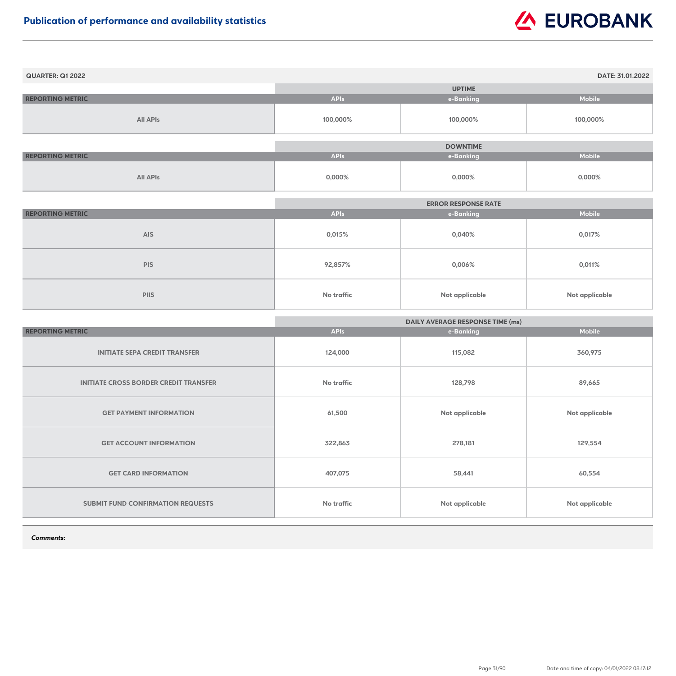| <b>QUARTER: Q1 2022</b> |             |                 | DATE: 31.01.2022 |
|-------------------------|-------------|-----------------|------------------|
|                         |             | <b>UPTIME</b>   |                  |
| <b>REPORTING METRIC</b> | <b>APIs</b> | e-Banking       | <b>Mobile</b>    |
| <b>All APIs</b>         | 100,000%    | 100,000%        | 100,000%         |
|                         |             |                 |                  |
|                         |             | <b>DOWNTIME</b> |                  |
| <b>REPORTING METRIC</b> | <b>APIs</b> | e-Banking       | <b>Mobile</b>    |
| <b>All APIs</b>         | 0,000%      | $0,000\%$       | $0,000\%$        |

|                         | <b>ERROR RESPONSE RATE</b> |                       |                |
|-------------------------|----------------------------|-----------------------|----------------|
| <b>REPORTING METRIC</b> | <b>APIs</b>                | e-Banking             | <b>Mobile</b>  |
| <b>AIS</b>              | 0,015%                     | 0,040%                | 0,017%         |
| <b>PIS</b>              | 92,857%                    | $0,006\%$             | 0,011%         |
| <b>PIIS</b>             | No traffic                 | <b>Not applicable</b> | Not applicable |

|                                              | <b>DAILY AVERAGE RESPONSE TIME (ms)</b> |                |                       |
|----------------------------------------------|-----------------------------------------|----------------|-----------------------|
| <b>REPORTING METRIC</b>                      | <b>APIs</b>                             | e-Banking      | <b>Mobile</b>         |
| <b>INITIATE SEPA CREDIT TRANSFER</b>         | 124,000                                 | 115,082        | 360,975               |
| <b>INITIATE CROSS BORDER CREDIT TRANSFER</b> | <b>No traffic</b>                       | 128,798        | 89,665                |
| <b>GET PAYMENT INFORMATION</b>               | 61,500                                  | Not applicable | <b>Not applicable</b> |
| <b>GET ACCOUNT INFORMATION</b>               | 322,863                                 | 278,181        | 129,554               |
| <b>GET CARD INFORMATION</b>                  | 407,075                                 | 58,441         | 60,554                |
| SUBMIT FUND CONFIRMATION REQUESTS            | <b>No traffic</b>                       | Not applicable | <b>Not applicable</b> |

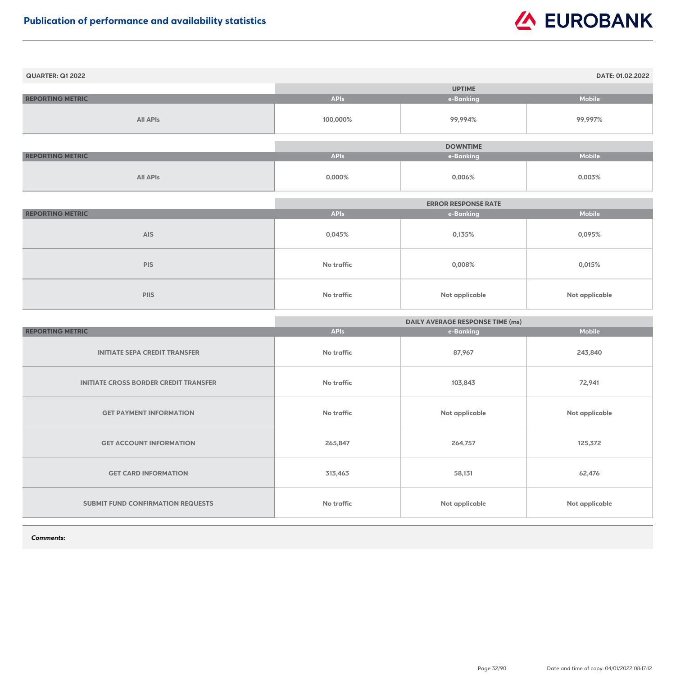| <b>QUARTER: Q1 2022</b> |             |                 | DATE: 01.02.2022 |
|-------------------------|-------------|-----------------|------------------|
|                         |             | <b>UPTIME</b>   |                  |
| <b>REPORTING METRIC</b> | <b>APIs</b> | e-Banking       | <b>Mobile</b>    |
| <b>All APIs</b>         | 100,000%    | 99,994%         | 99,997%          |
|                         |             |                 |                  |
|                         |             | <b>DOWNTIME</b> |                  |
| <b>REPORTING METRIC</b> | <b>APIs</b> | e-Banking       | <b>Mobile</b>    |
| <b>All APIs</b>         | 0,000%      | $0,006\%$       | 0,003%           |

|                         | <b>ERROR RESPONSE RATE</b> |                       |                |
|-------------------------|----------------------------|-----------------------|----------------|
| <b>REPORTING METRIC</b> | <b>APIs</b>                | e-Banking             | <b>Mobile</b>  |
| <b>AIS</b>              | 0,045%                     | 0,135%                | 0,095%         |
| <b>PIS</b>              | No traffic                 | 0,008%                | 0,015%         |
| <b>PIIS</b>             | No traffic                 | <b>Not applicable</b> | Not applicable |

|                                              | <b>DAILY AVERAGE RESPONSE TIME (ms)</b> |                       |                       |
|----------------------------------------------|-----------------------------------------|-----------------------|-----------------------|
| <b>REPORTING METRIC</b>                      | <b>APIs</b>                             | e-Banking             | <b>Mobile</b>         |
| <b>INITIATE SEPA CREDIT TRANSFER</b>         | No traffic                              | 87,967                | 243,840               |
| <b>INITIATE CROSS BORDER CREDIT TRANSFER</b> | No traffic                              | 103,843               | 72,941                |
| <b>GET PAYMENT INFORMATION</b>               | No traffic                              | Not applicable        | <b>Not applicable</b> |
| <b>GET ACCOUNT INFORMATION</b>               | 265,847                                 | 264,757               | 125,372               |
| <b>GET CARD INFORMATION</b>                  | 313,463                                 | 58,131                | 62,476                |
| <b>SUBMIT FUND CONFIRMATION REQUESTS</b>     | No traffic                              | <b>Not applicable</b> | <b>Not applicable</b> |

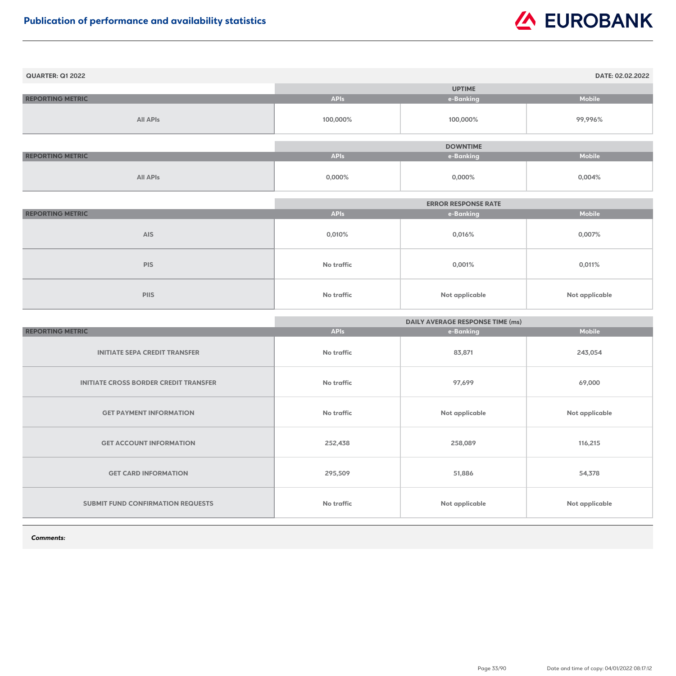| <b>QUARTER: Q1 2022</b> |             |                 | DATE: 02.02.2022 |
|-------------------------|-------------|-----------------|------------------|
|                         |             | <b>UPTIME</b>   |                  |
| <b>REPORTING METRIC</b> | <b>APIs</b> | e-Banking       | <b>Mobile</b>    |
| <b>All APIs</b>         | 100,000%    | 100,000%        | 99,996%          |
|                         |             | <b>DOWNTIME</b> |                  |
| <b>REPORTING METRIC</b> | <b>APIs</b> | e-Banking       | <b>Mobile</b>    |
| <b>All APIs</b>         | $0,000\%$   | $0,000\%$       | $0,004\%$        |

|                         |                   | <b>ERROR RESPONSE RATE</b> |                       |
|-------------------------|-------------------|----------------------------|-----------------------|
| <b>REPORTING METRIC</b> | <b>APIs</b>       | e-Banking                  | <b>Mobile</b>         |
| <b>AIS</b>              | 0,010%            | 0,016%                     | 0,007%                |
| <b>PIS</b>              | <b>No traffic</b> | 0,001%                     | 0,011%                |
| <b>PIIS</b>             | <b>No traffic</b> | <b>Not applicable</b>      | <b>Not applicable</b> |

|                                              | <b>DAILY AVERAGE RESPONSE TIME (ms)</b> |                       |                       |
|----------------------------------------------|-----------------------------------------|-----------------------|-----------------------|
| <b>REPORTING METRIC</b>                      | <b>APIs</b>                             | e-Banking             | <b>Mobile</b>         |
| <b>INITIATE SEPA CREDIT TRANSFER</b>         | No traffic                              | 83,871                | 243,054               |
| <b>INITIATE CROSS BORDER CREDIT TRANSFER</b> | No traffic                              | 97,699                | 69,000                |
| <b>GET PAYMENT INFORMATION</b>               | No traffic                              | Not applicable        | <b>Not applicable</b> |
| <b>GET ACCOUNT INFORMATION</b>               | 252,438                                 | 258,089               | 116,215               |
| <b>GET CARD INFORMATION</b>                  | 295,509                                 | 51,886                | 54,378                |
| <b>SUBMIT FUND CONFIRMATION REQUESTS</b>     | No traffic                              | <b>Not applicable</b> | <b>Not applicable</b> |

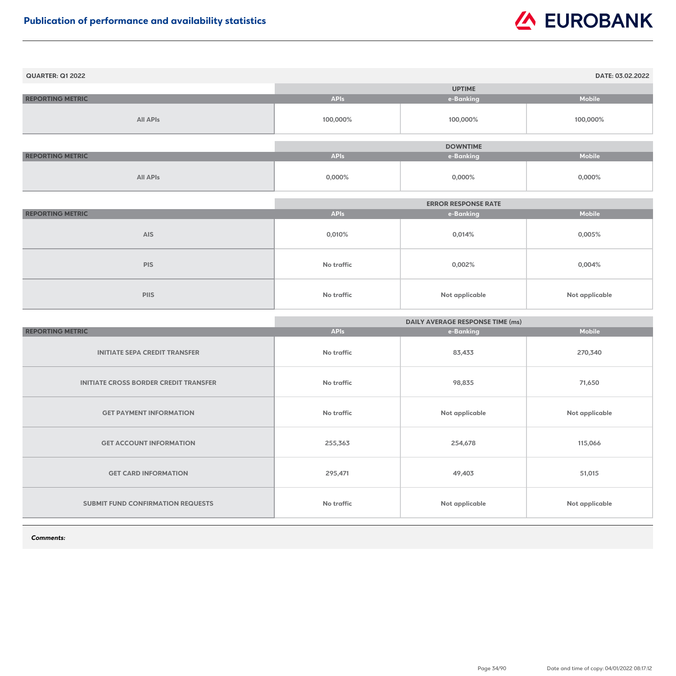| <b>QUARTER: Q1 2022</b> |             |                 | DATE: 03.02.2022 |
|-------------------------|-------------|-----------------|------------------|
|                         |             | <b>UPTIME</b>   |                  |
| <b>REPORTING METRIC</b> | <b>APIs</b> | e-Banking       | <b>Mobile</b>    |
| <b>All APIs</b>         | 100,000%    | 100,000%        | 100,000%         |
|                         |             |                 |                  |
|                         |             | <b>DOWNTIME</b> |                  |
| <b>REPORTING METRIC</b> | <b>APIs</b> | e-Banking       | <b>Mobile</b>    |
| <b>All APIs</b>         | $0,000\%$   | $0,000\%$       | $0,000\%$        |

|                         | <b>ERROR RESPONSE RATE</b> |                |                       |
|-------------------------|----------------------------|----------------|-----------------------|
| <b>REPORTING METRIC</b> | <b>APIs</b>                | e-Banking      | <b>Mobile</b>         |
| <b>AIS</b>              | 0,010%                     | 0,014%         | $0,005\%$             |
| <b>PIS</b>              | No traffic                 | 0,002%         | $0,004\%$             |
| <b>PIIS</b>             | No traffic                 | Not applicable | <b>Not applicable</b> |

|                                              | <b>DAILY AVERAGE RESPONSE TIME (ms)</b> |                       |                       |
|----------------------------------------------|-----------------------------------------|-----------------------|-----------------------|
| <b>REPORTING METRIC</b>                      | <b>APIs</b>                             | e-Banking             | <b>Mobile</b>         |
| <b>INITIATE SEPA CREDIT TRANSFER</b>         | No traffic                              | 83,433                | 270,340               |
| <b>INITIATE CROSS BORDER CREDIT TRANSFER</b> | No traffic                              | 98,835                | 71,650                |
| <b>GET PAYMENT INFORMATION</b>               | No traffic                              | Not applicable        | <b>Not applicable</b> |
| <b>GET ACCOUNT INFORMATION</b>               | 255,363                                 | 254,678               | 115,066               |
| <b>GET CARD INFORMATION</b>                  | 295,471                                 | 49,403                | 51,015                |
| <b>SUBMIT FUND CONFIRMATION REQUESTS</b>     | No traffic                              | <b>Not applicable</b> | <b>Not applicable</b> |

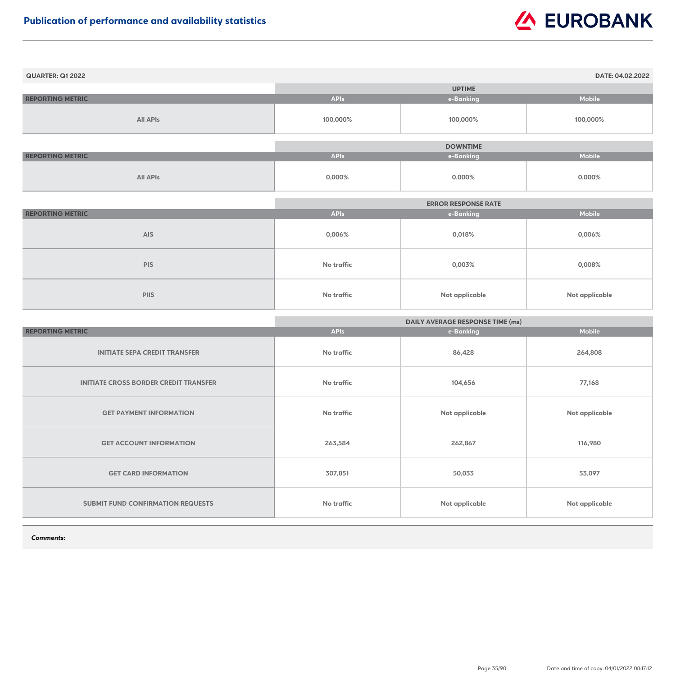| <b>QUARTER: Q1 2022</b> |             |                 | DATE: 04.02.2022 |
|-------------------------|-------------|-----------------|------------------|
|                         |             | <b>UPTIME</b>   |                  |
| <b>REPORTING METRIC</b> | <b>APIs</b> | e-Banking       | <b>Mobile</b>    |
| <b>All APIs</b>         | 100,000%    | 100,000%        | 100,000%         |
|                         |             |                 |                  |
|                         |             | <b>DOWNTIME</b> |                  |
| <b>REPORTING METRIC</b> | <b>APIs</b> | e-Banking       | <b>Mobile</b>    |
| <b>All APIs</b>         | 0,000%      | $0,000\%$       | $0,000\%$        |

|                         | <b>ERROR RESPONSE RATE</b> |                |                       |
|-------------------------|----------------------------|----------------|-----------------------|
| <b>REPORTING METRIC</b> | <b>APIs</b>                | e-Banking      | <b>Mobile</b>         |
| <b>AIS</b>              | $0,006\%$                  | 0,018%         | $0,006\%$             |
| <b>PIS</b>              | No traffic                 | 0,003%         | $0,008\%$             |
| <b>PIIS</b>             | No traffic                 | Not applicable | <b>Not applicable</b> |

|                                              | <b>DAILY AVERAGE RESPONSE TIME (ms)</b> |                       |                       |
|----------------------------------------------|-----------------------------------------|-----------------------|-----------------------|
| <b>REPORTING METRIC</b>                      | <b>APIs</b>                             | e-Banking             | <b>Mobile</b>         |
| <b>INITIATE SEPA CREDIT TRANSFER</b>         | No traffic                              | 86,428                | 264,808               |
| <b>INITIATE CROSS BORDER CREDIT TRANSFER</b> | No traffic                              | 104,656               | 77,168                |
| <b>GET PAYMENT INFORMATION</b>               | No traffic                              | <b>Not applicable</b> | Not applicable        |
| <b>GET ACCOUNT INFORMATION</b>               | 263,584                                 | 262,867               | 116,980               |
| <b>GET CARD INFORMATION</b>                  | 307,851                                 | 50,033                | 53,097                |
| <b>SUBMIT FUND CONFIRMATION REQUESTS</b>     | No traffic                              | <b>Not applicable</b> | <b>Not applicable</b> |

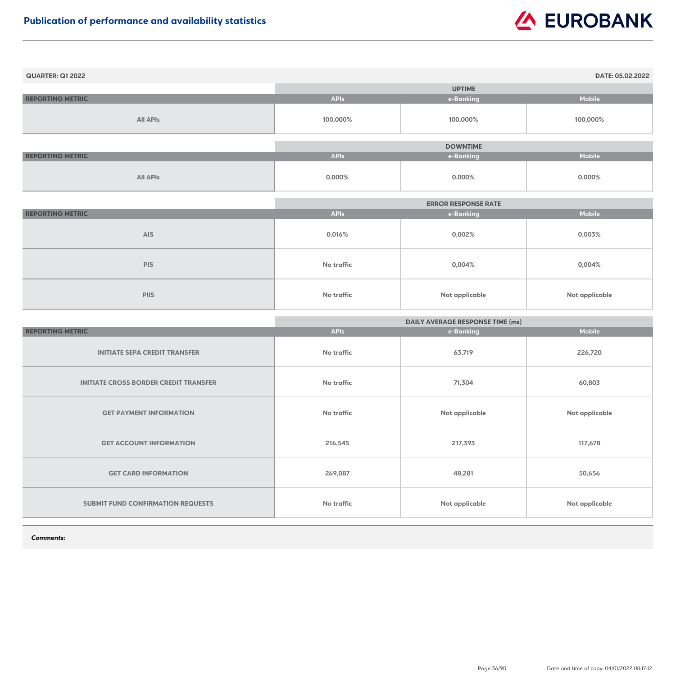| <b>QUARTER: Q1 2022</b> |             |                 | DATE: 05.02.2022 |
|-------------------------|-------------|-----------------|------------------|
|                         |             | <b>UPTIME</b>   |                  |
| <b>REPORTING METRIC</b> | <b>APIs</b> | e-Banking       | <b>Mobile</b>    |
| <b>All APIs</b>         | 100,000%    | 100,000%        | 100,000%         |
|                         |             |                 |                  |
|                         |             | <b>DOWNTIME</b> |                  |
| <b>REPORTING METRIC</b> | <b>APIs</b> | e-Banking       | <b>Mobile</b>    |
| <b>All APIs</b>         | $0,000\%$   | $0,000\%$       | 0,000%           |

|                         |                   | <b>ERROR RESPONSE RATE</b> |                |
|-------------------------|-------------------|----------------------------|----------------|
| <b>REPORTING METRIC</b> | <b>APIs</b>       | e-Banking                  | <b>Mobile</b>  |
| <b>AIS</b>              | $0,016\%$         | 0,002%                     | 0,003%         |
| <b>PIS</b>              | <b>No traffic</b> | 0,004%                     | $0,004\%$      |
| <b>PIIS</b>             | No traffic        | Not applicable             | Not applicable |

|                                              | <b>DAILY AVERAGE RESPONSE TIME (ms)</b> |                       |                       |
|----------------------------------------------|-----------------------------------------|-----------------------|-----------------------|
| <b>REPORTING METRIC</b>                      | <b>APIs</b>                             | e-Banking             | <b>Mobile</b>         |
| <b>INITIATE SEPA CREDIT TRANSFER</b>         | No traffic                              | 63,719                | 226,720               |
| <b>INITIATE CROSS BORDER CREDIT TRANSFER</b> | No traffic                              | 71,304                | 60,803                |
| <b>GET PAYMENT INFORMATION</b>               | No traffic                              | Not applicable        | <b>Not applicable</b> |
| <b>GET ACCOUNT INFORMATION</b>               | 216,545                                 | 217,393               | 117,678               |
| <b>GET CARD INFORMATION</b>                  | 269,087                                 | 48,281                | 50,656                |
| <b>SUBMIT FUND CONFIRMATION REQUESTS</b>     | No traffic                              | <b>Not applicable</b> | <b>Not applicable</b> |

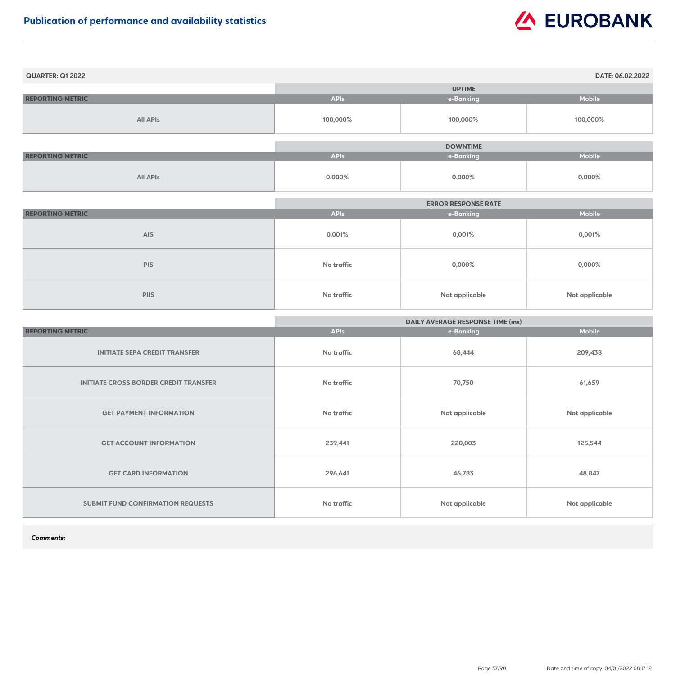| <b>QUARTER: Q1 2022</b> |             |                 | DATE: 06.02.2022 |
|-------------------------|-------------|-----------------|------------------|
|                         |             | <b>UPTIME</b>   |                  |
| <b>REPORTING METRIC</b> | <b>APIs</b> | e-Banking       | <b>Mobile</b>    |
| <b>All APIs</b>         | 100,000%    | 100,000%        | 100,000%         |
|                         |             |                 |                  |
|                         |             | <b>DOWNTIME</b> |                  |
| <b>REPORTING METRIC</b> | <b>APIs</b> | e-Banking       | <b>Mobile</b>    |
| <b>All APIs</b>         | 0,000%      | 0,000%          | $0,000\%$        |

|                         | <b>ERROR RESPONSE RATE</b> |                |                |
|-------------------------|----------------------------|----------------|----------------|
| <b>REPORTING METRIC</b> | <b>APIs</b>                | e-Banking      | <b>Mobile</b>  |
| <b>AIS</b>              | 0,001%                     | 0,001%         | 0,001%         |
| <b>PIS</b>              | No traffic                 | $0,000\%$      | $0,000\%$      |
| <b>PIIS</b>             | No traffic                 | Not applicable | Not applicable |

|                                              | <b>DAILY AVERAGE RESPONSE TIME (ms)</b> |                |                       |
|----------------------------------------------|-----------------------------------------|----------------|-----------------------|
| <b>REPORTING METRIC</b>                      | <b>APIs</b>                             | e-Banking      | <b>Mobile</b>         |
| <b>INITIATE SEPA CREDIT TRANSFER</b>         | No traffic                              | 68,444         | 209,438               |
| <b>INITIATE CROSS BORDER CREDIT TRANSFER</b> | No traffic                              | 70,750         | 61,659                |
| <b>GET PAYMENT INFORMATION</b>               | No traffic                              | Not applicable | <b>Not applicable</b> |
| <b>GET ACCOUNT INFORMATION</b>               | 239,441                                 | 220,003        | 125,544               |
| <b>GET CARD INFORMATION</b>                  | 296,641                                 | 46,783         | 48,847                |
| <b>SUBMIT FUND CONFIRMATION REQUESTS</b>     | No traffic                              | Not applicable | <b>Not applicable</b> |

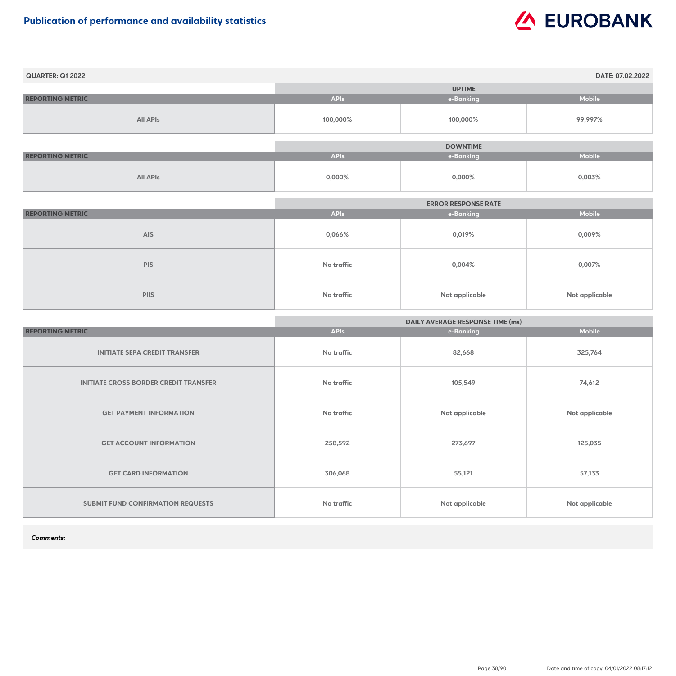| <b>QUARTER: Q1 2022</b> |             |                 | DATE: 07.02.2022 |
|-------------------------|-------------|-----------------|------------------|
|                         |             | <b>UPTIME</b>   |                  |
| <b>REPORTING METRIC</b> | <b>APIs</b> | e-Banking       | <b>Mobile</b>    |
| <b>All APIs</b>         | 100,000%    | 100,000%        | 99,997%          |
|                         |             |                 |                  |
|                         |             | <b>DOWNTIME</b> |                  |
| <b>REPORTING METRIC</b> | <b>APIs</b> | e-Banking       | <b>Mobile</b>    |
| <b>All APIs</b>         | $0,000\%$   | $0,000\%$       | 0,003%           |

|                         |             | <b>ERROR RESPONSE RATE</b> |                |
|-------------------------|-------------|----------------------------|----------------|
| <b>REPORTING METRIC</b> | <b>APIs</b> | e-Banking                  | <b>Mobile</b>  |
| <b>AIS</b>              | 0,066%      | 0,019%                     | 0,009%         |
| <b>PIS</b>              | No traffic  | 0,004%                     | 0,007%         |
| <b>PIIS</b>             | No traffic  | <b>Not applicable</b>      | Not applicable |

|                                              | <b>DAILY AVERAGE RESPONSE TIME (ms)</b> |                       |                       |
|----------------------------------------------|-----------------------------------------|-----------------------|-----------------------|
| <b>REPORTING METRIC</b>                      | <b>APIs</b>                             | e-Banking             | <b>Mobile</b>         |
| <b>INITIATE SEPA CREDIT TRANSFER</b>         | No traffic                              | 82,668                | 325,764               |
| <b>INITIATE CROSS BORDER CREDIT TRANSFER</b> | <b>No traffic</b>                       | 105,549               | 74,612                |
| <b>GET PAYMENT INFORMATION</b>               | No traffic                              | Not applicable        | <b>Not applicable</b> |
| <b>GET ACCOUNT INFORMATION</b>               | 258,592                                 | 273,697               | 125,035               |
| <b>GET CARD INFORMATION</b>                  | 306,068                                 | 55,121                | 57,133                |
| <b>SUBMIT FUND CONFIRMATION REQUESTS</b>     | <b>No traffic</b>                       | <b>Not applicable</b> | <b>Not applicable</b> |

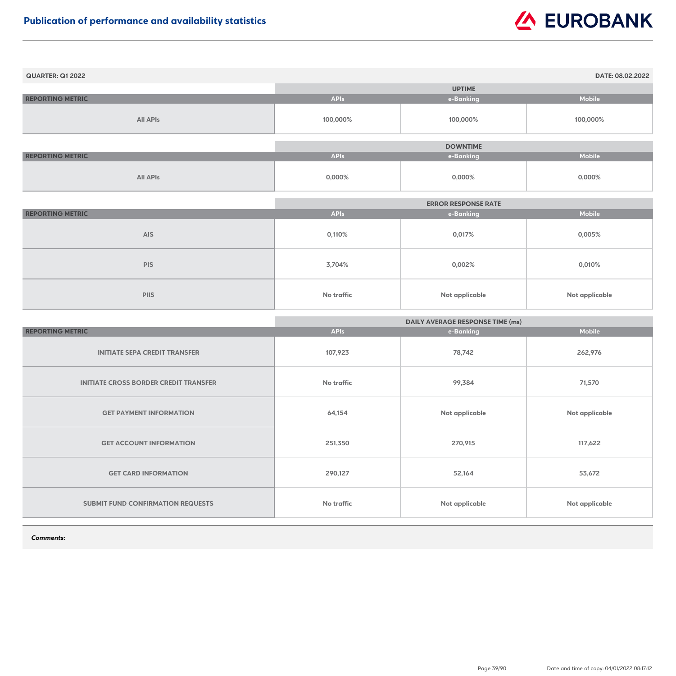| <b>QUARTER: Q1 2022</b> |             |                 | DATE: 08.02.2022 |
|-------------------------|-------------|-----------------|------------------|
|                         |             | <b>UPTIME</b>   |                  |
| <b>REPORTING METRIC</b> | <b>APIs</b> | e-Banking       | <b>Mobile</b>    |
| <b>All APIs</b>         | 100,000%    | 100,000%        | 100,000%         |
|                         |             | <b>DOWNTIME</b> |                  |
| <b>REPORTING METRIC</b> | <b>APIs</b> | e-Banking       | <b>Mobile</b>    |
| <b>All APIs</b>         | $0,000\%$   | $0,000\%$       | $0,000\%$        |

|                         |                   | <b>ERROR RESPONSE RATE</b> |                |
|-------------------------|-------------------|----------------------------|----------------|
| <b>REPORTING METRIC</b> | <b>APIs</b>       | e-Banking                  | <b>Mobile</b>  |
| <b>AIS</b>              | 0,110%            | 0,017%                     | 0,005%         |
| <b>PIS</b>              | 3,704%            | 0,002%                     | 0,010%         |
| <b>PIIS</b>             | <b>No traffic</b> | Not applicable             | Not applicable |

|                                              | <b>DAILY AVERAGE RESPONSE TIME (ms)</b> |                       |                       |
|----------------------------------------------|-----------------------------------------|-----------------------|-----------------------|
| <b>REPORTING METRIC</b>                      | <b>APIs</b>                             | e-Banking             | <b>Mobile</b>         |
| <b>INITIATE SEPA CREDIT TRANSFER</b>         | 107,923                                 | 78,742                | 262,976               |
| <b>INITIATE CROSS BORDER CREDIT TRANSFER</b> | <b>No traffic</b>                       | 99,384                | 71,570                |
| <b>GET PAYMENT INFORMATION</b>               | 64,154                                  | <b>Not applicable</b> | <b>Not applicable</b> |
| <b>GET ACCOUNT INFORMATION</b>               | 251,350                                 | 270,915               | 117,622               |
| <b>GET CARD INFORMATION</b>                  | 290,127                                 | 52,164                | 53,672                |
| SUBMIT FUND CONFIRMATION REQUESTS            | <b>No traffic</b>                       | Not applicable        | <b>Not applicable</b> |

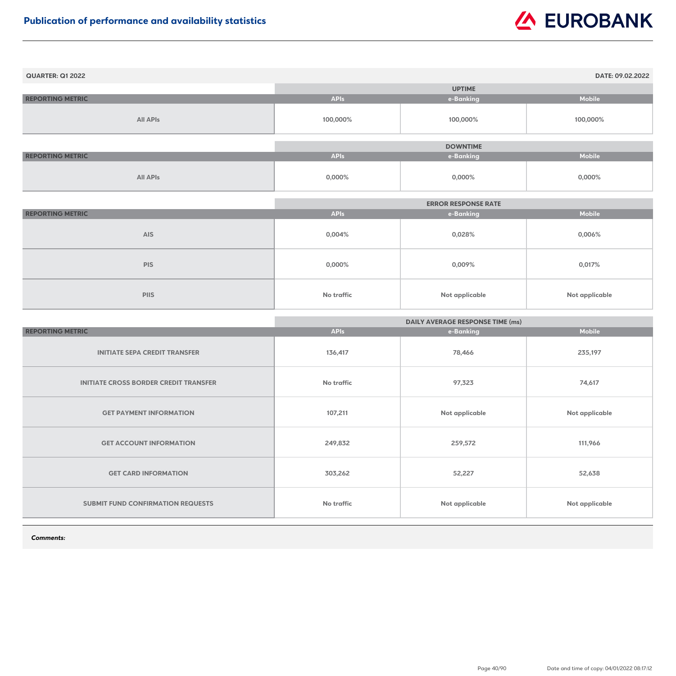| <b>QUARTER: Q1 2022</b> |             |                 | DATE: 09.02.2022 |
|-------------------------|-------------|-----------------|------------------|
|                         |             | <b>UPTIME</b>   |                  |
| <b>REPORTING METRIC</b> | <b>APIs</b> | e-Banking       | <b>Mobile</b>    |
| <b>All APIs</b>         | 100,000%    | 100,000%        | 100,000%         |
|                         |             | <b>DOWNTIME</b> |                  |
| <b>REPORTING METRIC</b> | <b>APIs</b> | e-Banking       | <b>Mobile</b>    |
| <b>All APIs</b>         | $0,000\%$   | $0,000\%$       | $0,000\%$        |

|                         |                   | <b>ERROR RESPONSE RATE</b> |                |
|-------------------------|-------------------|----------------------------|----------------|
| <b>REPORTING METRIC</b> | <b>APIs</b>       | e-Banking                  | <b>Mobile</b>  |
| <b>AIS</b>              | 0,004%            | 0,028%                     | 0,006%         |
| <b>PIS</b>              | $0,000\%$         | 0,009%                     | 0,017%         |
| <b>PIIS</b>             | <b>No traffic</b> | <b>Not applicable</b>      | Not applicable |

|                                              | <b>DAILY AVERAGE RESPONSE TIME (ms)</b> |                |                       |
|----------------------------------------------|-----------------------------------------|----------------|-----------------------|
| <b>REPORTING METRIC</b>                      | <b>APIs</b>                             | e-Banking      | <b>Mobile</b>         |
| <b>INITIATE SEPA CREDIT TRANSFER</b>         | 136,417                                 | 78,466         | 235,197               |
| <b>INITIATE CROSS BORDER CREDIT TRANSFER</b> | <b>No traffic</b>                       | 97,323         | 74,617                |
| <b>GET PAYMENT INFORMATION</b>               | 107,211                                 | Not applicable | <b>Not applicable</b> |
| <b>GET ACCOUNT INFORMATION</b>               | 249,832                                 | 259,572        | 111,966               |
| <b>GET CARD INFORMATION</b>                  | 303,262                                 | 52,227         | 52,638                |
| <b>SUBMIT FUND CONFIRMATION REQUESTS</b>     | No traffic                              | Not applicable | <b>Not applicable</b> |

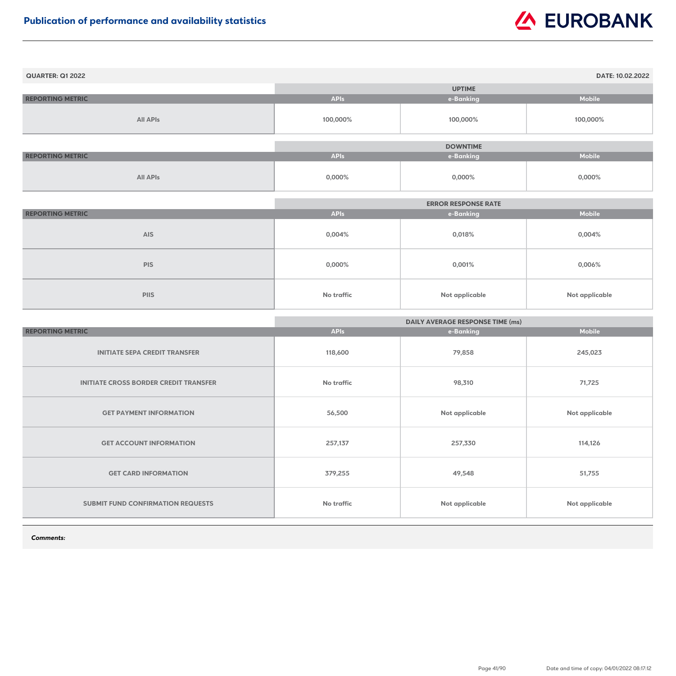| <b>QUARTER: Q1 2022</b> |             |                 | DATE: 10.02.2022 |
|-------------------------|-------------|-----------------|------------------|
|                         |             | <b>UPTIME</b>   |                  |
| <b>REPORTING METRIC</b> | <b>APIs</b> | e-Banking       | <b>Mobile</b>    |
| <b>All APIs</b>         | 100,000%    | 100,000%        | 100,000%         |
|                         |             |                 |                  |
|                         |             | <b>DOWNTIME</b> |                  |
| <b>REPORTING METRIC</b> | <b>APIs</b> | e-Banking       | <b>Mobile</b>    |
| <b>All APIs</b>         | 0,000%      | $0,000\%$       | $0,000\%$        |

|                         | <b>ERROR RESPONSE RATE</b> |                       |                |
|-------------------------|----------------------------|-----------------------|----------------|
| <b>REPORTING METRIC</b> | <b>APIs</b>                | e-Banking             | <b>Mobile</b>  |
| <b>AIS</b>              | 0,004%                     | 0,018%                | 0,004%         |
| <b>PIS</b>              | 0,000%                     | 0,001%                | 0,006%         |
| <b>PIIS</b>             | <b>No traffic</b>          | <b>Not applicable</b> | Not applicable |

|                                              | <b>DAILY AVERAGE RESPONSE TIME (ms)</b> |                       |                       |
|----------------------------------------------|-----------------------------------------|-----------------------|-----------------------|
| <b>REPORTING METRIC</b>                      | <b>APIs</b>                             | e-Banking             | <b>Mobile</b>         |
| <b>INITIATE SEPA CREDIT TRANSFER</b>         | 118,600                                 | 79,858                | 245,023               |
| <b>INITIATE CROSS BORDER CREDIT TRANSFER</b> | <b>No traffic</b>                       | 98,310                | 71,725                |
| <b>GET PAYMENT INFORMATION</b>               | 56,500                                  | Not applicable        | <b>Not applicable</b> |
| <b>GET ACCOUNT INFORMATION</b>               | 257,137                                 | 257,330               | 114,126               |
| <b>GET CARD INFORMATION</b>                  | 379,255                                 | 49,548                | 51,755                |
| <b>SUBMIT FUND CONFIRMATION REQUESTS</b>     | No traffic                              | <b>Not applicable</b> | <b>Not applicable</b> |

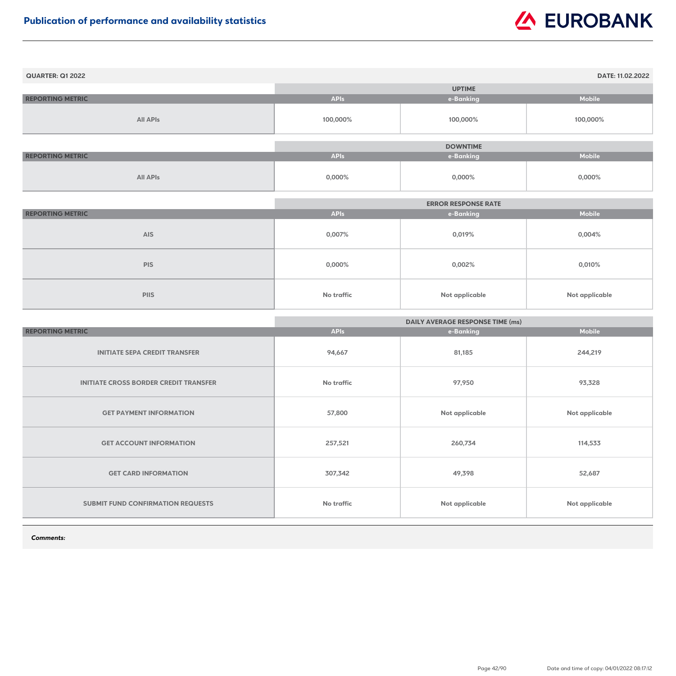| <b>QUARTER: Q1 2022</b> |             |                 | DATE: 11.02.2022 |
|-------------------------|-------------|-----------------|------------------|
|                         |             | <b>UPTIME</b>   |                  |
| <b>REPORTING METRIC</b> | <b>APIs</b> | e-Banking       | <b>Mobile</b>    |
| <b>All APIs</b>         | 100,000%    | 100,000%        | 100,000%         |
|                         |             |                 |                  |
|                         |             | <b>DOWNTIME</b> |                  |
| <b>REPORTING METRIC</b> | <b>APIs</b> | e-Banking       | <b>Mobile</b>    |
| <b>All APIs</b>         | $0,000\%$   | $0,000\%$       | $0,000\%$        |

|                         | <b>ERROR RESPONSE RATE</b> |                |                |
|-------------------------|----------------------------|----------------|----------------|
| <b>REPORTING METRIC</b> | <b>APIs</b>                | e-Banking      | <b>Mobile</b>  |
| <b>AIS</b>              | 0,007%                     | 0,019%         | $0,004\%$      |
| <b>PIS</b>              | $0,000\%$                  | 0,002%         | 0,010%         |
| <b>PIIS</b>             | <b>No traffic</b>          | Not applicable | Not applicable |

|                                              | <b>DAILY AVERAGE RESPONSE TIME (ms)</b> |                |                       |
|----------------------------------------------|-----------------------------------------|----------------|-----------------------|
| <b>REPORTING METRIC</b>                      | <b>APIs</b>                             | e-Banking      | <b>Mobile</b>         |
| <b>INITIATE SEPA CREDIT TRANSFER</b>         | 94,667                                  | 81,185         | 244,219               |
| <b>INITIATE CROSS BORDER CREDIT TRANSFER</b> | <b>No traffic</b>                       | 97,950         | 93,328                |
| <b>GET PAYMENT INFORMATION</b>               | 57,800                                  | Not applicable | <b>Not applicable</b> |
| <b>GET ACCOUNT INFORMATION</b>               | 257,521                                 | 260,734        | 114,533               |
| <b>GET CARD INFORMATION</b>                  | 307,342                                 | 49,398         | 52,687                |
| <b>SUBMIT FUND CONFIRMATION REQUESTS</b>     | <b>No traffic</b>                       | Not applicable | <b>Not applicable</b> |

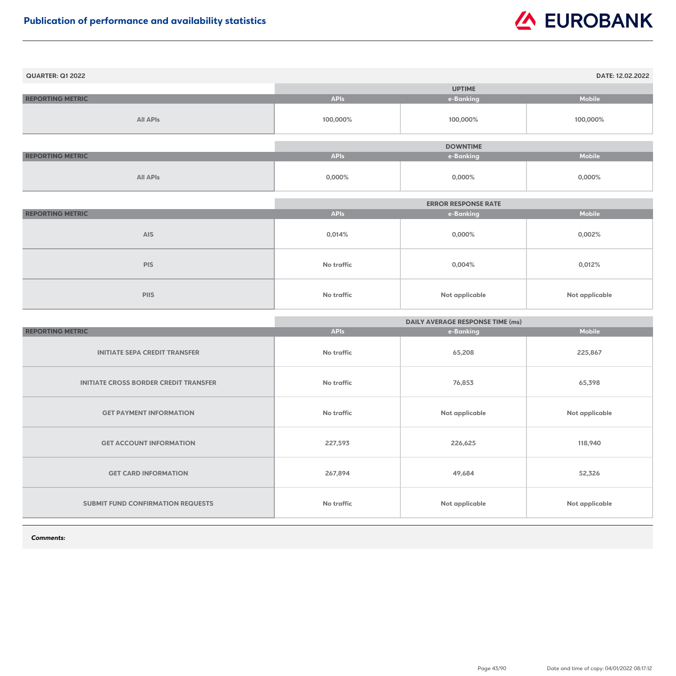| <b>QUARTER: Q1 2022</b> |             |                 | DATE: 12.02.2022 |
|-------------------------|-------------|-----------------|------------------|
|                         |             | <b>UPTIME</b>   |                  |
| <b>REPORTING METRIC</b> | <b>APIs</b> | e-Banking       | <b>Mobile</b>    |
| <b>All APIs</b>         | 100,000%    | 100,000%        | 100,000%         |
|                         |             |                 |                  |
|                         |             | <b>DOWNTIME</b> |                  |
| <b>REPORTING METRIC</b> | <b>APIs</b> | e-Banking       | <b>Mobile</b>    |
| <b>All APIs</b>         | 0,000%      | $0,000\%$       | $0,000\%$        |

|                         | <b>ERROR RESPONSE RATE</b> |                |                |
|-------------------------|----------------------------|----------------|----------------|
| <b>REPORTING METRIC</b> | <b>APIs</b>                | e-Banking      | <b>Mobile</b>  |
| <b>AIS</b>              | 0,014%                     | $0,000\%$      | $0,002\%$      |
| <b>PIS</b>              | No traffic                 | 0,004%         | 0,012%         |
| <b>PIIS</b>             | No traffic                 | Not applicable | Not applicable |

|                                              | <b>DAILY AVERAGE RESPONSE TIME (ms)</b> |                       |                       |
|----------------------------------------------|-----------------------------------------|-----------------------|-----------------------|
| <b>REPORTING METRIC</b>                      | <b>APIs</b>                             | e-Banking             | <b>Mobile</b>         |
| <b>INITIATE SEPA CREDIT TRANSFER</b>         | No traffic                              | 65,208                | 225,867               |
| <b>INITIATE CROSS BORDER CREDIT TRANSFER</b> | No traffic                              | 76,853                | 65,398                |
| <b>GET PAYMENT INFORMATION</b>               | <b>No traffic</b>                       | <b>Not applicable</b> | <b>Not applicable</b> |
| <b>GET ACCOUNT INFORMATION</b>               | 227,593                                 | 226,625               | 118,940               |
| <b>GET CARD INFORMATION</b>                  | 267,894                                 | 49,684                | 52,326                |
| SUBMIT FUND CONFIRMATION REQUESTS            | <b>No traffic</b>                       | Not applicable        | Not applicable        |

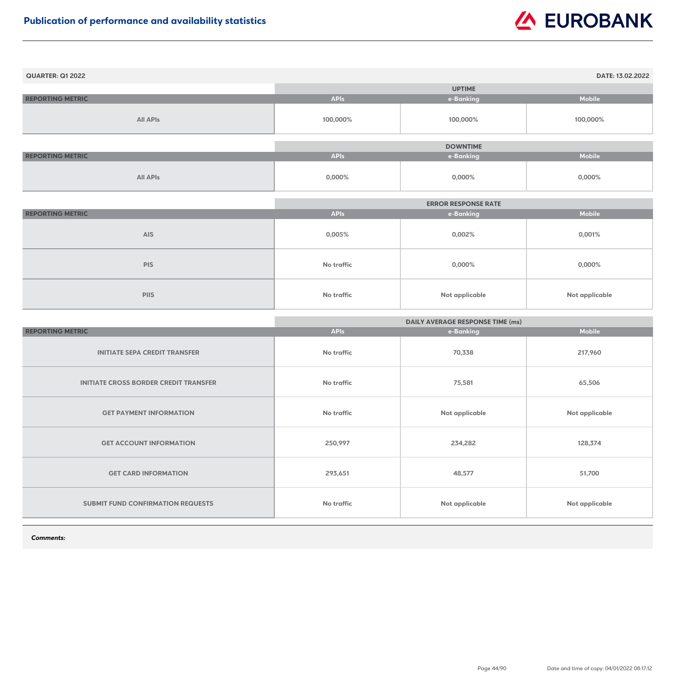| <b>QUARTER: Q1 2022</b> |             |                 | DATE: 13.02.2022 |
|-------------------------|-------------|-----------------|------------------|
|                         |             | <b>UPTIME</b>   |                  |
| <b>REPORTING METRIC</b> | <b>APIs</b> | e-Banking       | <b>Mobile</b>    |
| <b>All APIs</b>         | 100,000%    | 100,000%        | 100,000%         |
|                         |             |                 |                  |
|                         |             | <b>DOWNTIME</b> |                  |
| <b>REPORTING METRIC</b> | <b>APIs</b> | e-Banking       | <b>Mobile</b>    |
| <b>All APIs</b>         | 0,000%      | $0,000\%$       | $0,000\%$        |

|                         | <b>ERROR RESPONSE RATE</b> |                       |                |
|-------------------------|----------------------------|-----------------------|----------------|
| <b>REPORTING METRIC</b> | <b>APIs</b>                | e-Banking             | <b>Mobile</b>  |
| <b>AIS</b>              | 0,005%                     | 0,002%                | 0,001%         |
| <b>PIS</b>              | No traffic                 | 0,000%                | 0,000%         |
| <b>PIIS</b>             | No traffic                 | <b>Not applicable</b> | Not applicable |

|                                              | <b>DAILY AVERAGE RESPONSE TIME (ms)</b> |                |                |
|----------------------------------------------|-----------------------------------------|----------------|----------------|
| <b>REPORTING METRIC</b>                      | <b>APIs</b>                             | e-Banking      | <b>Mobile</b>  |
| <b>INITIATE SEPA CREDIT TRANSFER</b>         | <b>No traffic</b>                       | 70,338         | 217,960        |
| <b>INITIATE CROSS BORDER CREDIT TRANSFER</b> | <b>No traffic</b>                       | 75,581         | 65,506         |
| <b>GET PAYMENT INFORMATION</b>               | <b>No traffic</b>                       | Not applicable | Not applicable |
| <b>GET ACCOUNT INFORMATION</b>               | 250,997                                 | 234,282        | 128,374        |
| <b>GET CARD INFORMATION</b>                  | 293,651                                 | 48,577         | 51,700         |
| SUBMIT FUND CONFIRMATION REQUESTS            | <b>No traffic</b>                       | Not applicable | Not applicable |

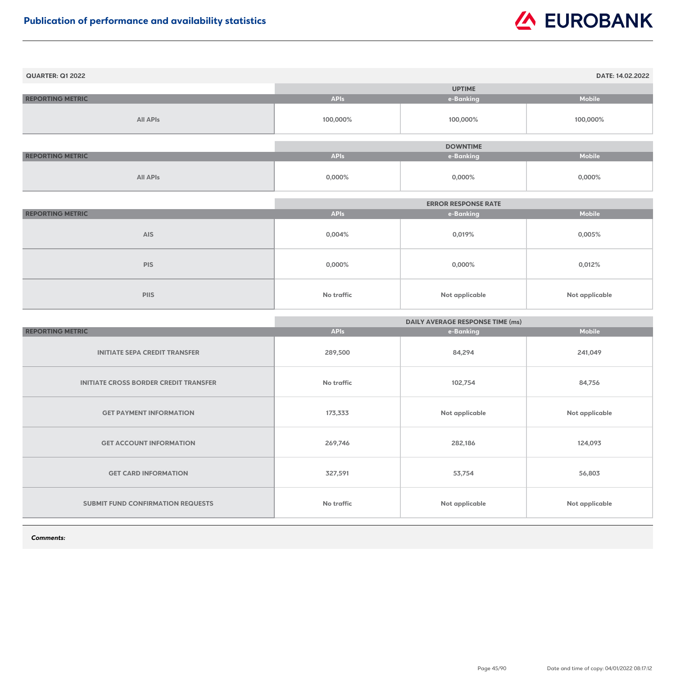| <b>QUARTER: Q1 2022</b> |             |                 | DATE: 14.02.2022 |
|-------------------------|-------------|-----------------|------------------|
|                         |             | <b>UPTIME</b>   |                  |
| <b>REPORTING METRIC</b> | <b>APIs</b> | e-Banking       | <b>Mobile</b>    |
| <b>All APIs</b>         | 100,000%    | 100,000%        | 100,000%         |
|                         |             |                 |                  |
|                         |             | <b>DOWNTIME</b> |                  |
| <b>REPORTING METRIC</b> | <b>APIs</b> | e-Banking       | <b>Mobile</b>    |
| <b>All APIs</b>         | $0,000\%$   | $0,000\%$       | $0,000\%$        |

|                         | <b>ERROR RESPONSE RATE</b> |                       |                |
|-------------------------|----------------------------|-----------------------|----------------|
| <b>REPORTING METRIC</b> | <b>APIs</b>                | e-Banking             | <b>Mobile</b>  |
| <b>AIS</b>              | 0,004%                     | 0,019%                | $0,005\%$      |
| <b>PIS</b>              | $0,000\%$                  | $0,000\%$             | 0,012%         |
| <b>PIIS</b>             | <b>No traffic</b>          | <b>Not applicable</b> | Not applicable |

|                                              | <b>DAILY AVERAGE RESPONSE TIME (ms)</b> |                |                       |
|----------------------------------------------|-----------------------------------------|----------------|-----------------------|
| <b>REPORTING METRIC</b>                      | <b>APIs</b>                             | e-Banking      | <b>Mobile</b>         |
| <b>INITIATE SEPA CREDIT TRANSFER</b>         | 289,500                                 | 84,294         | 241,049               |
| <b>INITIATE CROSS BORDER CREDIT TRANSFER</b> | <b>No traffic</b>                       | 102,754        | 84,756                |
| <b>GET PAYMENT INFORMATION</b>               | 173,333                                 | Not applicable | <b>Not applicable</b> |
| <b>GET ACCOUNT INFORMATION</b>               | 269,746                                 | 282,186        | 124,093               |
| <b>GET CARD INFORMATION</b>                  | 327,591                                 | 53,754         | 56,803                |
| <b>SUBMIT FUND CONFIRMATION REQUESTS</b>     | <b>No traffic</b>                       | Not applicable | <b>Not applicable</b> |

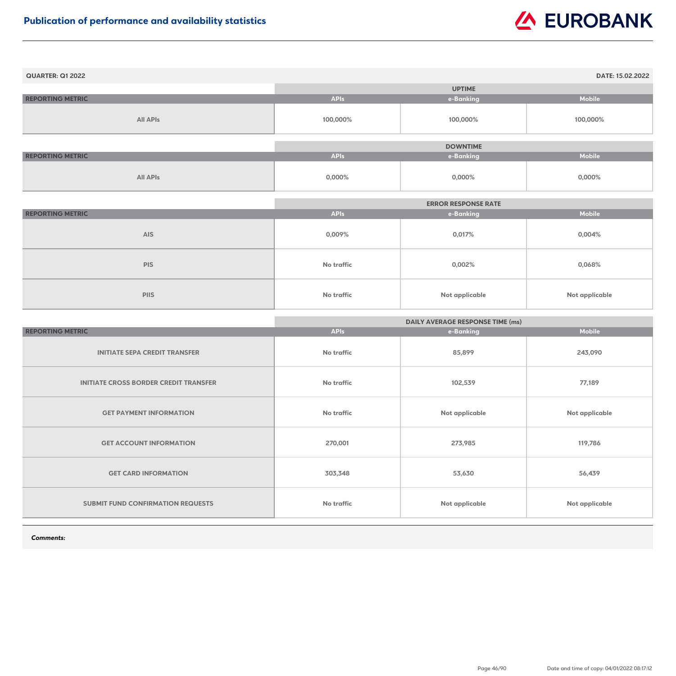| <b>QUARTER: Q1 2022</b> |             |                 | DATE: 15.02.2022 |
|-------------------------|-------------|-----------------|------------------|
|                         |             | <b>UPTIME</b>   |                  |
| <b>REPORTING METRIC</b> | <b>APIs</b> | e-Banking       | <b>Mobile</b>    |
| <b>All APIs</b>         | 100,000%    | 100,000%        | 100,000%         |
|                         |             |                 |                  |
|                         |             | <b>DOWNTIME</b> |                  |
| <b>REPORTING METRIC</b> | <b>APIs</b> | e-Banking       | <b>Mobile</b>    |
| <b>All APIs</b>         | $0,000\%$   | $0,000\%$       | $0,000\%$        |

|                         | <b>ERROR RESPONSE RATE</b> |                |                       |
|-------------------------|----------------------------|----------------|-----------------------|
| <b>REPORTING METRIC</b> | <b>APIs</b>                | e-Banking      | <b>Mobile</b>         |
| <b>AIS</b>              | 0,009%                     | 0,017%         | $0,004\%$             |
| <b>PIS</b>              | No traffic                 | 0,002%         | 0,068%                |
| <b>PIIS</b>             | No traffic                 | Not applicable | <b>Not applicable</b> |

|                                              | <b>DAILY AVERAGE RESPONSE TIME (ms)</b> |                |                       |
|----------------------------------------------|-----------------------------------------|----------------|-----------------------|
| <b>REPORTING METRIC</b>                      | <b>APIs</b>                             | e-Banking      | <b>Mobile</b>         |
| <b>INITIATE SEPA CREDIT TRANSFER</b>         | No traffic                              | 85,899         | 243,090               |
| <b>INITIATE CROSS BORDER CREDIT TRANSFER</b> | No traffic                              | 102,539        | 77,189                |
| <b>GET PAYMENT INFORMATION</b>               | No traffic                              | Not applicable | Not applicable        |
| <b>GET ACCOUNT INFORMATION</b>               | 270,001                                 | 273,985        | 119,786               |
| <b>GET CARD INFORMATION</b>                  | 303,348                                 | 53,630         | 56,439                |
| <b>SUBMIT FUND CONFIRMATION REQUESTS</b>     | No traffic                              | Not applicable | <b>Not applicable</b> |

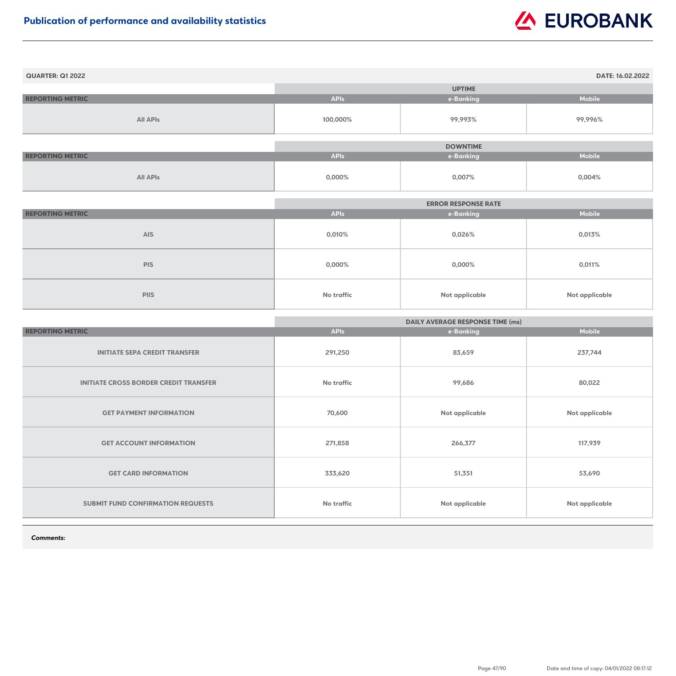| <b>QUARTER: Q1 2022</b> |             |                 | DATE: 16.02.2022 |
|-------------------------|-------------|-----------------|------------------|
|                         |             | <b>UPTIME</b>   |                  |
| <b>REPORTING METRIC</b> | <b>APIs</b> | e-Banking       | <b>Mobile</b>    |
| <b>All APIs</b>         | 100,000%    | 99,993%         | 99,996%          |
|                         |             |                 |                  |
|                         |             | <b>DOWNTIME</b> |                  |
| <b>REPORTING METRIC</b> | <b>APIs</b> | e-Banking       | <b>Mobile</b>    |
| <b>All APIs</b>         | 0,000%      | 0,007%          | 0,004%           |

|                         |                   | <b>ERROR RESPONSE RATE</b> |                       |
|-------------------------|-------------------|----------------------------|-----------------------|
| <b>REPORTING METRIC</b> | <b>APIs</b>       | e-Banking                  | <b>Mobile</b>         |
| <b>AIS</b>              | 0,010%            | 0,026%                     | 0,013%                |
| <b>PIS</b>              | $0,000\%$         | $0,000\%$                  | 0,011%                |
| <b>PIIS</b>             | <b>No traffic</b> | <b>Not applicable</b>      | <b>Not applicable</b> |

|                                              | <b>DAILY AVERAGE RESPONSE TIME (ms)</b> |                |                |
|----------------------------------------------|-----------------------------------------|----------------|----------------|
| <b>REPORTING METRIC</b>                      | <b>APIs</b>                             | e-Banking      | <b>Mobile</b>  |
| <b>INITIATE SEPA CREDIT TRANSFER</b>         | 291,250                                 | 83,659         | 237,744        |
| <b>INITIATE CROSS BORDER CREDIT TRANSFER</b> | <b>No traffic</b>                       | 99,686         | 80,022         |
| <b>GET PAYMENT INFORMATION</b>               | 70,600                                  | Not applicable | Not applicable |
| <b>GET ACCOUNT INFORMATION</b>               | 271,858                                 | 266,377        | 117,939        |
| <b>GET CARD INFORMATION</b>                  | 333,620                                 | 51,351         | 53,690         |
| <b>SUBMIT FUND CONFIRMATION REQUESTS</b>     | <b>No traffic</b>                       | Not applicable | Not applicable |

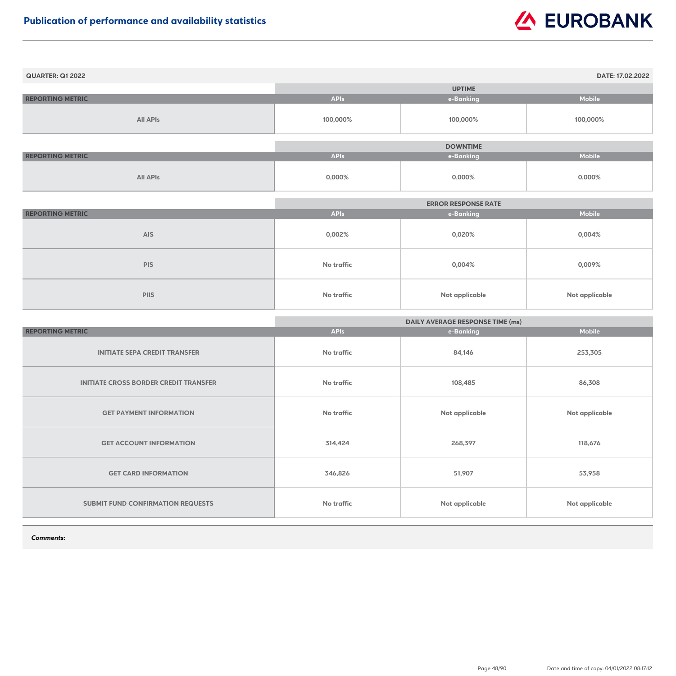| <b>QUARTER: Q1 2022</b> |             |                 | DATE: 17.02.2022 |
|-------------------------|-------------|-----------------|------------------|
|                         |             | <b>UPTIME</b>   |                  |
| <b>REPORTING METRIC</b> | <b>APIs</b> | e-Banking       | <b>Mobile</b>    |
| <b>All APIs</b>         | 100,000%    | 100,000%        | 100,000%         |
|                         |             |                 |                  |
|                         |             | <b>DOWNTIME</b> |                  |
| <b>REPORTING METRIC</b> | <b>APIs</b> | e-Banking       | <b>Mobile</b>    |
| <b>All APIs</b>         | $0,000\%$   | $0,000\%$       | $0,000\%$        |

|                         | <b>ERROR RESPONSE RATE</b> |                       |                |
|-------------------------|----------------------------|-----------------------|----------------|
| <b>REPORTING METRIC</b> | <b>APIs</b>                | e-Banking             | <b>Mobile</b>  |
| <b>AIS</b>              | 0,002%                     | 0,020%                | 0,004%         |
| <b>PIS</b>              | <b>No traffic</b>          | 0,004%                | 0,009%         |
| <b>PIIS</b>             | No traffic                 | <b>Not applicable</b> | Not applicable |

|                                              | <b>DAILY AVERAGE RESPONSE TIME (ms)</b> |                |                |
|----------------------------------------------|-----------------------------------------|----------------|----------------|
| <b>REPORTING METRIC</b>                      | <b>APIs</b>                             | e-Banking      | <b>Mobile</b>  |
| <b>INITIATE SEPA CREDIT TRANSFER</b>         | <b>No traffic</b>                       | 84,146         | 253,305        |
| <b>INITIATE CROSS BORDER CREDIT TRANSFER</b> | <b>No traffic</b>                       | 108,485        | 86,308         |
| <b>GET PAYMENT INFORMATION</b>               | <b>No traffic</b>                       | Not applicable | Not applicable |
| <b>GET ACCOUNT INFORMATION</b>               | 314,424                                 | 268,397        | 118,676        |
| <b>GET CARD INFORMATION</b>                  | 346,826                                 | 51,907         | 53,958         |
| SUBMIT FUND CONFIRMATION REQUESTS            | <b>No traffic</b>                       | Not applicable | Not applicable |

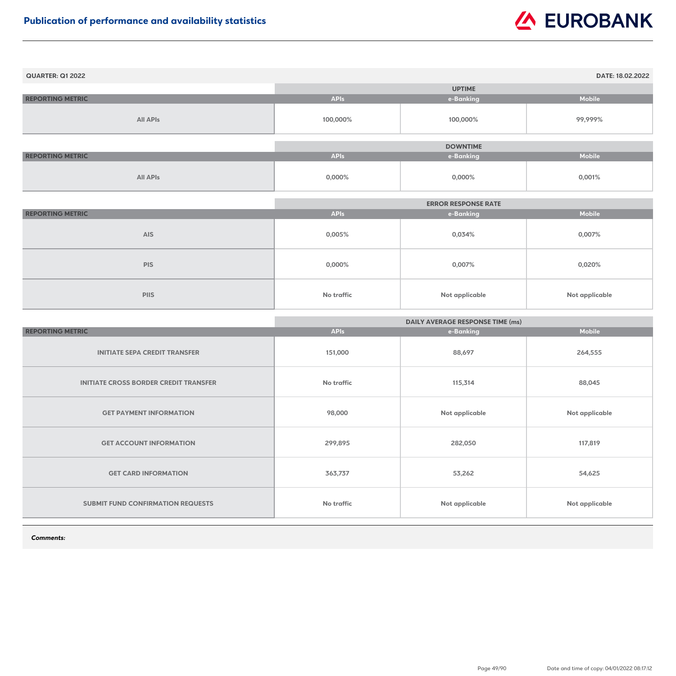| <b>QUARTER: Q1 2022</b> |             |                 | DATE: 18.02.2022 |
|-------------------------|-------------|-----------------|------------------|
|                         |             | <b>UPTIME</b>   |                  |
| <b>REPORTING METRIC</b> | <b>APIs</b> | e-Banking       | <b>Mobile</b>    |
| <b>All APIs</b>         | 100,000%    | 100,000%        | 99,999%          |
|                         |             |                 |                  |
|                         |             | <b>DOWNTIME</b> |                  |
| <b>REPORTING METRIC</b> | <b>APIs</b> | e-Banking       | <b>Mobile</b>    |
| <b>All APIs</b>         | 0,000%      | $0,000\%$       | 0,001%           |

|                         |                   | <b>ERROR RESPONSE RATE</b> |                       |
|-------------------------|-------------------|----------------------------|-----------------------|
| <b>REPORTING METRIC</b> | <b>APIs</b>       | e-Banking                  | <b>Mobile</b>         |
| <b>AIS</b>              | 0,005%            | 0,034%                     | 0,007%                |
| <b>PIS</b>              | $0,000\%$         | 0,007%                     | 0,020%                |
| <b>PIIS</b>             | <b>No traffic</b> | <b>Not applicable</b>      | <b>Not applicable</b> |

|                                              | <b>DAILY AVERAGE RESPONSE TIME (ms)</b> |                |                |
|----------------------------------------------|-----------------------------------------|----------------|----------------|
| <b>REPORTING METRIC</b>                      | <b>APIs</b>                             | e-Banking      | <b>Mobile</b>  |
| <b>INITIATE SEPA CREDIT TRANSFER</b>         | 151,000                                 | 88,697         | 264,555        |
| <b>INITIATE CROSS BORDER CREDIT TRANSFER</b> | <b>No traffic</b>                       | 115,314        | 88,045         |
| <b>GET PAYMENT INFORMATION</b>               | 98,000                                  | Not applicable | Not applicable |
| <b>GET ACCOUNT INFORMATION</b>               | 299,895                                 | 282,050        | 117,819        |
| <b>GET CARD INFORMATION</b>                  | 363,737                                 | 53,262         | 54,625         |
| <b>SUBMIT FUND CONFIRMATION REQUESTS</b>     | <b>No traffic</b>                       | Not applicable | Not applicable |

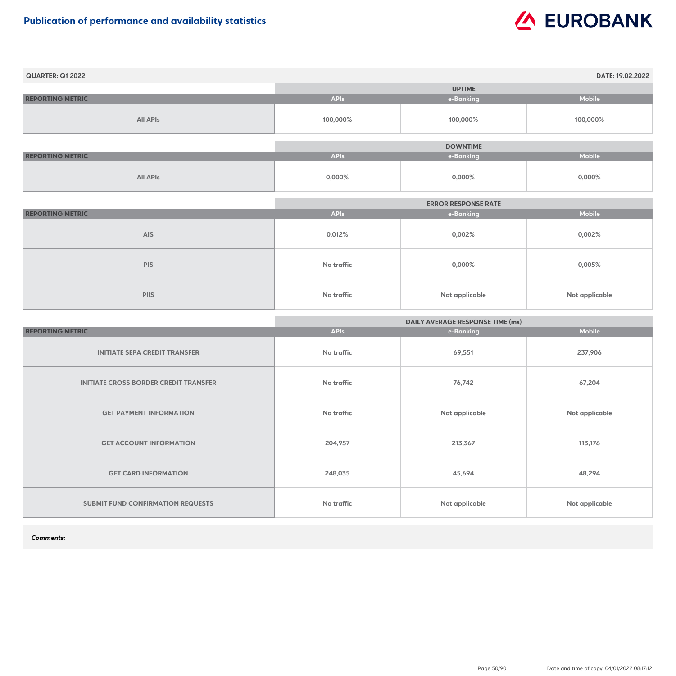| <b>QUARTER: Q1 2022</b> |             |                 | DATE: 19.02.2022 |
|-------------------------|-------------|-----------------|------------------|
|                         |             | <b>UPTIME</b>   |                  |
| <b>REPORTING METRIC</b> | <b>APIs</b> | e-Banking       | <b>Mobile</b>    |
| <b>All APIs</b>         | 100,000%    | 100,000%        | 100,000%         |
|                         |             |                 |                  |
|                         |             | <b>DOWNTIME</b> |                  |
| <b>REPORTING METRIC</b> | <b>APIs</b> | e-Banking       | <b>Mobile</b>    |
| <b>All APIs</b>         | 0,000%      | $0,000\%$       | $0,000\%$        |

|                         |             | <b>ERROR RESPONSE RATE</b> |                |
|-------------------------|-------------|----------------------------|----------------|
| <b>REPORTING METRIC</b> | <b>APIs</b> | e-Banking                  | <b>Mobile</b>  |
| <b>AIS</b>              | 0,012%      | 0,002%                     | 0,002%         |
| <b>PIS</b>              | No traffic  | $0,000\%$                  | 0,005%         |
| <b>PIIS</b>             | No traffic  | <b>Not applicable</b>      | Not applicable |

|                                              | <b>DAILY AVERAGE RESPONSE TIME (ms)</b> |                |                       |
|----------------------------------------------|-----------------------------------------|----------------|-----------------------|
| <b>REPORTING METRIC</b>                      | <b>APIs</b>                             | e-Banking      | <b>Mobile</b>         |
| <b>INITIATE SEPA CREDIT TRANSFER</b>         | No traffic                              | 69,551         | 237,906               |
| <b>INITIATE CROSS BORDER CREDIT TRANSFER</b> | No traffic                              | 76,742         | 67,204                |
| <b>GET PAYMENT INFORMATION</b>               | No traffic                              | Not applicable | <b>Not applicable</b> |
| <b>GET ACCOUNT INFORMATION</b>               | 204,957                                 | 213,367        | 113,176               |
| <b>GET CARD INFORMATION</b>                  | 248,035                                 | 45,694         | 48,294                |
| <b>SUBMIT FUND CONFIRMATION REQUESTS</b>     | No traffic                              | Not applicable | <b>Not applicable</b> |

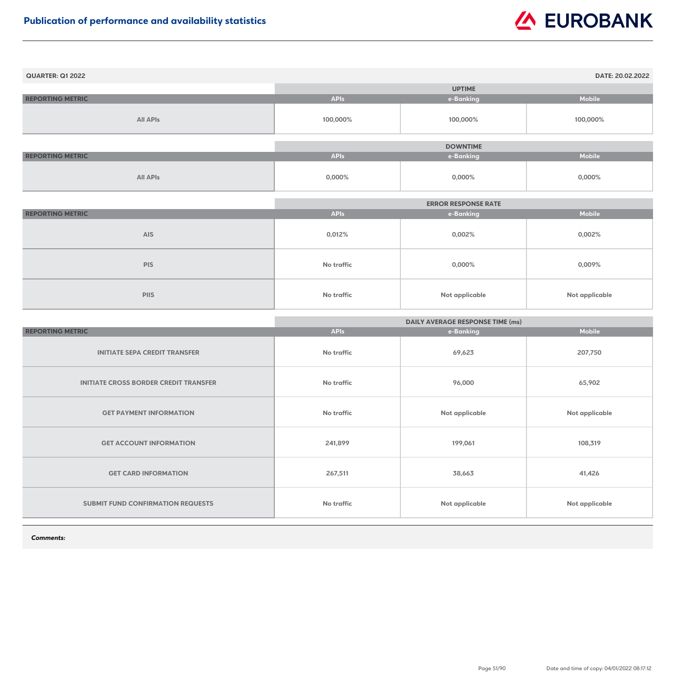| <b>QUARTER: Q1 2022</b> |             |                 | DATE: 20.02.2022 |
|-------------------------|-------------|-----------------|------------------|
|                         |             | <b>UPTIME</b>   |                  |
| <b>REPORTING METRIC</b> | <b>APIs</b> | e-Banking       | <b>Mobile</b>    |
| <b>All APIs</b>         | 100,000%    | 100,000%        | 100,000%         |
|                         |             |                 |                  |
|                         |             | <b>DOWNTIME</b> |                  |
| <b>REPORTING METRIC</b> | <b>APIs</b> | e-Banking       | <b>Mobile</b>    |
| <b>All APIs</b>         | $0,000\%$   | $0,000\%$       | $0,000\%$        |

|                         | <b>ERROR RESPONSE RATE</b> |                |                       |
|-------------------------|----------------------------|----------------|-----------------------|
| <b>REPORTING METRIC</b> | <b>APIs</b>                | e-Banking      | <b>Mobile</b>         |
| <b>AIS</b>              | 0,012%                     | 0,002%         | 0,002%                |
| <b>PIS</b>              | No traffic                 | $0,000\%$      | 0,009%                |
| <b>PIIS</b>             | <b>No traffic</b>          | Not applicable | <b>Not applicable</b> |

|                                              | <b>DAILY AVERAGE RESPONSE TIME (ms)</b> |                       |                       |
|----------------------------------------------|-----------------------------------------|-----------------------|-----------------------|
| <b>REPORTING METRIC</b>                      | <b>APIs</b>                             | e-Banking             | <b>Mobile</b>         |
| <b>INITIATE SEPA CREDIT TRANSFER</b>         | No traffic                              | 69,623                | 207,750               |
| <b>INITIATE CROSS BORDER CREDIT TRANSFER</b> | <b>No traffic</b>                       | 96,000                | 65,902                |
| <b>GET PAYMENT INFORMATION</b>               | No traffic                              | Not applicable        | <b>Not applicable</b> |
| <b>GET ACCOUNT INFORMATION</b>               | 241,899                                 | 199,061               | 108,319               |
| <b>GET CARD INFORMATION</b>                  | 267,511                                 | 38,663                | 41,426                |
| <b>SUBMIT FUND CONFIRMATION REQUESTS</b>     | <b>No traffic</b>                       | <b>Not applicable</b> | <b>Not applicable</b> |

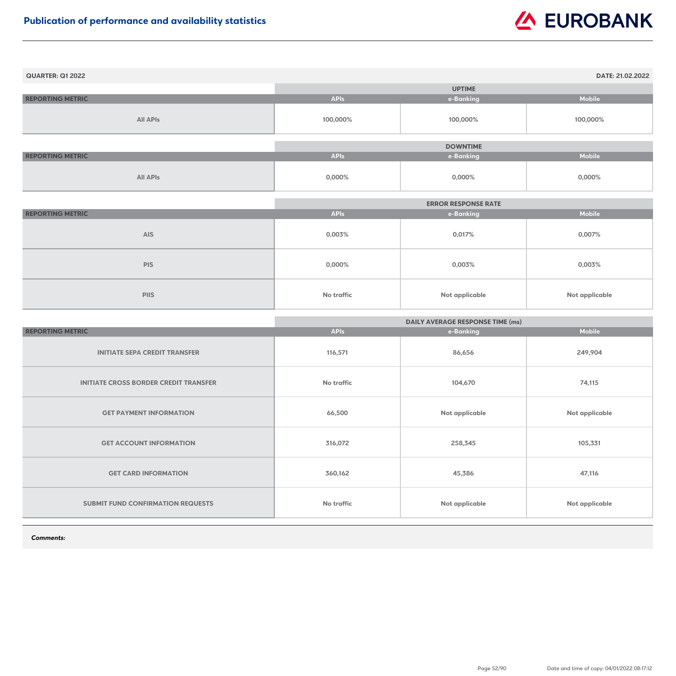| <b>QUARTER: Q1 2022</b> |             |                 | DATE: 21.02.2022 |
|-------------------------|-------------|-----------------|------------------|
|                         |             | <b>UPTIME</b>   |                  |
| <b>REPORTING METRIC</b> | <b>APIs</b> | e-Banking       | <b>Mobile</b>    |
| <b>All APIs</b>         | 100,000%    | 100,000%        | 100,000%         |
|                         |             |                 |                  |
|                         |             | <b>DOWNTIME</b> |                  |
| <b>REPORTING METRIC</b> | <b>APIs</b> | e-Banking       | <b>Mobile</b>    |
| <b>All APIs</b>         | $0,000\%$   | $0,000\%$       | $0,000\%$        |

|                         |             | <b>ERROR RESPONSE RATE</b> |                |
|-------------------------|-------------|----------------------------|----------------|
| <b>REPORTING METRIC</b> | <b>APIs</b> | e-Banking                  | <b>Mobile</b>  |
| <b>AIS</b>              | 0,003%      | 0,017%                     | 0,007%         |
| <b>PIS</b>              | $0,000\%$   | 0,003%                     | 0,003%         |
| <b>PIIS</b>             | No traffic  | <b>Not applicable</b>      | Not applicable |

|                                              | <b>DAILY AVERAGE RESPONSE TIME (ms)</b> |                |                       |
|----------------------------------------------|-----------------------------------------|----------------|-----------------------|
| <b>REPORTING METRIC</b>                      | <b>APIs</b>                             | e-Banking      | <b>Mobile</b>         |
| <b>INITIATE SEPA CREDIT TRANSFER</b>         | 116,571                                 | 86,656         | 249,904               |
| <b>INITIATE CROSS BORDER CREDIT TRANSFER</b> | <b>No traffic</b>                       | 104,670        | 74,115                |
| <b>GET PAYMENT INFORMATION</b>               | 66,500                                  | Not applicable | Not applicable        |
| <b>GET ACCOUNT INFORMATION</b>               | 316,072                                 | 258,345        | 105,331               |
| <b>GET CARD INFORMATION</b>                  | 360,162                                 | 45,386         | 47,116                |
| <b>SUBMIT FUND CONFIRMATION REQUESTS</b>     | <b>No traffic</b>                       | Not applicable | <b>Not applicable</b> |

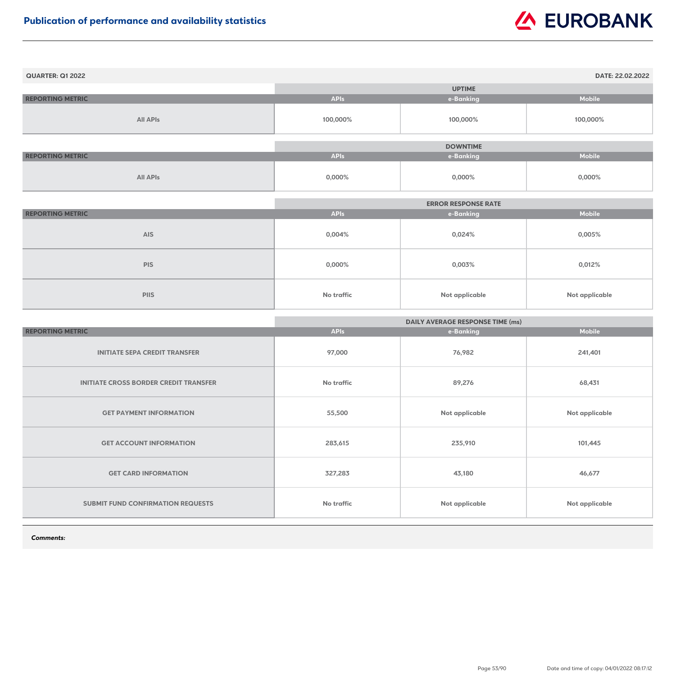| <b>QUARTER: Q1 2022</b> |             |                 | DATE: 22.02.2022 |
|-------------------------|-------------|-----------------|------------------|
|                         |             | <b>UPTIME</b>   |                  |
| <b>REPORTING METRIC</b> | <b>APIs</b> | e-Banking       | <b>Mobile</b>    |
| <b>All APIs</b>         | 100,000%    | 100,000%        | 100,000%         |
|                         |             |                 |                  |
|                         |             | <b>DOWNTIME</b> |                  |
| <b>REPORTING METRIC</b> | <b>APIs</b> | e-Banking       | <b>Mobile</b>    |
| <b>All APIs</b>         | $0,000\%$   | $0,000\%$       | $0,000\%$        |

|                         | <b>ERROR RESPONSE RATE</b> |                       |                       |
|-------------------------|----------------------------|-----------------------|-----------------------|
| <b>REPORTING METRIC</b> | <b>APIs</b>                | e-Banking             | <b>Mobile</b>         |
| <b>AIS</b>              | 0,004%                     | 0,024%                | 0,005%                |
| <b>PIS</b>              | $0,000\%$                  | 0,003%                | 0,012%                |
| <b>PIIS</b>             | <b>No traffic</b>          | <b>Not applicable</b> | <b>Not applicable</b> |

|                                              | <b>DAILY AVERAGE RESPONSE TIME (ms)</b> |                       |                       |
|----------------------------------------------|-----------------------------------------|-----------------------|-----------------------|
| <b>REPORTING METRIC</b>                      | <b>APIs</b>                             | e-Banking             | <b>Mobile</b>         |
| <b>INITIATE SEPA CREDIT TRANSFER</b>         | 97,000                                  | 76,982                | 241,401               |
| <b>INITIATE CROSS BORDER CREDIT TRANSFER</b> | <b>No traffic</b>                       | 89,276                | 68,431                |
| <b>GET PAYMENT INFORMATION</b>               | 55,500                                  | Not applicable        | <b>Not applicable</b> |
| <b>GET ACCOUNT INFORMATION</b>               | 283,615                                 | 235,910               | 101,445               |
| <b>GET CARD INFORMATION</b>                  | 327,283                                 | 43,180                | 46,677                |
| <b>SUBMIT FUND CONFIRMATION REQUESTS</b>     | <b>No traffic</b>                       | <b>Not applicable</b> | <b>Not applicable</b> |

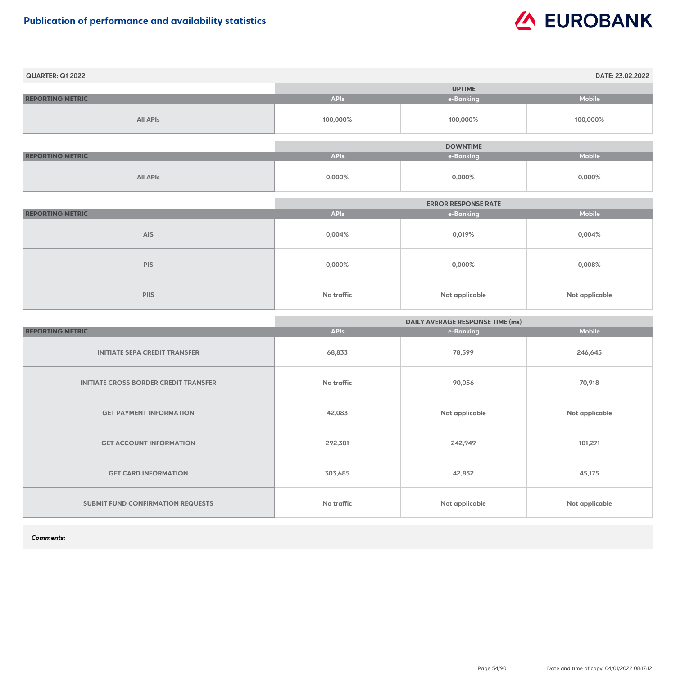| <b>QUARTER: Q1 2022</b> |             |                 | DATE: 23.02.2022 |
|-------------------------|-------------|-----------------|------------------|
|                         |             | <b>UPTIME</b>   |                  |
| <b>REPORTING METRIC</b> | <b>APIs</b> | e-Banking       | <b>Mobile</b>    |
| <b>All APIs</b>         | 100,000%    | 100,000%        | 100,000%         |
|                         |             |                 |                  |
|                         |             | <b>DOWNTIME</b> |                  |
| <b>REPORTING METRIC</b> | <b>APIs</b> | e-Banking       | Mobile           |
| <b>All APIs</b>         | 0,000%      | 0,000%          | $0,000\%$        |

|                         |             | <b>ERROR RESPONSE RATE</b> |                       |
|-------------------------|-------------|----------------------------|-----------------------|
| <b>REPORTING METRIC</b> | <b>APIs</b> | e-Banking                  | <b>Mobile</b>         |
| <b>AIS</b>              | $0,004\%$   | 0,019%                     | 0,004%                |
| <b>PIS</b>              | $0,000\%$   | $0,000\%$                  | 0,008%                |
| <b>PIIS</b>             | No traffic  | <b>Not applicable</b>      | <b>Not applicable</b> |

|                                              | <b>DAILY AVERAGE RESPONSE TIME (ms)</b> |                       |                       |
|----------------------------------------------|-----------------------------------------|-----------------------|-----------------------|
| <b>REPORTING METRIC</b>                      | <b>APIs</b>                             | e-Banking             | <b>Mobile</b>         |
| <b>INITIATE SEPA CREDIT TRANSFER</b>         | 68,833                                  | 78,599                | 246,645               |
| <b>INITIATE CROSS BORDER CREDIT TRANSFER</b> | <b>No traffic</b>                       | 90,056                | 70,918                |
| <b>GET PAYMENT INFORMATION</b>               | 42,083                                  | Not applicable        | <b>Not applicable</b> |
| <b>GET ACCOUNT INFORMATION</b>               | 292,381                                 | 242,949               | 101,271               |
| <b>GET CARD INFORMATION</b>                  | 303,685                                 | 42,832                | 45,175                |
| <b>SUBMIT FUND CONFIRMATION REQUESTS</b>     | <b>No traffic</b>                       | <b>Not applicable</b> | <b>Not applicable</b> |

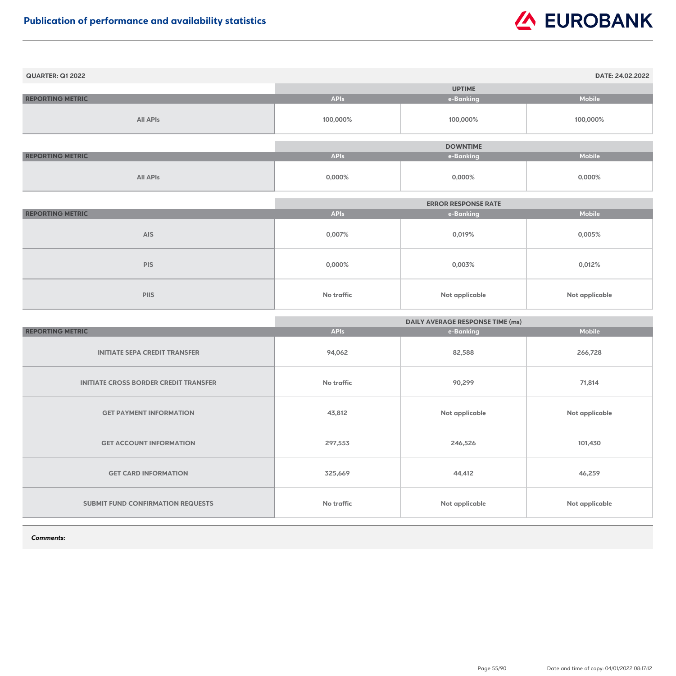| <b>QUARTER: Q1 2022</b> |             |                 | DATE: 24.02.2022 |
|-------------------------|-------------|-----------------|------------------|
|                         |             | <b>UPTIME</b>   |                  |
| <b>REPORTING METRIC</b> | <b>APIs</b> | e-Banking       | <b>Mobile</b>    |
| <b>All APIs</b>         | 100,000%    | 100,000%        | 100,000%         |
|                         |             | <b>DOWNTIME</b> |                  |
| <b>REPORTING METRIC</b> | <b>APIs</b> | e-Banking       | Mobile           |
| <b>All APIs</b>         | 0,000%      | 0,000%          | $0,000\%$        |

|                         |             | <b>ERROR RESPONSE RATE</b> |                       |
|-------------------------|-------------|----------------------------|-----------------------|
| <b>REPORTING METRIC</b> | <b>APIs</b> | e-Banking                  | <b>Mobile</b>         |
| <b>AIS</b>              | 0,007%      | 0,019%                     | 0,005%                |
| <b>PIS</b>              | $0,000\%$   | 0,003%                     | 0,012%                |
| <b>PIIS</b>             | No traffic  | <b>Not applicable</b>      | <b>Not applicable</b> |

|                                              | <b>DAILY AVERAGE RESPONSE TIME (ms)</b> |                |                       |
|----------------------------------------------|-----------------------------------------|----------------|-----------------------|
| <b>REPORTING METRIC</b>                      | <b>APIs</b>                             | e-Banking      | <b>Mobile</b>         |
| <b>INITIATE SEPA CREDIT TRANSFER</b>         | 94,062                                  | 82,588         | 266,728               |
| <b>INITIATE CROSS BORDER CREDIT TRANSFER</b> | <b>No traffic</b>                       | 90,299         | 71,814                |
| <b>GET PAYMENT INFORMATION</b>               | 43,812                                  | Not applicable | <b>Not applicable</b> |
| <b>GET ACCOUNT INFORMATION</b>               | 297,553                                 | 246,526        | 101,430               |
| <b>GET CARD INFORMATION</b>                  | 325,669                                 | 44,412         | 46,259                |
| <b>SUBMIT FUND CONFIRMATION REQUESTS</b>     | <b>No traffic</b>                       | Not applicable | <b>Not applicable</b> |

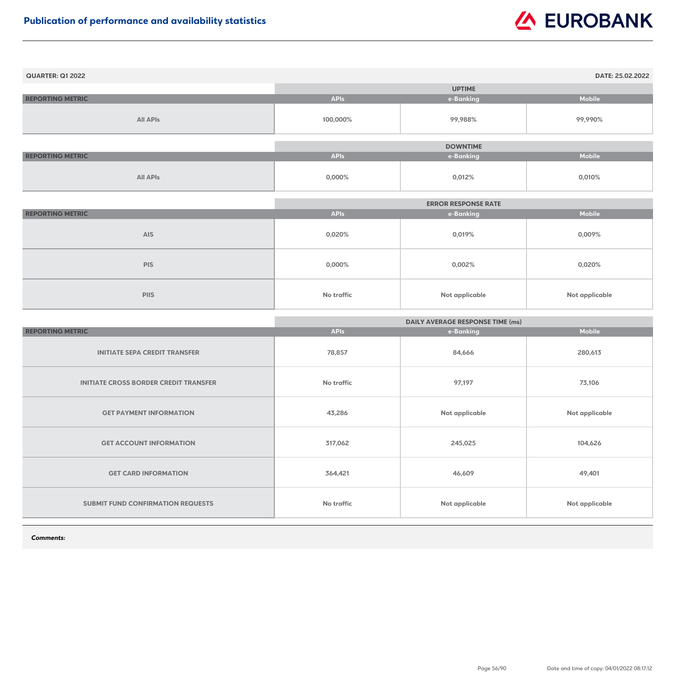| <b>QUARTER: Q1 2022</b> |             |                 | DATE: 25.02.2022 |
|-------------------------|-------------|-----------------|------------------|
|                         |             | <b>UPTIME</b>   |                  |
| <b>REPORTING METRIC</b> | <b>APIs</b> | e-Banking       | <b>Mobile</b>    |
| <b>All APIs</b>         | 100,000%    | 99,988%         | 99,990%          |
|                         |             | <b>DOWNTIME</b> |                  |
| <b>REPORTING METRIC</b> | <b>APIs</b> | e-Banking       | <b>Mobile</b>    |
| <b>All APIs</b>         | 0,000%      | 0,012%          | 0,010%           |

|                         |             | <b>ERROR RESPONSE RATE</b> |                |
|-------------------------|-------------|----------------------------|----------------|
| <b>REPORTING METRIC</b> | <b>APIs</b> | e-Banking                  | <b>Mobile</b>  |
| <b>AIS</b>              | 0,020%      | 0,019%                     | 0,009%         |
| <b>PIS</b>              | $0,000\%$   | 0,002%                     | 0,020%         |
| <b>PIIS</b>             | No traffic  | <b>Not applicable</b>      | Not applicable |

|                                              | <b>DAILY AVERAGE RESPONSE TIME (ms)</b> |                       |                       |
|----------------------------------------------|-----------------------------------------|-----------------------|-----------------------|
| <b>REPORTING METRIC</b>                      | <b>APIs</b>                             | e-Banking             | <b>Mobile</b>         |
| <b>INITIATE SEPA CREDIT TRANSFER</b>         | 78,857                                  | 84,666                | 280,613               |
| <b>INITIATE CROSS BORDER CREDIT TRANSFER</b> | <b>No traffic</b>                       | 97,197                | 73,106                |
| <b>GET PAYMENT INFORMATION</b>               | 43,286                                  | Not applicable        | <b>Not applicable</b> |
| <b>GET ACCOUNT INFORMATION</b>               | 317,062                                 | 245,025               | 104,626               |
| <b>GET CARD INFORMATION</b>                  | 364,421                                 | 46,609                | 49,401                |
| <b>SUBMIT FUND CONFIRMATION REQUESTS</b>     | <b>No traffic</b>                       | <b>Not applicable</b> | <b>Not applicable</b> |

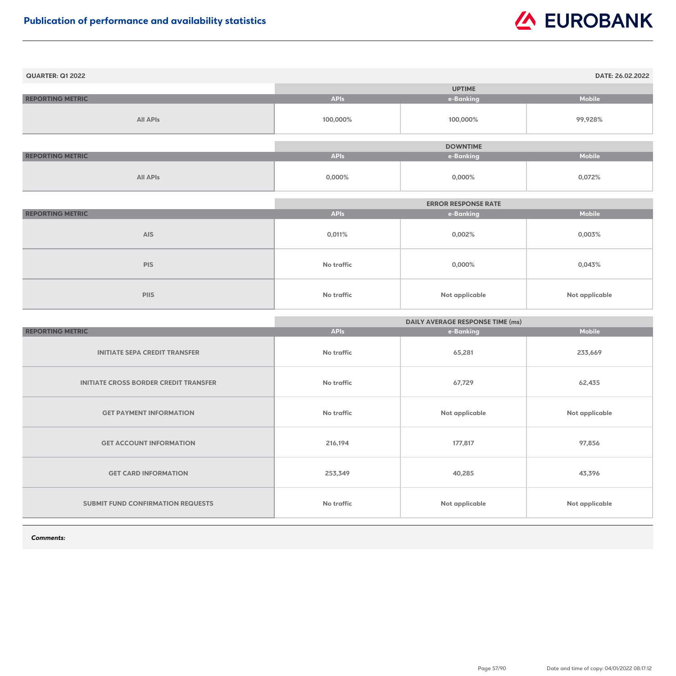| <b>QUARTER: Q1 2022</b> |             |                 | DATE: 26.02.2022 |
|-------------------------|-------------|-----------------|------------------|
|                         |             | <b>UPTIME</b>   |                  |
| <b>REPORTING METRIC</b> | <b>APIs</b> | e-Banking       | <b>Mobile</b>    |
| <b>All APIs</b>         | 100,000%    | 100,000%        | 99,928%          |
|                         |             |                 |                  |
|                         |             | <b>DOWNTIME</b> |                  |
| <b>REPORTING METRIC</b> | <b>APIs</b> | e-Banking       | <b>Mobile</b>    |
| <b>All APIs</b>         | 0,000%      | $0,000\%$       | 0,072%           |

|                         | <b>ERROR RESPONSE RATE</b> |                       |                |
|-------------------------|----------------------------|-----------------------|----------------|
| <b>REPORTING METRIC</b> | <b>APIs</b>                | e-Banking             | <b>Mobile</b>  |
| <b>AIS</b>              | 0,011%                     | 0,002%                | 0,003%         |
| <b>PIS</b>              | <b>No traffic</b>          | $0,000\%$             | 0,043%         |
| <b>PIIS</b>             | <b>No traffic</b>          | <b>Not applicable</b> | Not applicable |

|                                              | <b>DAILY AVERAGE RESPONSE TIME (ms)</b> |                       |                       |
|----------------------------------------------|-----------------------------------------|-----------------------|-----------------------|
| <b>REPORTING METRIC</b>                      | <b>APIs</b>                             | e-Banking             | <b>Mobile</b>         |
| <b>INITIATE SEPA CREDIT TRANSFER</b>         | No traffic                              | 65,281                | 233,669               |
| <b>INITIATE CROSS BORDER CREDIT TRANSFER</b> | <b>No traffic</b>                       | 67,729                | 62,435                |
| <b>GET PAYMENT INFORMATION</b>               | No traffic                              | Not applicable        | <b>Not applicable</b> |
| <b>GET ACCOUNT INFORMATION</b>               | 216,194                                 | 177,817               | 97,856                |
| <b>GET CARD INFORMATION</b>                  | 253,349                                 | 40,285                | 43,396                |
| <b>SUBMIT FUND CONFIRMATION REQUESTS</b>     | <b>No traffic</b>                       | <b>Not applicable</b> | <b>Not applicable</b> |

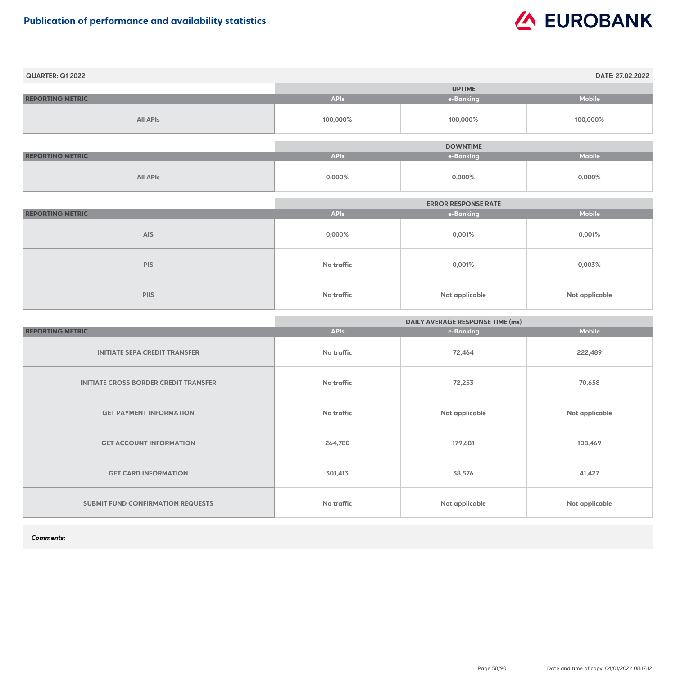| <b>QUARTER: Q1 2022</b> |             |                 | DATE: 27.02.2022 |
|-------------------------|-------------|-----------------|------------------|
|                         |             | <b>UPTIME</b>   |                  |
| <b>REPORTING METRIC</b> | <b>APIs</b> | e-Banking       | <b>Mobile</b>    |
| <b>All APIs</b>         | 100,000%    | 100,000%        | 100,000%         |
|                         |             |                 |                  |
|                         |             | <b>DOWNTIME</b> |                  |
| <b>REPORTING METRIC</b> | <b>APIs</b> | e-Banking       | <b>Mobile</b>    |
| <b>All APIs</b>         | $0,000\%$   | $0,000\%$       | $0,000\%$        |

|                         | <b>ERROR RESPONSE RATE</b> |                       |                       |
|-------------------------|----------------------------|-----------------------|-----------------------|
| <b>REPORTING METRIC</b> | <b>APIs</b>                | e-Banking             | <b>Mobile</b>         |
| <b>AIS</b>              | $0,000\%$                  | 0,001%                | 0,001%                |
| <b>PIS</b>              | <b>No traffic</b>          | 0,001%                | 0,003%                |
| <b>PIIS</b>             | <b>No traffic</b>          | <b>Not applicable</b> | <b>Not applicable</b> |

|                                              | <b>DAILY AVERAGE RESPONSE TIME (ms)</b> |                       |                |
|----------------------------------------------|-----------------------------------------|-----------------------|----------------|
| <b>REPORTING METRIC</b>                      | <b>APIs</b>                             | e-Banking             | <b>Mobile</b>  |
| <b>INITIATE SEPA CREDIT TRANSFER</b>         | No traffic                              | 72,464                | 222,489        |
| <b>INITIATE CROSS BORDER CREDIT TRANSFER</b> | No traffic                              | 72,253                | 70,658         |
| <b>GET PAYMENT INFORMATION</b>               | No traffic                              | <b>Not applicable</b> | Not applicable |
| <b>GET ACCOUNT INFORMATION</b>               | 264,780                                 | 179,681               | 108,469        |
| <b>GET CARD INFORMATION</b>                  | 301,413                                 | 38,576                | 41,427         |
| SUBMIT FUND CONFIRMATION REQUESTS            | <b>No traffic</b>                       | Not applicable        | Not applicable |

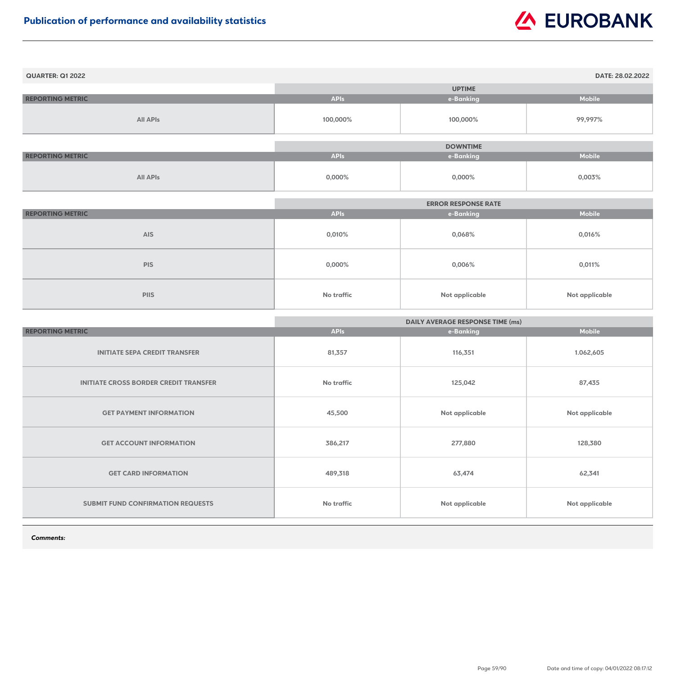| <b>QUARTER: Q1 2022</b> |             |                 | DATE: 28.02.2022 |
|-------------------------|-------------|-----------------|------------------|
|                         |             | <b>UPTIME</b>   |                  |
| <b>REPORTING METRIC</b> | <b>APIs</b> | e-Banking       | <b>Mobile</b>    |
| <b>All APIs</b>         | 100,000%    | 100,000%        | 99,997%          |
|                         |             | <b>DOWNTIME</b> |                  |
|                         |             |                 |                  |
| <b>REPORTING METRIC</b> | <b>APIs</b> | e-Banking       | <b>Mobile</b>    |
| <b>All APIs</b>         | 0,000%      | $0,000\%$       | 0,003%           |

|                         | <b>ERROR RESPONSE RATE</b> |                       |                |
|-------------------------|----------------------------|-----------------------|----------------|
| <b>REPORTING METRIC</b> | <b>APIs</b>                | e-Banking             | <b>Mobile</b>  |
| <b>AIS</b>              | $0,010\%$                  | 0,068%                | 0,016%         |
| <b>PIS</b>              | $0,000\%$                  | $0,006\%$             | 0,011%         |
| <b>PIIS</b>             | <b>No traffic</b>          | <b>Not applicable</b> | Not applicable |

|                                              | <b>DAILY AVERAGE RESPONSE TIME (ms)</b> |                       |                       |
|----------------------------------------------|-----------------------------------------|-----------------------|-----------------------|
| <b>REPORTING METRIC</b>                      | <b>APIs</b>                             | e-Banking             | <b>Mobile</b>         |
| <b>INITIATE SEPA CREDIT TRANSFER</b>         | 81,357                                  | 116,351               | 1.062,605             |
| <b>INITIATE CROSS BORDER CREDIT TRANSFER</b> | No traffic                              | 125,042               | 87,435                |
| <b>GET PAYMENT INFORMATION</b>               | 45,500                                  | Not applicable        | <b>Not applicable</b> |
| <b>GET ACCOUNT INFORMATION</b>               | 386,217                                 | 277,880               | 128,380               |
| <b>GET CARD INFORMATION</b>                  | 489,318                                 | 63,474                | 62,341                |
| <b>SUBMIT FUND CONFIRMATION REQUESTS</b>     | No traffic                              | <b>Not applicable</b> | <b>Not applicable</b> |

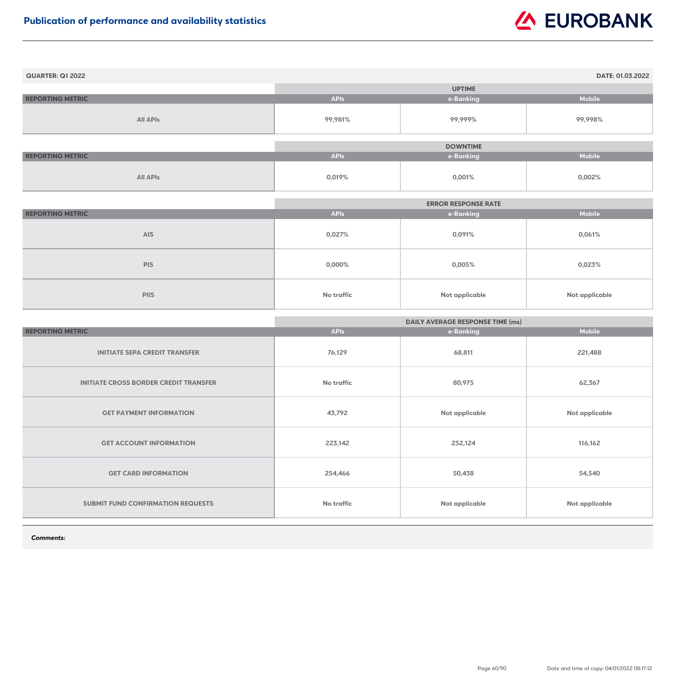| <b>QUARTER: Q1 2022</b> |             |                 | DATE: 01.03.2022 |
|-------------------------|-------------|-----------------|------------------|
|                         |             | <b>UPTIME</b>   |                  |
| <b>REPORTING METRIC</b> | <b>APIs</b> | e-Banking       | <b>Mobile</b>    |
| <b>All APIs</b>         | 99,981%     | 99,999%         | 99,998%          |
|                         |             |                 |                  |
|                         |             | <b>DOWNTIME</b> |                  |
| <b>REPORTING METRIC</b> | <b>APIs</b> | e-Banking       | <b>Mobile</b>    |
| <b>All APIs</b>         | 0,019%      | 0,001%          | 0,002%           |

|                         | <b>ERROR RESPONSE RATE</b> |                       |                       |
|-------------------------|----------------------------|-----------------------|-----------------------|
| <b>REPORTING METRIC</b> | <b>APIs</b>                | e-Banking             | <b>Mobile</b>         |
| <b>AIS</b>              | 0,027%                     | 0,091%                | 0,061%                |
| <b>PIS</b>              | $0,000\%$                  | 0,005%                | 0,023%                |
| <b>PIIS</b>             | <b>No traffic</b>          | <b>Not applicable</b> | <b>Not applicable</b> |

|                                              | <b>DAILY AVERAGE RESPONSE TIME (ms)</b> |                |                |
|----------------------------------------------|-----------------------------------------|----------------|----------------|
| <b>REPORTING METRIC</b>                      | <b>APIs</b>                             | e-Banking      | <b>Mobile</b>  |
| <b>INITIATE SEPA CREDIT TRANSFER</b>         | 76,129                                  | 68,811         | 221,488        |
| <b>INITIATE CROSS BORDER CREDIT TRANSFER</b> | <b>No traffic</b>                       | 80,975         | 62,367         |
| <b>GET PAYMENT INFORMATION</b>               | 43,792                                  | Not applicable | Not applicable |
| <b>GET ACCOUNT INFORMATION</b>               | 223,142                                 | 252,124        | 116,162        |
| <b>GET CARD INFORMATION</b>                  | 254,466                                 | 50,438         | 54,540         |
| <b>SUBMIT FUND CONFIRMATION REQUESTS</b>     | No traffic                              | Not applicable | Not applicable |

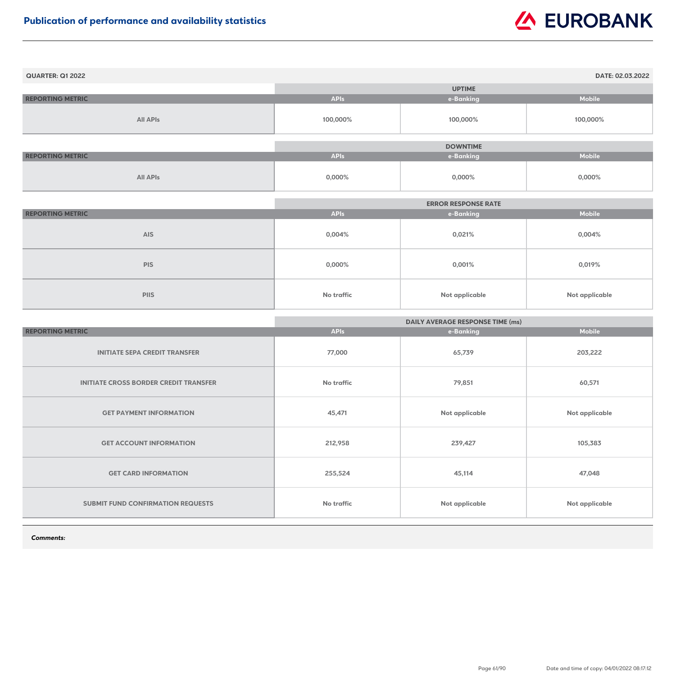| <b>QUARTER: Q1 2022</b> |             |                 | DATE: 02.03.2022 |
|-------------------------|-------------|-----------------|------------------|
|                         |             | <b>UPTIME</b>   |                  |
| <b>REPORTING METRIC</b> | <b>APIs</b> | e-Banking       | <b>Mobile</b>    |
| <b>All APIs</b>         | 100,000%    | 100,000%        | 100,000%         |
|                         |             | <b>DOWNTIME</b> |                  |
| <b>REPORTING METRIC</b> | <b>APIs</b> | e-Banking       | <b>Mobile</b>    |
| <b>All APIs</b>         | $0,000\%$   | $0,000\%$       | $0,000\%$        |

|                         |             | <b>ERROR RESPONSE RATE</b> |                       |
|-------------------------|-------------|----------------------------|-----------------------|
| <b>REPORTING METRIC</b> | <b>APIs</b> | e-Banking                  | <b>Mobile</b>         |
| <b>AIS</b>              | 0,004%      | 0,021%                     | $0,004\%$             |
| <b>PIS</b>              | $0,000\%$   | 0,001%                     | 0,019%                |
| <b>PIIS</b>             | No traffic  | <b>Not applicable</b>      | <b>Not applicable</b> |

|                                              | <b>DAILY AVERAGE RESPONSE TIME (ms)</b> |                |                       |
|----------------------------------------------|-----------------------------------------|----------------|-----------------------|
| <b>REPORTING METRIC</b>                      | <b>APIs</b>                             | e-Banking      | <b>Mobile</b>         |
| <b>INITIATE SEPA CREDIT TRANSFER</b>         | 77,000                                  | 65,739         | 203,222               |
| <b>INITIATE CROSS BORDER CREDIT TRANSFER</b> | No traffic                              | 79,851         | 60,571                |
| <b>GET PAYMENT INFORMATION</b>               | 45,471                                  | Not applicable | <b>Not applicable</b> |
| <b>GET ACCOUNT INFORMATION</b>               | 212,958                                 | 239,427        | 105,383               |
| <b>GET CARD INFORMATION</b>                  | 255,524                                 | 45,114         | 47,048                |
| <b>SUBMIT FUND CONFIRMATION REQUESTS</b>     | No traffic                              | Not applicable | <b>Not applicable</b> |

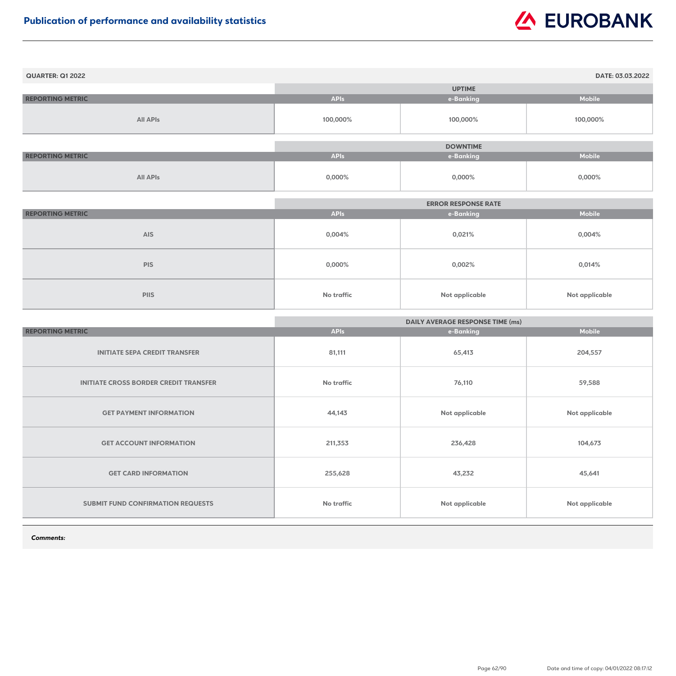| <b>QUARTER: Q1 2022</b> |             |                 | DATE: 03.03.2022 |
|-------------------------|-------------|-----------------|------------------|
|                         |             | <b>UPTIME</b>   |                  |
| <b>REPORTING METRIC</b> | <b>APIs</b> | e-Banking       | <b>Mobile</b>    |
| <b>All APIs</b>         | 100,000%    | 100,000%        | 100,000%         |
|                         |             | <b>DOWNTIME</b> |                  |
| <b>REPORTING METRIC</b> | <b>APIs</b> | e-Banking       | <b>Mobile</b>    |
| <b>All APIs</b>         | $0,000\%$   | $0,000\%$       | 0,000%           |

|                         |             | <b>ERROR RESPONSE RATE</b> |                       |
|-------------------------|-------------|----------------------------|-----------------------|
| <b>REPORTING METRIC</b> | <b>APIs</b> | e-Banking                  | <b>Mobile</b>         |
| <b>AIS</b>              | 0,004%      | 0,021%                     | $0,004\%$             |
| <b>PIS</b>              | $0,000\%$   | $0,002\%$                  | 0,014%                |
| <b>PIIS</b>             | No traffic  | <b>Not applicable</b>      | <b>Not applicable</b> |

|                                              | <b>DAILY AVERAGE RESPONSE TIME (ms)</b> |                |                       |
|----------------------------------------------|-----------------------------------------|----------------|-----------------------|
| <b>REPORTING METRIC</b>                      | <b>APIs</b>                             | e-Banking      | <b>Mobile</b>         |
| <b>INITIATE SEPA CREDIT TRANSFER</b>         | 81,111                                  | 65,413         | 204,557               |
| <b>INITIATE CROSS BORDER CREDIT TRANSFER</b> | <b>No traffic</b>                       | 76,110         | 59,588                |
| <b>GET PAYMENT INFORMATION</b>               | 44,143                                  | Not applicable | <b>Not applicable</b> |
| <b>GET ACCOUNT INFORMATION</b>               | 211,353                                 | 236,428        | 104,673               |
| <b>GET CARD INFORMATION</b>                  | 255,628                                 | 43,232         | 45,641                |
| <b>SUBMIT FUND CONFIRMATION REQUESTS</b>     | <b>No traffic</b>                       | Not applicable | <b>Not applicable</b> |

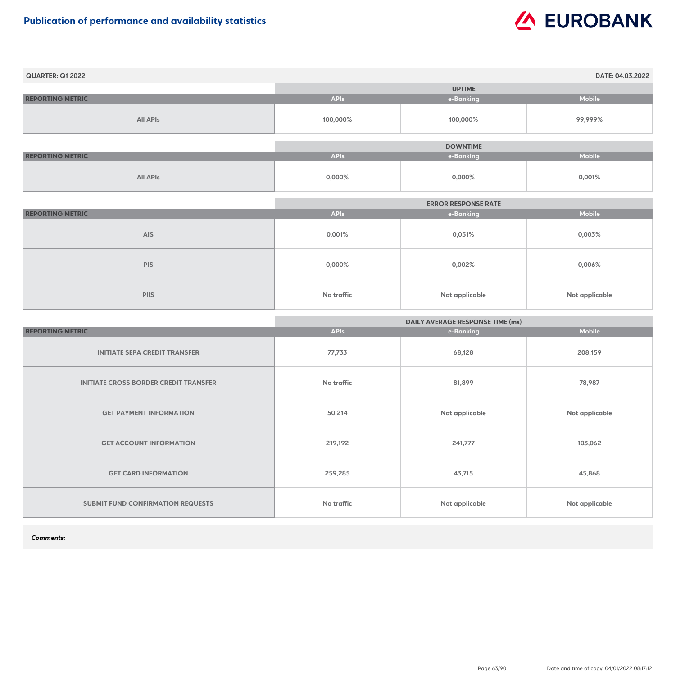| <b>QUARTER: Q1 2022</b> |             |                 | DATE: 04.03.2022 |
|-------------------------|-------------|-----------------|------------------|
|                         |             | <b>UPTIME</b>   |                  |
| <b>REPORTING METRIC</b> | <b>APIs</b> | e-Banking       | <b>Mobile</b>    |
| <b>All APIs</b>         | 100,000%    | 100,000%        | 99,999%          |
|                         |             | <b>DOWNTIME</b> |                  |
| <b>REPORTING METRIC</b> | <b>APIs</b> | e-Banking       | <b>Mobile</b>    |
| <b>All APIs</b>         | $0,000\%$   | $0,000\%$       | 0,001%           |

|                         | <b>ERROR RESPONSE RATE</b> |                |                       |
|-------------------------|----------------------------|----------------|-----------------------|
| <b>REPORTING METRIC</b> | <b>APIs</b>                | e-Banking      | <b>Mobile</b>         |
| <b>AIS</b>              | 0,001%                     | 0,051%         | 0,003%                |
| <b>PIS</b>              | $0,000\%$                  | $0,002\%$      | $0,006\%$             |
| <b>PIIS</b>             | <b>No traffic</b>          | Not applicable | <b>Not applicable</b> |

|                                              | <b>DAILY AVERAGE RESPONSE TIME (ms)</b> |                       |                       |
|----------------------------------------------|-----------------------------------------|-----------------------|-----------------------|
| <b>REPORTING METRIC</b>                      | <b>APIs</b>                             | e-Banking             | <b>Mobile</b>         |
| <b>INITIATE SEPA CREDIT TRANSFER</b>         | 77,733                                  | 68,128                | 208,159               |
| <b>INITIATE CROSS BORDER CREDIT TRANSFER</b> | <b>No traffic</b>                       | 81,899                | 78,987                |
| <b>GET PAYMENT INFORMATION</b>               | 50,214                                  | Not applicable        | <b>Not applicable</b> |
| <b>GET ACCOUNT INFORMATION</b>               | 219,192                                 | 241,777               | 103,062               |
| <b>GET CARD INFORMATION</b>                  | 259,285                                 | 43,715                | 45,868                |
| <b>SUBMIT FUND CONFIRMATION REQUESTS</b>     | <b>No traffic</b>                       | <b>Not applicable</b> | <b>Not applicable</b> |

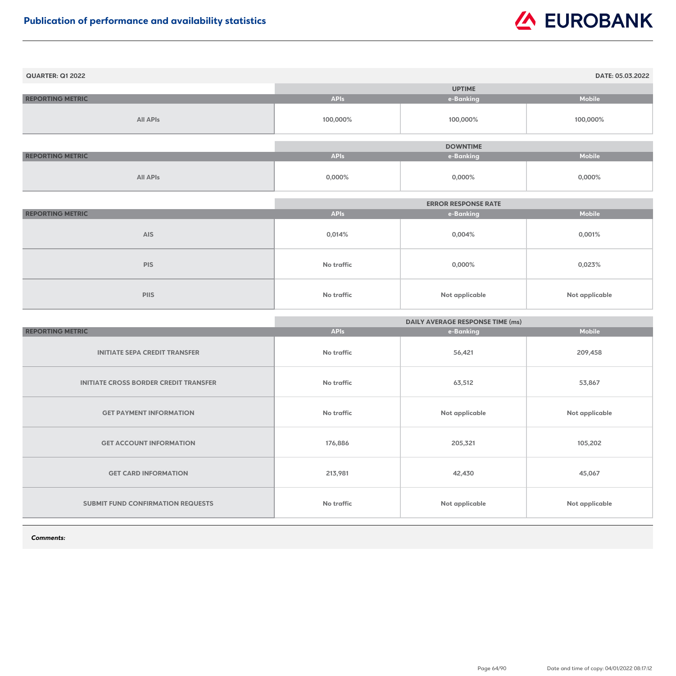| <b>QUARTER: Q1 2022</b> |             |                 | DATE: 05.03.2022 |
|-------------------------|-------------|-----------------|------------------|
|                         |             | <b>UPTIME</b>   |                  |
| <b>REPORTING METRIC</b> | <b>APIs</b> | e-Banking       | <b>Mobile</b>    |
| <b>All APIs</b>         | 100,000%    | 100,000%        | 100,000%         |
|                         |             |                 |                  |
|                         |             | <b>DOWNTIME</b> |                  |
| <b>REPORTING METRIC</b> | <b>APIs</b> | e-Banking       | <b>Mobile</b>    |
| <b>All APIs</b>         | $0,000\%$   | $0,000\%$       | 0,000%           |

|                         | <b>ERROR RESPONSE RATE</b> |                |                       |
|-------------------------|----------------------------|----------------|-----------------------|
| <b>REPORTING METRIC</b> | <b>APIs</b>                | e-Banking      | <b>Mobile</b>         |
| <b>AIS</b>              | 0,014%                     | $0,004\%$      | 0,001%                |
| <b>PIS</b>              | No traffic                 | $0,000\%$      | 0,023%                |
| <b>PIIS</b>             | No traffic                 | Not applicable | <b>Not applicable</b> |

|                                              | <b>DAILY AVERAGE RESPONSE TIME (ms)</b> |                       |                       |
|----------------------------------------------|-----------------------------------------|-----------------------|-----------------------|
| <b>REPORTING METRIC</b>                      | <b>APIs</b>                             | e-Banking             | <b>Mobile</b>         |
| <b>INITIATE SEPA CREDIT TRANSFER</b>         | No traffic                              | 56,421                | 209,458               |
| <b>INITIATE CROSS BORDER CREDIT TRANSFER</b> | <b>No traffic</b>                       | 63,512                | 53,867                |
| <b>GET PAYMENT INFORMATION</b>               | No traffic                              | Not applicable        | <b>Not applicable</b> |
| <b>GET ACCOUNT INFORMATION</b>               | 176,886                                 | 205,321               | 105,202               |
| <b>GET CARD INFORMATION</b>                  | 213,981                                 | 42,430                | 45,067                |
| <b>SUBMIT FUND CONFIRMATION REQUESTS</b>     | <b>No traffic</b>                       | <b>Not applicable</b> | <b>Not applicable</b> |

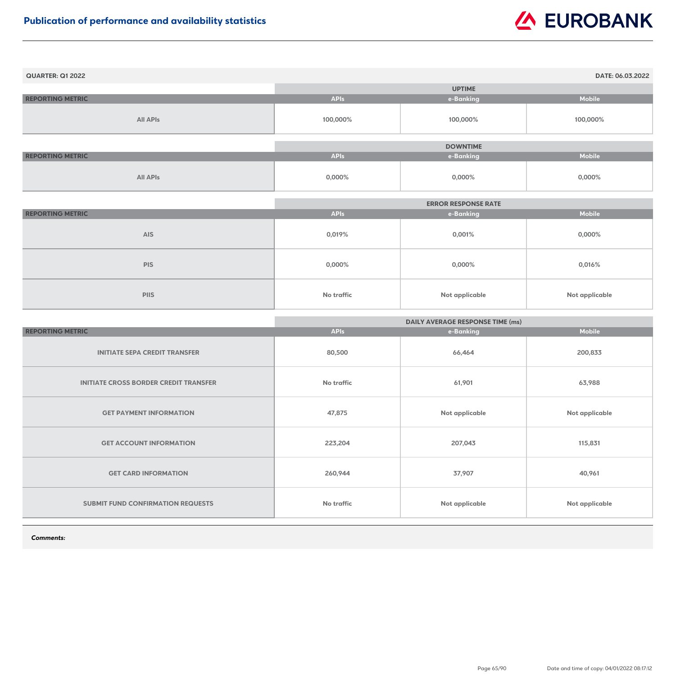| <b>QUARTER: Q1 2022</b> |             |                 | DATE: 06.03.2022 |
|-------------------------|-------------|-----------------|------------------|
|                         |             | <b>UPTIME</b>   |                  |
| <b>REPORTING METRIC</b> | <b>APIs</b> | e-Banking       | <b>Mobile</b>    |
| <b>All APIs</b>         | 100,000%    | 100,000%        | 100,000%         |
|                         |             | <b>DOWNTIME</b> |                  |
| <b>REPORTING METRIC</b> | <b>APIs</b> | e-Banking       | <b>Mobile</b>    |
| <b>All APIs</b>         | $0,000\%$   | $0,000\%$       | 0,000%           |

|                         | <b>ERROR RESPONSE RATE</b> |                |                       |
|-------------------------|----------------------------|----------------|-----------------------|
| <b>REPORTING METRIC</b> | <b>APIs</b>                | e-Banking      | <b>Mobile</b>         |
| <b>AIS</b>              | 0,019%                     | 0,001%         | $0,000\%$             |
| <b>PIS</b>              | $0,000\%$                  | $0,000\%$      | 0,016%                |
| <b>PIIS</b>             | No traffic                 | Not applicable | <b>Not applicable</b> |

|                                              | <b>DAILY AVERAGE RESPONSE TIME (ms)</b> |                       |                       |
|----------------------------------------------|-----------------------------------------|-----------------------|-----------------------|
| <b>REPORTING METRIC</b>                      | <b>APIs</b>                             | e-Banking             | <b>Mobile</b>         |
| <b>INITIATE SEPA CREDIT TRANSFER</b>         | 80,500                                  | 66,464                | 200,833               |
| <b>INITIATE CROSS BORDER CREDIT TRANSFER</b> | No traffic                              | 61,901                | 63,988                |
| <b>GET PAYMENT INFORMATION</b>               | 47,875                                  | Not applicable        | <b>Not applicable</b> |
| <b>GET ACCOUNT INFORMATION</b>               | 223,204                                 | 207,043               | 115,831               |
| <b>GET CARD INFORMATION</b>                  | 260,944                                 | 37,907                | 40,961                |
| <b>SUBMIT FUND CONFIRMATION REQUESTS</b>     | No traffic                              | <b>Not applicable</b> | <b>Not applicable</b> |

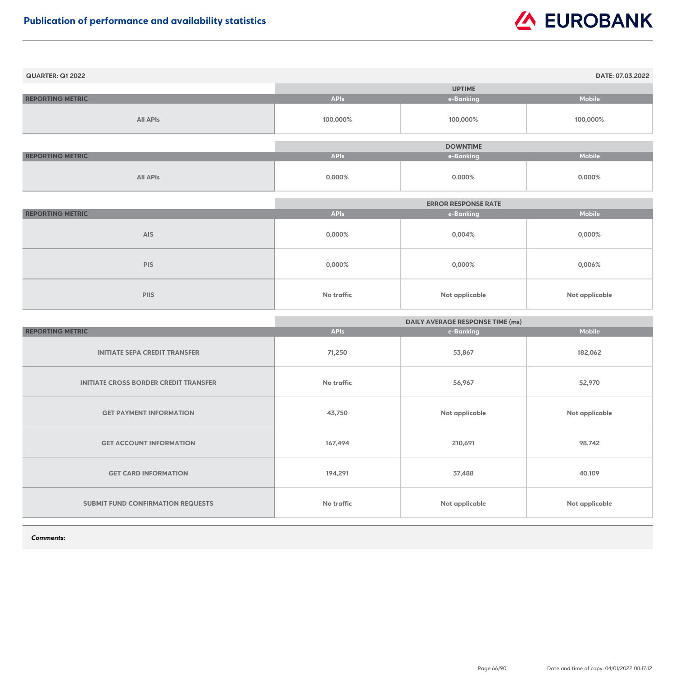| <b>QUARTER: Q1 2022</b> |             |                 | DATE: 07.03.2022 |
|-------------------------|-------------|-----------------|------------------|
|                         |             | <b>UPTIME</b>   |                  |
| <b>REPORTING METRIC</b> | <b>APIs</b> | e-Banking       | <b>Mobile</b>    |
| <b>All APIs</b>         | 100,000%    | 100,000%        | 100,000%         |
|                         |             |                 |                  |
|                         |             | <b>DOWNTIME</b> |                  |
| <b>REPORTING METRIC</b> | <b>APIs</b> | e-Banking       | <b>Mobile</b>    |
| <b>All APIs</b>         | $0,000\%$   | $0,000\%$       | $0,000\%$        |

|                         | <b>ERROR RESPONSE RATE</b> |                       |                |
|-------------------------|----------------------------|-----------------------|----------------|
| <b>REPORTING METRIC</b> | <b>APIs</b>                | e-Banking             | <b>Mobile</b>  |
| <b>AIS</b>              | 0,000%                     | $0,004\%$             | 0,000%         |
| <b>PIS</b>              | 0,000%                     | $0,000\%$             | 0,006%         |
| <b>PIIS</b>             | <b>No traffic</b>          | <b>Not applicable</b> | Not applicable |

|                                              | <b>DAILY AVERAGE RESPONSE TIME (ms)</b> |                       |                       |
|----------------------------------------------|-----------------------------------------|-----------------------|-----------------------|
| <b>REPORTING METRIC</b>                      | <b>APIs</b>                             | e-Banking             | <b>Mobile</b>         |
| <b>INITIATE SEPA CREDIT TRANSFER</b>         | 71,250                                  | 53,867                | 182,062               |
| <b>INITIATE CROSS BORDER CREDIT TRANSFER</b> | <b>No traffic</b>                       | 56,967                | 52,970                |
| <b>GET PAYMENT INFORMATION</b>               | 43,750                                  | Not applicable        | <b>Not applicable</b> |
| <b>GET ACCOUNT INFORMATION</b>               | 167,494                                 | 210,691               | 98,742                |
| <b>GET CARD INFORMATION</b>                  | 194,291                                 | 37,488                | 40,109                |
| <b>SUBMIT FUND CONFIRMATION REQUESTS</b>     | <b>No traffic</b>                       | <b>Not applicable</b> | <b>Not applicable</b> |

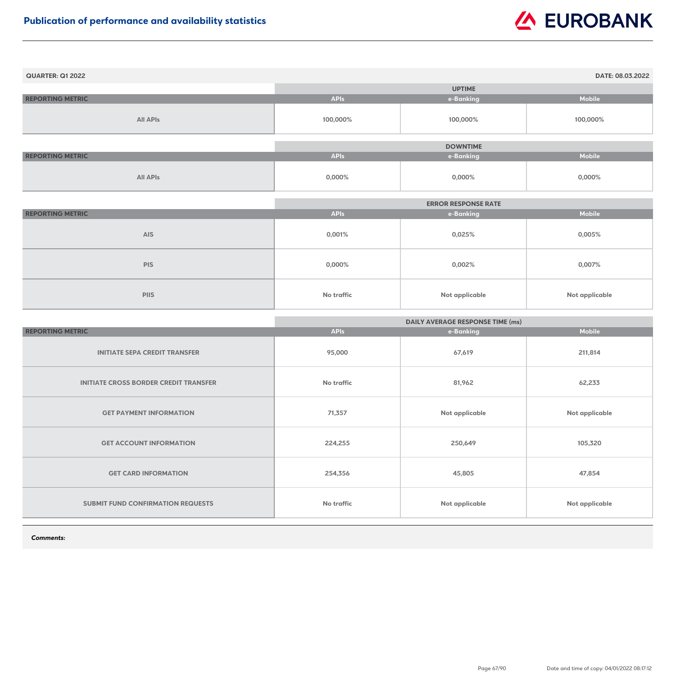| <b>QUARTER: Q1 2022</b> |             |                 | DATE: 08.03.2022 |
|-------------------------|-------------|-----------------|------------------|
|                         |             | <b>UPTIME</b>   |                  |
| <b>REPORTING METRIC</b> | <b>APIs</b> | e-Banking       | <b>Mobile</b>    |
| <b>All APIs</b>         | 100,000%    | 100,000%        | 100,000%         |
|                         |             | <b>DOWNTIME</b> |                  |
| <b>REPORTING METRIC</b> | <b>APIs</b> | e-Banking       | <b>Mobile</b>    |
| <b>All APIs</b>         | $0,000\%$   | $0,000\%$       | 0,000%           |

|                         | <b>ERROR RESPONSE RATE</b> |                |                |
|-------------------------|----------------------------|----------------|----------------|
| <b>REPORTING METRIC</b> | <b>APIs</b>                | e-Banking      | <b>Mobile</b>  |
| <b>AIS</b>              | 0,001%                     | 0,025%         | 0,005%         |
| <b>PIS</b>              | $0,000\%$                  | 0,002%         | 0,007%         |
| <b>PIIS</b>             | No traffic                 | Not applicable | Not applicable |

|                                              | <b>DAILY AVERAGE RESPONSE TIME (ms)</b> |                |                       |
|----------------------------------------------|-----------------------------------------|----------------|-----------------------|
| <b>REPORTING METRIC</b>                      | <b>APIs</b>                             | e-Banking      | <b>Mobile</b>         |
| <b>INITIATE SEPA CREDIT TRANSFER</b>         | 95,000                                  | 67,619         | 211,814               |
| <b>INITIATE CROSS BORDER CREDIT TRANSFER</b> | No traffic                              | 81,962         | 62,233                |
| <b>GET PAYMENT INFORMATION</b>               | 71,357                                  | Not applicable | <b>Not applicable</b> |
| <b>GET ACCOUNT INFORMATION</b>               | 224,255                                 | 250,649        | 105,320               |
| <b>GET CARD INFORMATION</b>                  | 254,356                                 | 45,805         | 47,854                |
| <b>SUBMIT FUND CONFIRMATION REQUESTS</b>     | <b>No traffic</b>                       | Not applicable | <b>Not applicable</b> |

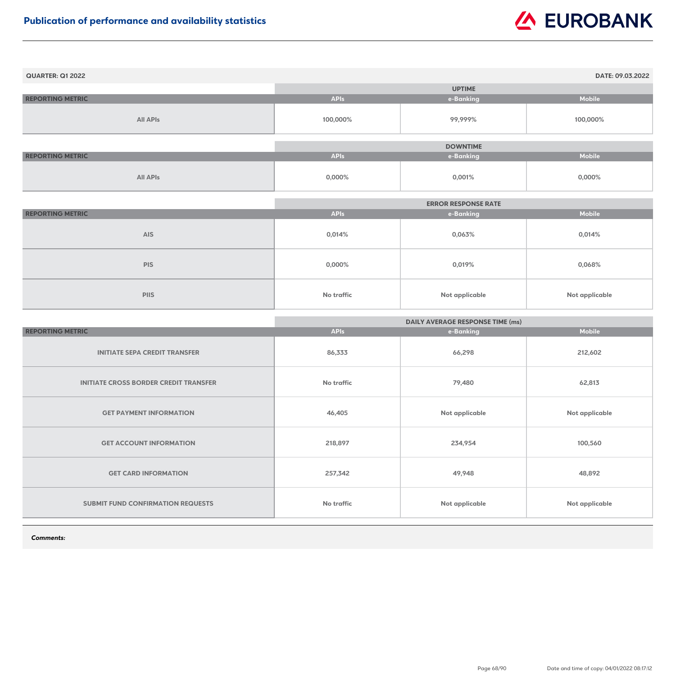| <b>QUARTER: Q1 2022</b> |             |                 | DATE: 09.03.2022 |
|-------------------------|-------------|-----------------|------------------|
|                         |             | <b>UPTIME</b>   |                  |
| <b>REPORTING METRIC</b> | <b>APIs</b> | e-Banking       | <b>Mobile</b>    |
| <b>All APIs</b>         | 100,000%    | 99,999%         | 100,000%         |
|                         |             |                 |                  |
|                         |             | <b>DOWNTIME</b> |                  |
| <b>REPORTING METRIC</b> | <b>APIs</b> | e-Banking       | <b>Mobile</b>    |
| <b>All APIs</b>         | $0,000\%$   | 0,001%          | $0,000\%$        |

|                         |                   | <b>ERROR RESPONSE RATE</b> |                |
|-------------------------|-------------------|----------------------------|----------------|
| <b>REPORTING METRIC</b> | <b>APIs</b>       | e-Banking                  | <b>Mobile</b>  |
| <b>AIS</b>              | 0,014%            | 0,063%                     | 0,014%         |
| <b>PIS</b>              | $0,000\%$         | 0,019%                     | 0,068%         |
| <b>PIIS</b>             | <b>No traffic</b> | Not applicable             | Not applicable |

|                                              | <b>DAILY AVERAGE RESPONSE TIME (ms)</b> |                |                       |
|----------------------------------------------|-----------------------------------------|----------------|-----------------------|
| <b>REPORTING METRIC</b>                      | <b>APIs</b>                             | e-Banking      | <b>Mobile</b>         |
| <b>INITIATE SEPA CREDIT TRANSFER</b>         | 86,333                                  | 66,298         | 212,602               |
| <b>INITIATE CROSS BORDER CREDIT TRANSFER</b> | <b>No traffic</b>                       | 79,480         | 62,813                |
| <b>GET PAYMENT INFORMATION</b>               | 46,405                                  | Not applicable | <b>Not applicable</b> |
| <b>GET ACCOUNT INFORMATION</b>               | 218,897                                 | 234,954        | 100,560               |
| <b>GET CARD INFORMATION</b>                  | 257,342                                 | 49,948         | 48,892                |
| SUBMIT FUND CONFIRMATION REQUESTS            | <b>No traffic</b>                       | Not applicable | <b>Not applicable</b> |

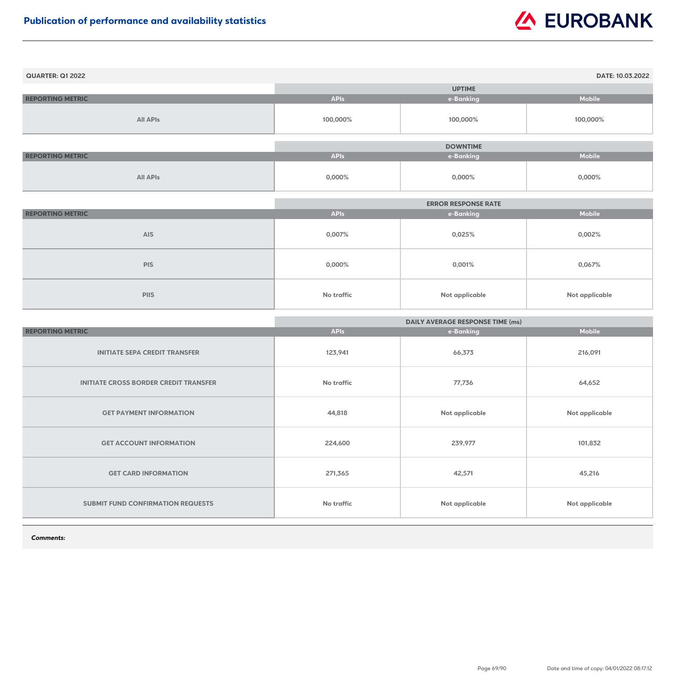| <b>QUARTER: Q1 2022</b> |             |                 | DATE: 10.03.2022 |
|-------------------------|-------------|-----------------|------------------|
|                         |             | <b>UPTIME</b>   |                  |
| <b>REPORTING METRIC</b> | <b>APIs</b> | e-Banking       | <b>Mobile</b>    |
| <b>All APIs</b>         | 100,000%    | 100,000%        | 100,000%         |
|                         |             |                 |                  |
|                         |             | <b>DOWNTIME</b> |                  |
| <b>REPORTING METRIC</b> | <b>APIs</b> | e-Banking       | <b>Mobile</b>    |
| <b>All APIs</b>         | 0,000%      | $0,000\%$       | $0,000\%$        |

|                         | <b>ERROR RESPONSE RATE</b> |                       |                |
|-------------------------|----------------------------|-----------------------|----------------|
| <b>REPORTING METRIC</b> | <b>APIs</b>                | e-Banking             | <b>Mobile</b>  |
| <b>AIS</b>              | 0,007%                     | 0,025%                | 0,002%         |
| <b>PIS</b>              | 0,000%                     | 0,001%                | 0,067%         |
| <b>PIIS</b>             | <b>No traffic</b>          | <b>Not applicable</b> | Not applicable |

|                                              | <b>DAILY AVERAGE RESPONSE TIME (ms)</b> |                |                       |
|----------------------------------------------|-----------------------------------------|----------------|-----------------------|
| <b>REPORTING METRIC</b>                      | <b>APIs</b>                             | e-Banking      | <b>Mobile</b>         |
| <b>INITIATE SEPA CREDIT TRANSFER</b>         | 123,941                                 | 66,373         | 216,091               |
| <b>INITIATE CROSS BORDER CREDIT TRANSFER</b> | <b>No traffic</b>                       | 77,736         | 64,652                |
| <b>GET PAYMENT INFORMATION</b>               | 44,818                                  | Not applicable | <b>Not applicable</b> |
| <b>GET ACCOUNT INFORMATION</b>               | 224,600                                 | 239,977        | 101,832               |
| <b>GET CARD INFORMATION</b>                  | 271,365                                 | 42,571         | 45,216                |
| SUBMIT FUND CONFIRMATION REQUESTS            | <b>No traffic</b>                       | Not applicable | <b>Not applicable</b> |

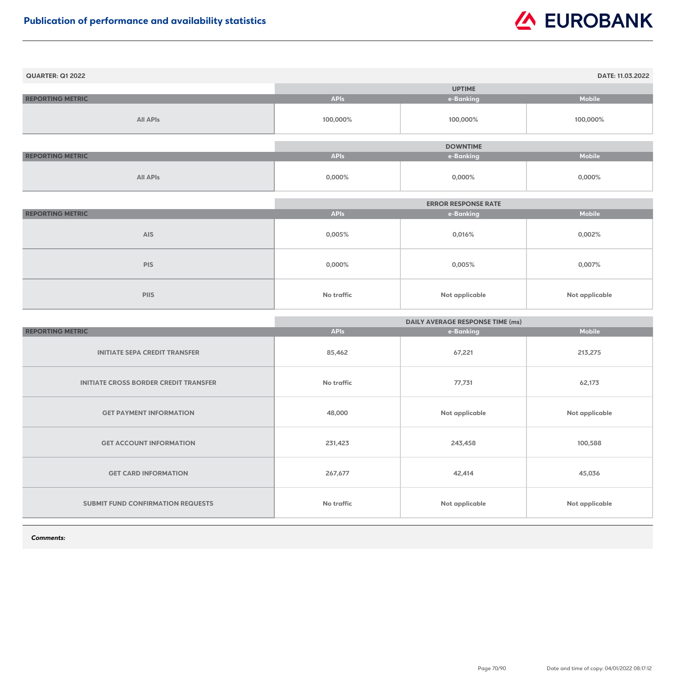| <b>QUARTER: Q1 2022</b> |             |                 | DATE: 11.03.2022 |
|-------------------------|-------------|-----------------|------------------|
|                         |             | <b>UPTIME</b>   |                  |
| <b>REPORTING METRIC</b> | <b>APIs</b> | e-Banking       | <b>Mobile</b>    |
| <b>All APIs</b>         | 100,000%    | 100,000%        | 100,000%         |
|                         |             |                 |                  |
|                         |             | <b>DOWNTIME</b> |                  |
| <b>REPORTING METRIC</b> | <b>APIs</b> | e-Banking       | <b>Mobile</b>    |
| <b>All APIs</b>         | $0,000\%$   | $0,000\%$       | $0,000\%$        |

|                         |                   | <b>ERROR RESPONSE RATE</b> |                |
|-------------------------|-------------------|----------------------------|----------------|
| <b>REPORTING METRIC</b> | <b>APIs</b>       | e-Banking                  | <b>Mobile</b>  |
| <b>AIS</b>              | 0,005%            | 0,016%                     | 0,002%         |
| <b>PIS</b>              | $0,000\%$         | 0,005%                     | 0,007%         |
| <b>PIIS</b>             | <b>No traffic</b> | <b>Not applicable</b>      | Not applicable |

|                                              | <b>DAILY AVERAGE RESPONSE TIME (ms)</b> |                |                       |
|----------------------------------------------|-----------------------------------------|----------------|-----------------------|
| <b>REPORTING METRIC</b>                      | <b>APIs</b>                             | e-Banking      | <b>Mobile</b>         |
| <b>INITIATE SEPA CREDIT TRANSFER</b>         | 85,462                                  | 67,221         | 213,275               |
| <b>INITIATE CROSS BORDER CREDIT TRANSFER</b> | <b>No traffic</b>                       | 77,731         | 62,173                |
| <b>GET PAYMENT INFORMATION</b>               | 48,000                                  | Not applicable | <b>Not applicable</b> |
| <b>GET ACCOUNT INFORMATION</b>               | 231,423                                 | 243,458        | 100,588               |
| <b>GET CARD INFORMATION</b>                  | 267,677                                 | 42,414         | 45,036                |
| <b>SUBMIT FUND CONFIRMATION REQUESTS</b>     | No traffic                              | Not applicable | <b>Not applicable</b> |

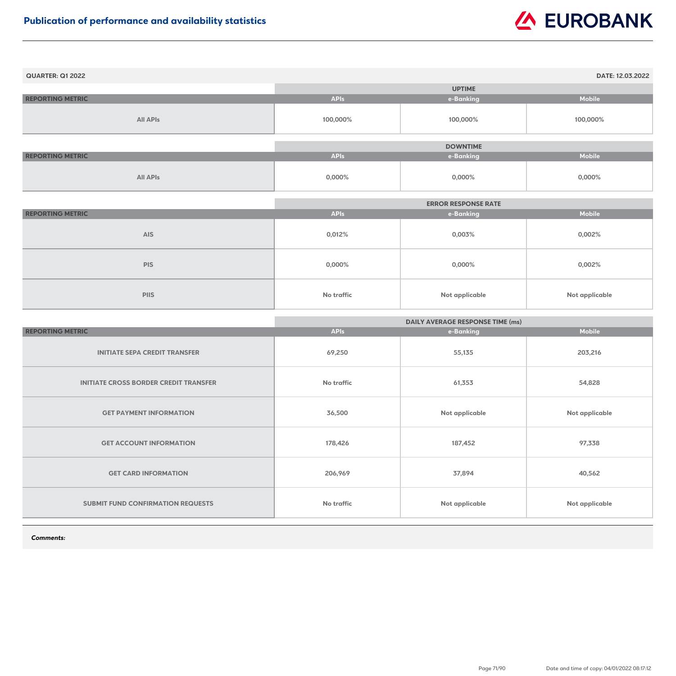| <b>QUARTER: Q1 2022</b> |             |                 | DATE: 12.03.2022 |
|-------------------------|-------------|-----------------|------------------|
|                         |             | <b>UPTIME</b>   |                  |
| <b>REPORTING METRIC</b> | <b>APIs</b> | e-Banking       | <b>Mobile</b>    |
| <b>All APIs</b>         | 100,000%    | 100,000%        | 100,000%         |
|                         |             |                 |                  |
|                         |             | <b>DOWNTIME</b> |                  |
| <b>REPORTING METRIC</b> | <b>APIs</b> | e-Banking       | <b>Mobile</b>    |
| <b>All APIs</b>         | $0,000\%$   | $0,000\%$       | $0,000\%$        |

|                         | <b>ERROR RESPONSE RATE</b> |                       |                       |
|-------------------------|----------------------------|-----------------------|-----------------------|
| <b>REPORTING METRIC</b> | <b>APIs</b>                | e-Banking             | <b>Mobile</b>         |
| <b>AIS</b>              | 0,012%                     | 0,003%                | 0,002%                |
| <b>PIS</b>              | $0,000\%$                  | $0,000\%$             | 0,002%                |
| <b>PIIS</b>             | <b>No traffic</b>          | <b>Not applicable</b> | <b>Not applicable</b> |

|                                              | <b>DAILY AVERAGE RESPONSE TIME (ms)</b> |                       |                       |
|----------------------------------------------|-----------------------------------------|-----------------------|-----------------------|
| <b>REPORTING METRIC</b>                      | <b>APIs</b>                             | e-Banking             | <b>Mobile</b>         |
| <b>INITIATE SEPA CREDIT TRANSFER</b>         | 69,250                                  | 55,135                | 203,216               |
| <b>INITIATE CROSS BORDER CREDIT TRANSFER</b> | <b>No traffic</b>                       | 61,353                | 54,828                |
| <b>GET PAYMENT INFORMATION</b>               | 36,500                                  | Not applicable        | <b>Not applicable</b> |
| <b>GET ACCOUNT INFORMATION</b>               | 178,426                                 | 187,452               | 97,338                |
| <b>GET CARD INFORMATION</b>                  | 206,969                                 | 37,894                | 40,562                |
| <b>SUBMIT FUND CONFIRMATION REQUESTS</b>     | No traffic                              | <b>Not applicable</b> | <b>Not applicable</b> |

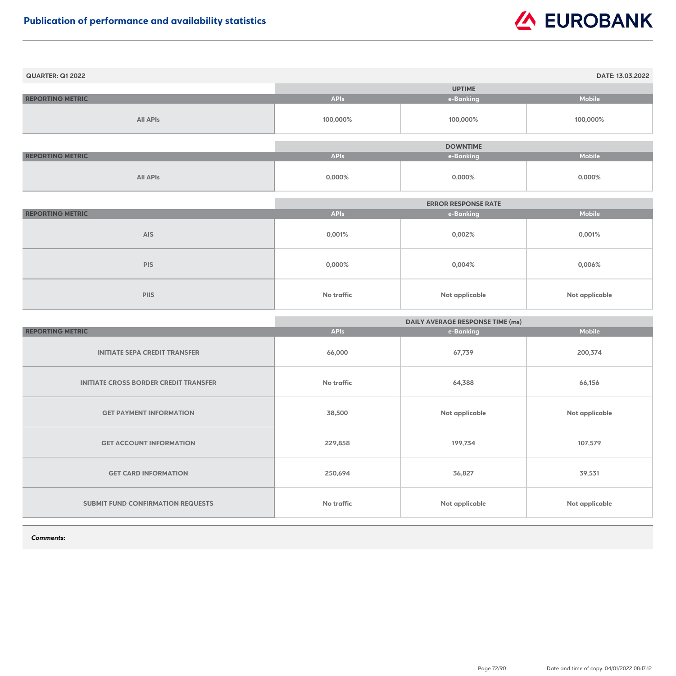| <b>QUARTER: Q1 2022</b> |             |                 | DATE: 13.03.2022 |
|-------------------------|-------------|-----------------|------------------|
|                         |             | <b>UPTIME</b>   |                  |
| <b>REPORTING METRIC</b> | <b>APIs</b> | e-Banking       | <b>Mobile</b>    |
| <b>All APIs</b>         | 100,000%    | 100,000%        | 100,000%         |
|                         |             |                 |                  |
|                         |             | <b>DOWNTIME</b> |                  |
| <b>REPORTING METRIC</b> | <b>APIs</b> | e-Banking       | <b>Mobile</b>    |
| <b>All APIs</b>         | $0,000\%$   | $0,000\%$       | $0,000\%$        |

|                         | <b>ERROR RESPONSE RATE</b> |                       |                |
|-------------------------|----------------------------|-----------------------|----------------|
| <b>REPORTING METRIC</b> | <b>APIs</b>                | e-Banking             | <b>Mobile</b>  |
| <b>AIS</b>              | 0,001%                     | 0,002%                | 0,001%         |
| <b>PIS</b>              | $0,000\%$                  | 0,004%                | $0,006\%$      |
| <b>PIIS</b>             | <b>No traffic</b>          | <b>Not applicable</b> | Not applicable |

|                                              | <b>DAILY AVERAGE RESPONSE TIME (ms)</b> |                |                       |
|----------------------------------------------|-----------------------------------------|----------------|-----------------------|
| <b>REPORTING METRIC</b>                      | <b>APIs</b>                             | e-Banking      | <b>Mobile</b>         |
| <b>INITIATE SEPA CREDIT TRANSFER</b>         | 66,000                                  | 67,739         | 200,374               |
| <b>INITIATE CROSS BORDER CREDIT TRANSFER</b> | <b>No traffic</b>                       | 64,388         | 66,156                |
| <b>GET PAYMENT INFORMATION</b>               | 38,500                                  | Not applicable | <b>Not applicable</b> |
| <b>GET ACCOUNT INFORMATION</b>               | 229,858                                 | 199,734        | 107,579               |
| <b>GET CARD INFORMATION</b>                  | 250,694                                 | 36,827         | 39,531                |
| <b>SUBMIT FUND CONFIRMATION REQUESTS</b>     | <b>No traffic</b>                       | Not applicable | <b>Not applicable</b> |

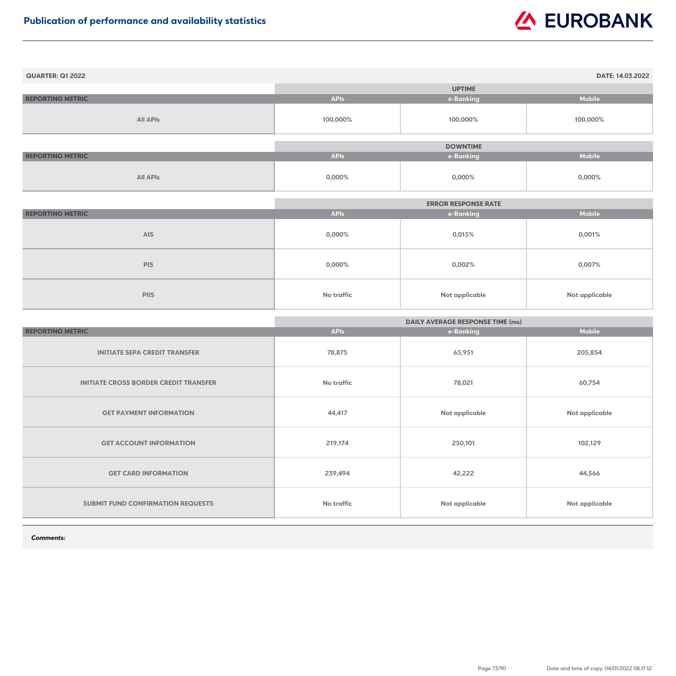| <b>QUARTER: Q1 2022</b> |             |                 | DATE: 14.03.2022 |
|-------------------------|-------------|-----------------|------------------|
|                         |             | <b>UPTIME</b>   |                  |
| <b>REPORTING METRIC</b> | <b>APIs</b> | e-Banking       | <b>Mobile</b>    |
| <b>All APIs</b>         | 100,000%    | 100,000%        | 100,000%         |
|                         |             |                 |                  |
|                         |             | <b>DOWNTIME</b> |                  |
| <b>REPORTING METRIC</b> | <b>APIs</b> | e-Banking       | <b>Mobile</b>    |
| <b>All APIs</b>         | $0,000\%$   | $0,000\%$       | $0,000\%$        |

|                         | <b>ERROR RESPONSE RATE</b> |                       |                       |
|-------------------------|----------------------------|-----------------------|-----------------------|
| <b>REPORTING METRIC</b> | <b>APIs</b>                | e-Banking             | <b>Mobile</b>         |
| <b>AIS</b>              | $0,000\%$                  | 0,015%                | 0,001%                |
| <b>PIS</b>              | $0,000\%$                  | 0,002%                | 0,007%                |
| <b>PIIS</b>             | No traffic                 | <b>Not applicable</b> | <b>Not applicable</b> |

|                                              | <b>DAILY AVERAGE RESPONSE TIME (ms)</b> |                       |                       |
|----------------------------------------------|-----------------------------------------|-----------------------|-----------------------|
| <b>REPORTING METRIC</b>                      | <b>APIs</b>                             | e-Banking             | <b>Mobile</b>         |
| <b>INITIATE SEPA CREDIT TRANSFER</b>         | 78,875                                  | 65,951                | 205,854               |
| <b>INITIATE CROSS BORDER CREDIT TRANSFER</b> | <b>No traffic</b>                       | 78,021                | 60,754                |
| <b>GET PAYMENT INFORMATION</b>               | 44,417                                  | Not applicable        | Not applicable        |
| <b>GET ACCOUNT INFORMATION</b>               | 219,174                                 | 250,101               | 102,129               |
| <b>GET CARD INFORMATION</b>                  | 239,494                                 | 42,222                | 44,566                |
| <b>SUBMIT FUND CONFIRMATION REQUESTS</b>     | <b>No traffic</b>                       | <b>Not applicable</b> | <b>Not applicable</b> |

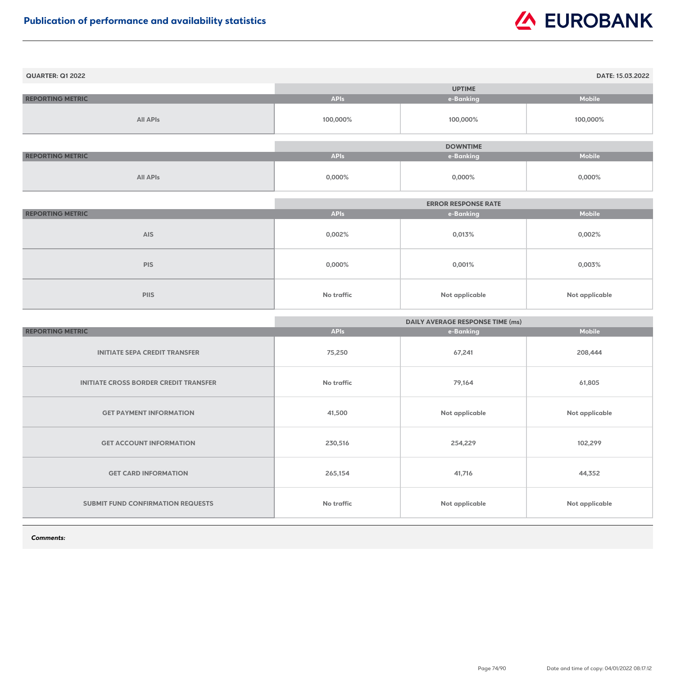| <b>QUARTER: Q1 2022</b> |             |                 | DATE: 15.03.2022 |
|-------------------------|-------------|-----------------|------------------|
|                         |             | <b>UPTIME</b>   |                  |
| <b>REPORTING METRIC</b> | <b>APIs</b> | e-Banking       | <b>Mobile</b>    |
| <b>All APIs</b>         | 100,000%    | 100,000%        | 100,000%         |
|                         |             |                 |                  |
|                         |             | <b>DOWNTIME</b> |                  |
| <b>REPORTING METRIC</b> | <b>APIs</b> | e-Banking       | <b>Mobile</b>    |
| <b>All APIs</b>         | $0,000\%$   | $0,000\%$       | $0,000\%$        |

|                         | <b>ERROR RESPONSE RATE</b> |                       |                       |
|-------------------------|----------------------------|-----------------------|-----------------------|
| <b>REPORTING METRIC</b> | <b>APIs</b>                | e-Banking             | <b>Mobile</b>         |
| <b>AIS</b>              | 0,002%                     | 0,013%                | $0,002\%$             |
| <b>PIS</b>              | $0,000\%$                  | 0,001%                | 0,003%                |
| <b>PIIS</b>             | No traffic                 | <b>Not applicable</b> | <b>Not applicable</b> |

|                                              | <b>DAILY AVERAGE RESPONSE TIME (ms)</b> |                |                       |
|----------------------------------------------|-----------------------------------------|----------------|-----------------------|
| <b>REPORTING METRIC</b>                      | <b>APIs</b>                             | e-Banking      | <b>Mobile</b>         |
| <b>INITIATE SEPA CREDIT TRANSFER</b>         | 75,250                                  | 67,241         | 208,444               |
| <b>INITIATE CROSS BORDER CREDIT TRANSFER</b> | <b>No traffic</b>                       | 79,164         | 61,805                |
| <b>GET PAYMENT INFORMATION</b>               | 41,500                                  | Not applicable | Not applicable        |
| <b>GET ACCOUNT INFORMATION</b>               | 230,516                                 | 254,229        | 102,299               |
| <b>GET CARD INFORMATION</b>                  | 265,154                                 | 41,716         | 44,352                |
| <b>SUBMIT FUND CONFIRMATION REQUESTS</b>     | <b>No traffic</b>                       | Not applicable | <b>Not applicable</b> |

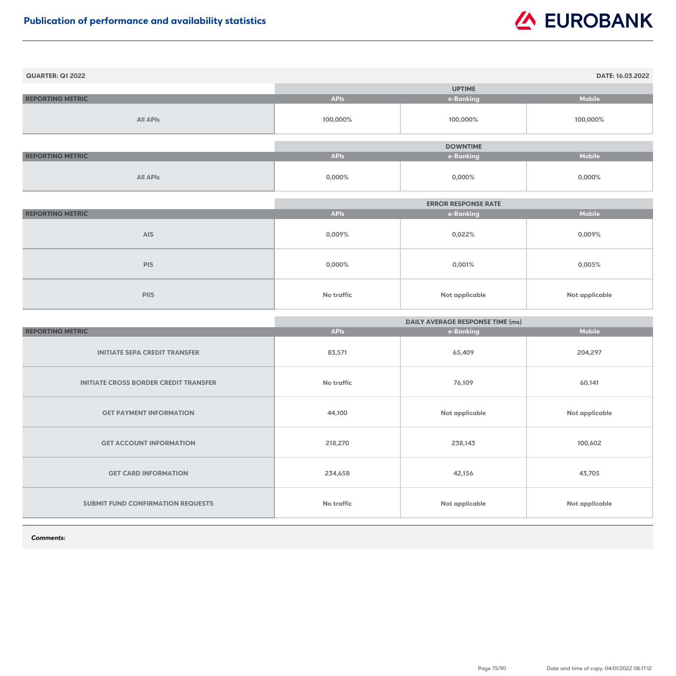| <b>QUARTER: Q1 2022</b> |             |                 | DATE: 16.03.2022 |
|-------------------------|-------------|-----------------|------------------|
|                         |             | <b>UPTIME</b>   |                  |
| <b>REPORTING METRIC</b> | <b>APIs</b> | e-Banking       | <b>Mobile</b>    |
| <b>All APIs</b>         | 100,000%    | 100,000%        | 100,000%         |
|                         |             |                 |                  |
|                         |             | <b>DOWNTIME</b> |                  |
| <b>REPORTING METRIC</b> | <b>APIs</b> | e-Banking       | <b>Mobile</b>    |
| <b>All APIs</b>         | $0,000\%$   | $0,000\%$       | $0,000\%$        |

|                         | <b>ERROR RESPONSE RATE</b> |                       |                |
|-------------------------|----------------------------|-----------------------|----------------|
| <b>REPORTING METRIC</b> | <b>APIs</b>                | e-Banking             | <b>Mobile</b>  |
| <b>AIS</b>              | 0,009%                     | 0,022%                | 0,009%         |
| <b>PIS</b>              | $0,000\%$                  | 0,001%                | 0,005%         |
| <b>PIIS</b>             | No traffic                 | <b>Not applicable</b> | Not applicable |

|                                              | <b>DAILY AVERAGE RESPONSE TIME (ms)</b> |                |                       |
|----------------------------------------------|-----------------------------------------|----------------|-----------------------|
| <b>REPORTING METRIC</b>                      | <b>APIs</b>                             | e-Banking      | <b>Mobile</b>         |
| <b>INITIATE SEPA CREDIT TRANSFER</b>         | 83,571                                  | 65,409         | 204,297               |
| <b>INITIATE CROSS BORDER CREDIT TRANSFER</b> | <b>No traffic</b>                       | 76,109         | 60,141                |
| <b>GET PAYMENT INFORMATION</b>               | 44,100                                  | Not applicable | <b>Not applicable</b> |
| <b>GET ACCOUNT INFORMATION</b>               | 218,270                                 | 238,143        | 100,602               |
| <b>GET CARD INFORMATION</b>                  | 234,658                                 | 42,156         | 43,705                |
| <b>SUBMIT FUND CONFIRMATION REQUESTS</b>     | No traffic                              | Not applicable | <b>Not applicable</b> |

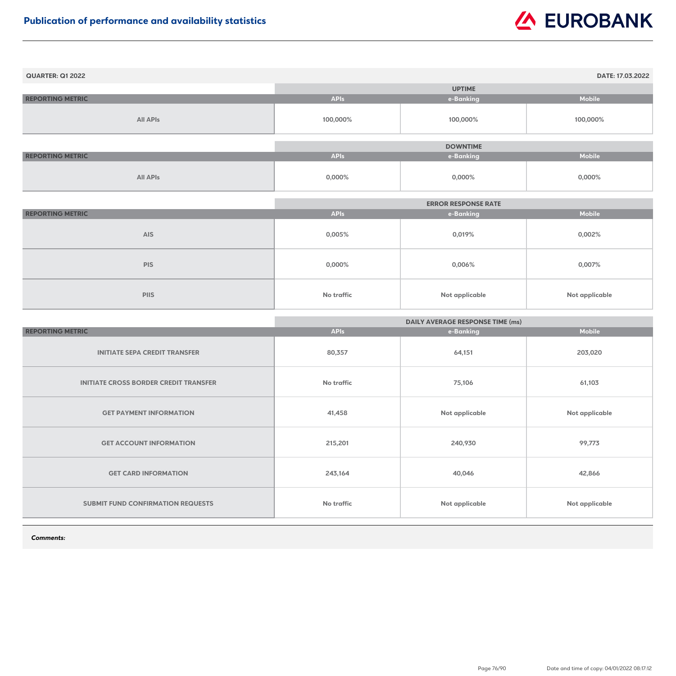| <b>QUARTER: Q1 2022</b> |             |                 | DATE: 17.03.2022 |
|-------------------------|-------------|-----------------|------------------|
|                         |             | <b>UPTIME</b>   |                  |
| <b>REPORTING METRIC</b> | <b>APIs</b> | e-Banking       | <b>Mobile</b>    |
| <b>All APIs</b>         | 100,000%    | 100,000%        | 100,000%         |
|                         |             |                 |                  |
|                         |             | <b>DOWNTIME</b> |                  |
| <b>REPORTING METRIC</b> | <b>APIs</b> | e-Banking       | <b>Mobile</b>    |
| <b>All APIs</b>         | $0,000\%$   | $0,000\%$       | $0,000\%$        |

|                         | <b>ERROR RESPONSE RATE</b> |                       |                |
|-------------------------|----------------------------|-----------------------|----------------|
| <b>REPORTING METRIC</b> | <b>APIs</b>                | e-Banking             | <b>Mobile</b>  |
| <b>AIS</b>              | $0,005\%$                  | 0,019%                | $0,002\%$      |
| <b>PIS</b>              | $0,000\%$                  | $0,006\%$             | 0,007%         |
| <b>PIIS</b>             | <b>No traffic</b>          | <b>Not applicable</b> | Not applicable |

|                                              | <b>DAILY AVERAGE RESPONSE TIME (ms)</b> |                |                       |
|----------------------------------------------|-----------------------------------------|----------------|-----------------------|
| <b>REPORTING METRIC</b>                      | <b>APIs</b>                             | e-Banking      | <b>Mobile</b>         |
| <b>INITIATE SEPA CREDIT TRANSFER</b>         | 80,357                                  | 64,151         | 203,020               |
| <b>INITIATE CROSS BORDER CREDIT TRANSFER</b> | <b>No traffic</b>                       | 75,106         | 61,103                |
| <b>GET PAYMENT INFORMATION</b>               | 41,458                                  | Not applicable | Not applicable        |
| <b>GET ACCOUNT INFORMATION</b>               | 215,201                                 | 240,930        | 99,773                |
| <b>GET CARD INFORMATION</b>                  | 243,164                                 | 40,046         | 42,866                |
| <b>SUBMIT FUND CONFIRMATION REQUESTS</b>     | <b>No traffic</b>                       | Not applicable | <b>Not applicable</b> |

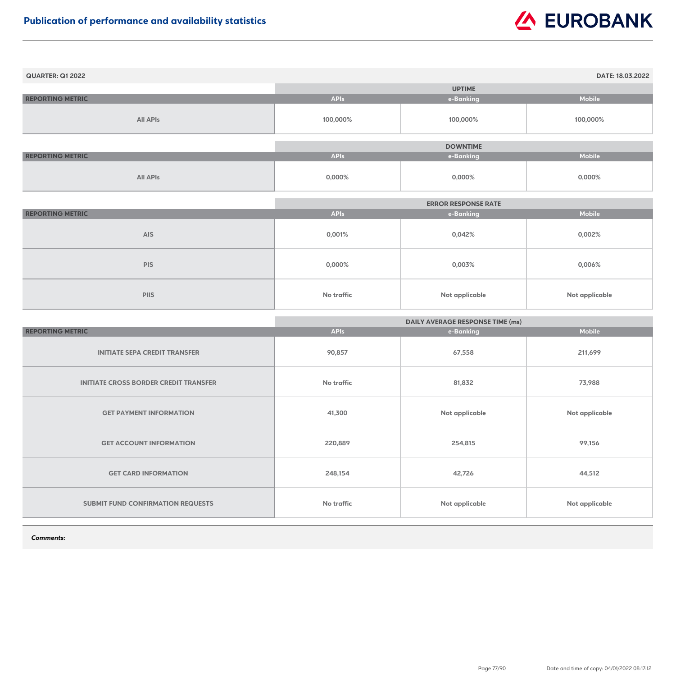| <b>QUARTER: Q1 2022</b> |             |                 | DATE: 18.03.2022 |
|-------------------------|-------------|-----------------|------------------|
|                         |             | <b>UPTIME</b>   |                  |
| <b>REPORTING METRIC</b> | <b>APIs</b> | e-Banking       | <b>Mobile</b>    |
| <b>All APIs</b>         | 100,000%    | 100,000%        | 100,000%         |
|                         |             |                 |                  |
|                         |             | <b>DOWNTIME</b> |                  |
| <b>REPORTING METRIC</b> | <b>APIs</b> | e-Banking       | <b>Mobile</b>    |
| <b>All APIs</b>         | $0,000\%$   | $0,000\%$       | $0,000\%$        |

|                         | <b>ERROR RESPONSE RATE</b> |                       |                |
|-------------------------|----------------------------|-----------------------|----------------|
| <b>REPORTING METRIC</b> | <b>APIs</b>                | e-Banking             | <b>Mobile</b>  |
| <b>AIS</b>              | 0,001%                     | 0,042%                | $0,002\%$      |
| <b>PIS</b>              | $0,000\%$                  | 0,003%                | $0,006\%$      |
| <b>PIIS</b>             | <b>No traffic</b>          | <b>Not applicable</b> | Not applicable |

|                                              | <b>DAILY AVERAGE RESPONSE TIME (ms)</b> |                |                       |
|----------------------------------------------|-----------------------------------------|----------------|-----------------------|
| <b>REPORTING METRIC</b>                      | <b>APIs</b>                             | e-Banking      | <b>Mobile</b>         |
| <b>INITIATE SEPA CREDIT TRANSFER</b>         | 90,857                                  | 67,558         | 211,699               |
| <b>INITIATE CROSS BORDER CREDIT TRANSFER</b> | <b>No traffic</b>                       | 81,832         | 73,988                |
| <b>GET PAYMENT INFORMATION</b>               | 41,300                                  | Not applicable | Not applicable        |
| <b>GET ACCOUNT INFORMATION</b>               | 220,889                                 | 254,815        | 99,156                |
| <b>GET CARD INFORMATION</b>                  | 248,154                                 | 42,726         | 44,512                |
| <b>SUBMIT FUND CONFIRMATION REQUESTS</b>     | <b>No traffic</b>                       | Not applicable | <b>Not applicable</b> |

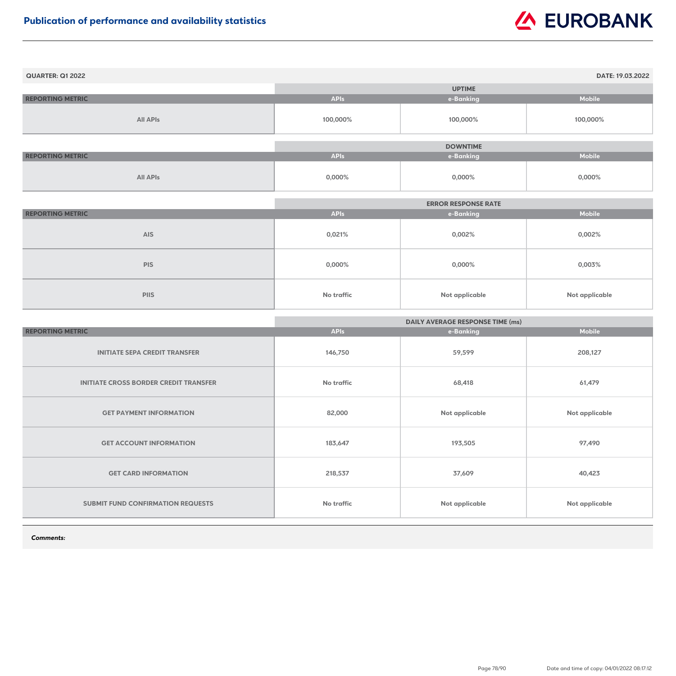| <b>QUARTER: Q1 2022</b> |             |                 | DATE: 19.03.2022 |
|-------------------------|-------------|-----------------|------------------|
|                         |             | <b>UPTIME</b>   |                  |
| <b>REPORTING METRIC</b> | <b>APIs</b> | e-Banking       | <b>Mobile</b>    |
| <b>All APIs</b>         | 100,000%    | 100,000%        | 100,000%         |
|                         |             |                 |                  |
|                         |             | <b>DOWNTIME</b> |                  |
| <b>REPORTING METRIC</b> | <b>APIs</b> | e-Banking       | <b>Mobile</b>    |
| <b>All APIs</b>         | $0,000\%$   | $0,000\%$       | $0,000\%$        |

|                         | <b>ERROR RESPONSE RATE</b> |                       |                |
|-------------------------|----------------------------|-----------------------|----------------|
| <b>REPORTING METRIC</b> | <b>APIs</b>                | e-Banking             | <b>Mobile</b>  |
| <b>AIS</b>              | 0,021%                     | 0,002%                | $0,002\%$      |
| <b>PIS</b>              | $0,000\%$                  | $0,000\%$             | 0,003%         |
| <b>PIIS</b>             | <b>No traffic</b>          | <b>Not applicable</b> | Not applicable |

|                                              | <b>DAILY AVERAGE RESPONSE TIME (ms)</b> |                |                       |
|----------------------------------------------|-----------------------------------------|----------------|-----------------------|
| <b>REPORTING METRIC</b>                      | <b>APIs</b>                             | e-Banking      | <b>Mobile</b>         |
| <b>INITIATE SEPA CREDIT TRANSFER</b>         | 146,750                                 | 59,599         | 208,127               |
| <b>INITIATE CROSS BORDER CREDIT TRANSFER</b> | <b>No traffic</b>                       | 68,418         | 61,479                |
| <b>GET PAYMENT INFORMATION</b>               | 82,000                                  | Not applicable | <b>Not applicable</b> |
| <b>GET ACCOUNT INFORMATION</b>               | 183,647                                 | 193,505        | 97,490                |
| <b>GET CARD INFORMATION</b>                  | 218,537                                 | 37,609         | 40,423                |
| <b>SUBMIT FUND CONFIRMATION REQUESTS</b>     | <b>No traffic</b>                       | Not applicable | <b>Not applicable</b> |

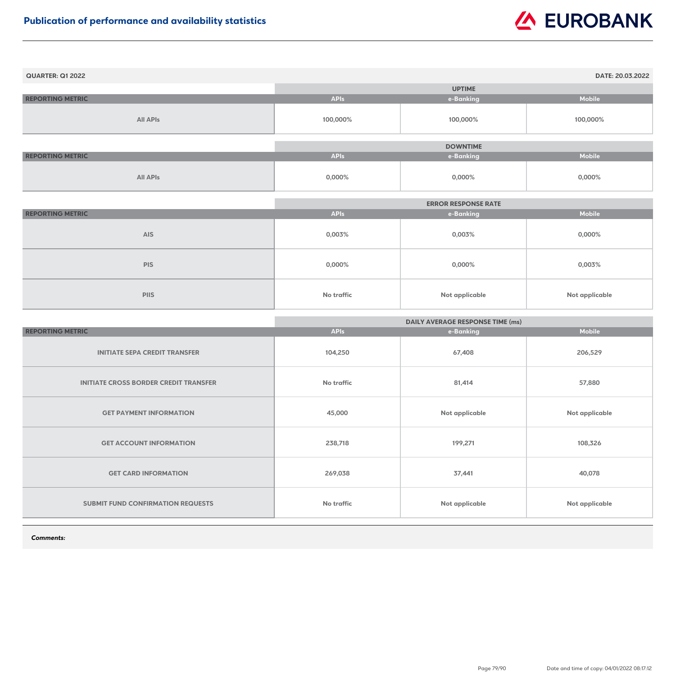| <b>QUARTER: Q1 2022</b> |             |                 | DATE: 20.03.2022 |
|-------------------------|-------------|-----------------|------------------|
|                         |             | <b>UPTIME</b>   |                  |
| <b>REPORTING METRIC</b> | <b>APIs</b> | e-Banking       | <b>Mobile</b>    |
| <b>All APIs</b>         | 100,000%    | 100,000%        | 100,000%         |
|                         |             | <b>DOWNTIME</b> |                  |
| <b>REPORTING METRIC</b> | <b>APIs</b> | e-Banking       | <b>Mobile</b>    |
| <b>All APIs</b>         | $0,000\%$   | $0,000\%$       | $0,000\%$        |

|                         | <b>ERROR RESPONSE RATE</b> |                       |                |
|-------------------------|----------------------------|-----------------------|----------------|
| <b>REPORTING METRIC</b> | <b>APIs</b>                | e-Banking             | <b>Mobile</b>  |
| <b>AIS</b>              | 0,003%                     | 0,003%                | $0,000\%$      |
| <b>PIS</b>              | $0,000\%$                  | $0,000\%$             | 0,003%         |
| <b>PIIS</b>             | <b>No traffic</b>          | <b>Not applicable</b> | Not applicable |

|                                              | <b>DAILY AVERAGE RESPONSE TIME (ms)</b> |                |                       |
|----------------------------------------------|-----------------------------------------|----------------|-----------------------|
| <b>REPORTING METRIC</b>                      | <b>APIs</b>                             | e-Banking      | <b>Mobile</b>         |
| <b>INITIATE SEPA CREDIT TRANSFER</b>         | 104,250                                 | 67,408         | 206,529               |
| <b>INITIATE CROSS BORDER CREDIT TRANSFER</b> | <b>No traffic</b>                       | 81,414         | 57,880                |
| <b>GET PAYMENT INFORMATION</b>               | 45,000                                  | Not applicable | <b>Not applicable</b> |
| <b>GET ACCOUNT INFORMATION</b>               | 238,718                                 | 199,271        | 108,326               |
| <b>GET CARD INFORMATION</b>                  | 269,038                                 | 37,441         | 40,078                |
| <b>SUBMIT FUND CONFIRMATION REQUESTS</b>     | <b>No traffic</b>                       | Not applicable | <b>Not applicable</b> |

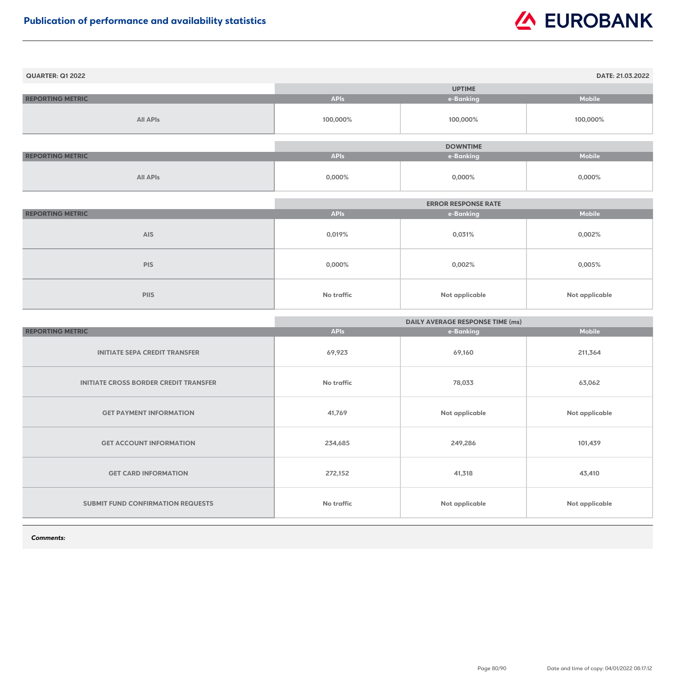| <b>QUARTER: Q1 2022</b> |             |                 | DATE: 21.03.2022 |
|-------------------------|-------------|-----------------|------------------|
|                         |             | <b>UPTIME</b>   |                  |
| <b>REPORTING METRIC</b> | <b>APIs</b> | e-Banking       | <b>Mobile</b>    |
| <b>All APIs</b>         | 100,000%    | 100,000%        | 100,000%         |
|                         |             | <b>DOWNTIME</b> |                  |
| <b>REPORTING METRIC</b> | <b>APIs</b> | e-Banking       | <b>Mobile</b>    |
| <b>All APIs</b>         | $0,000\%$   | $0,000\%$       | $0,000\%$        |

|                         |                   | <b>ERROR RESPONSE RATE</b> |                |
|-------------------------|-------------------|----------------------------|----------------|
| <b>REPORTING METRIC</b> | <b>APIs</b>       | e-Banking                  | <b>Mobile</b>  |
| <b>AIS</b>              | 0,019%            | 0,031%                     | 0,002%         |
| <b>PIS</b>              | $0,000\%$         | 0,002%                     | $0,005\%$      |
| <b>PIIS</b>             | <b>No traffic</b> | Not applicable             | Not applicable |

|                                              | <b>DAILY AVERAGE RESPONSE TIME (ms)</b> |                |                       |
|----------------------------------------------|-----------------------------------------|----------------|-----------------------|
| <b>REPORTING METRIC</b>                      | <b>APIs</b>                             | e-Banking      | <b>Mobile</b>         |
| <b>INITIATE SEPA CREDIT TRANSFER</b>         | 69,923                                  | 69,160         | 211,364               |
| <b>INITIATE CROSS BORDER CREDIT TRANSFER</b> | <b>No traffic</b>                       | 78,033         | 63,062                |
| <b>GET PAYMENT INFORMATION</b>               | 41,769                                  | Not applicable | <b>Not applicable</b> |
| <b>GET ACCOUNT INFORMATION</b>               | 234,685                                 | 249,286        | 101,439               |
| <b>GET CARD INFORMATION</b>                  | 272,152                                 | 41,318         | 43,410                |
| <b>SUBMIT FUND CONFIRMATION REQUESTS</b>     | <b>No traffic</b>                       | Not applicable | <b>Not applicable</b> |

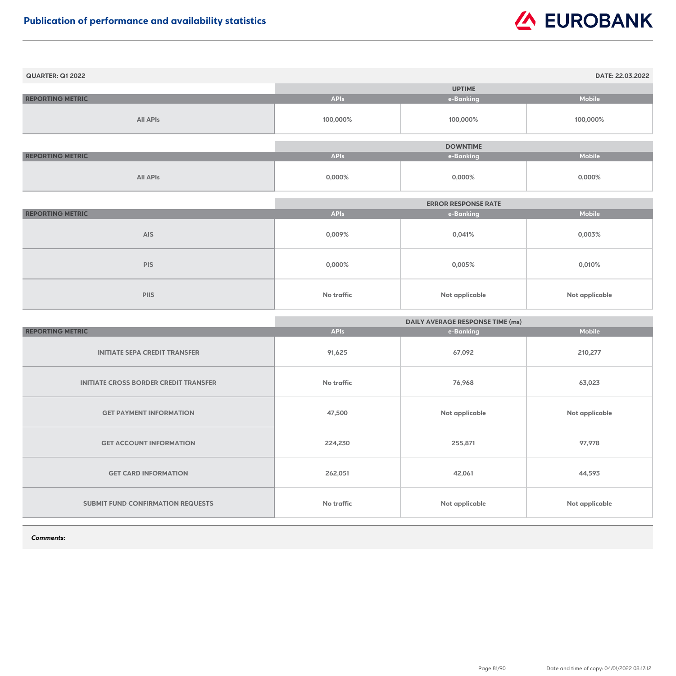| <b>QUARTER: Q1 2022</b> |             |                 | DATE: 22.03.2022 |
|-------------------------|-------------|-----------------|------------------|
|                         |             | <b>UPTIME</b>   |                  |
| <b>REPORTING METRIC</b> | <b>APIs</b> | e-Banking       | <b>Mobile</b>    |
| <b>All APIs</b>         | 100,000%    | 100,000%        | 100,000%         |
|                         |             | <b>DOWNTIME</b> |                  |
| <b>REPORTING METRIC</b> | <b>APIs</b> | e-Banking       | <b>Mobile</b>    |
| <b>All APIs</b>         | $0,000\%$   | $0,000\%$       | 0,000%           |

|                         |                   | <b>ERROR RESPONSE RATE</b> |                       |
|-------------------------|-------------------|----------------------------|-----------------------|
| <b>REPORTING METRIC</b> | <b>APIs</b>       | e-Banking                  | <b>Mobile</b>         |
| <b>AIS</b>              | 0,009%            | 0,041%                     | 0,003%                |
| <b>PIS</b>              | $0,000\%$         | 0,005%                     | 0,010%                |
| <b>PIIS</b>             | <b>No traffic</b> | <b>Not applicable</b>      | <b>Not applicable</b> |

|                                              | <b>DAILY AVERAGE RESPONSE TIME (ms)</b> |                       |                       |
|----------------------------------------------|-----------------------------------------|-----------------------|-----------------------|
| <b>REPORTING METRIC</b>                      | <b>APIs</b>                             | e-Banking             | <b>Mobile</b>         |
| <b>INITIATE SEPA CREDIT TRANSFER</b>         | 91,625                                  | 67,092                | 210,277               |
| <b>INITIATE CROSS BORDER CREDIT TRANSFER</b> | <b>No traffic</b>                       | 76,968                | 63,023                |
| <b>GET PAYMENT INFORMATION</b>               | 47,500                                  | <b>Not applicable</b> | <b>Not applicable</b> |
| <b>GET ACCOUNT INFORMATION</b>               | 224,230                                 | 255,871               | 97,978                |
| <b>GET CARD INFORMATION</b>                  | 262,051                                 | 42,061                | 44,593                |
| SUBMIT FUND CONFIRMATION REQUESTS            | <b>No traffic</b>                       | <b>Not applicable</b> | <b>Not applicable</b> |

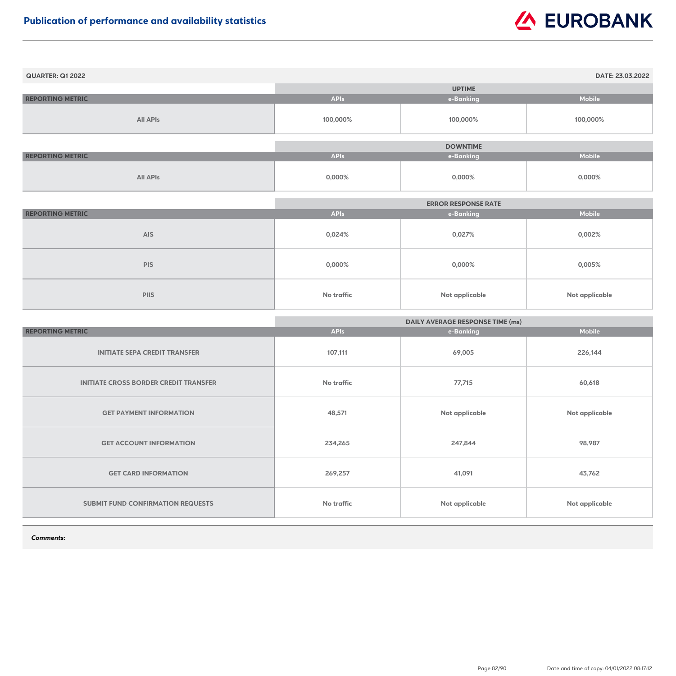| <b>QUARTER: Q1 2022</b> |             |                 | DATE: 23.03.2022 |
|-------------------------|-------------|-----------------|------------------|
|                         |             | <b>UPTIME</b>   |                  |
| <b>REPORTING METRIC</b> | <b>APIs</b> | e-Banking       | <b>Mobile</b>    |
| <b>All APIs</b>         | 100,000%    | 100,000%        | 100,000%         |
|                         |             |                 |                  |
|                         |             | <b>DOWNTIME</b> |                  |
| <b>REPORTING METRIC</b> | <b>APIs</b> | e-Banking       | <b>Mobile</b>    |
| <b>All APIs</b>         | $0,000\%$   | $0,000\%$       | $0,000\%$        |

|                         |                   | <b>ERROR RESPONSE RATE</b> |                       |
|-------------------------|-------------------|----------------------------|-----------------------|
| <b>REPORTING METRIC</b> | <b>APIs</b>       | e-Banking                  | <b>Mobile</b>         |
| <b>AIS</b>              | 0,024%            | 0,027%                     | 0,002%                |
| <b>PIS</b>              | $0,000\%$         | $0,000\%$                  | $0,005\%$             |
| <b>PIIS</b>             | <b>No traffic</b> | <b>Not applicable</b>      | <b>Not applicable</b> |

|                                              | <b>DAILY AVERAGE RESPONSE TIME (ms)</b> |                       |                       |
|----------------------------------------------|-----------------------------------------|-----------------------|-----------------------|
| <b>REPORTING METRIC</b>                      | <b>APIs</b>                             | e-Banking             | <b>Mobile</b>         |
| <b>INITIATE SEPA CREDIT TRANSFER</b>         | 107,111                                 | 69,005                | 226,144               |
| <b>INITIATE CROSS BORDER CREDIT TRANSFER</b> | <b>No traffic</b>                       | 77,715                | 60,618                |
| <b>GET PAYMENT INFORMATION</b>               | 48,571                                  | Not applicable        | <b>Not applicable</b> |
| <b>GET ACCOUNT INFORMATION</b>               | 234,265                                 | 247,844               | 98,987                |
| <b>GET CARD INFORMATION</b>                  | 269,257                                 | 41,091                | 43,762                |
| <b>SUBMIT FUND CONFIRMATION REQUESTS</b>     | <b>No traffic</b>                       | <b>Not applicable</b> | <b>Not applicable</b> |

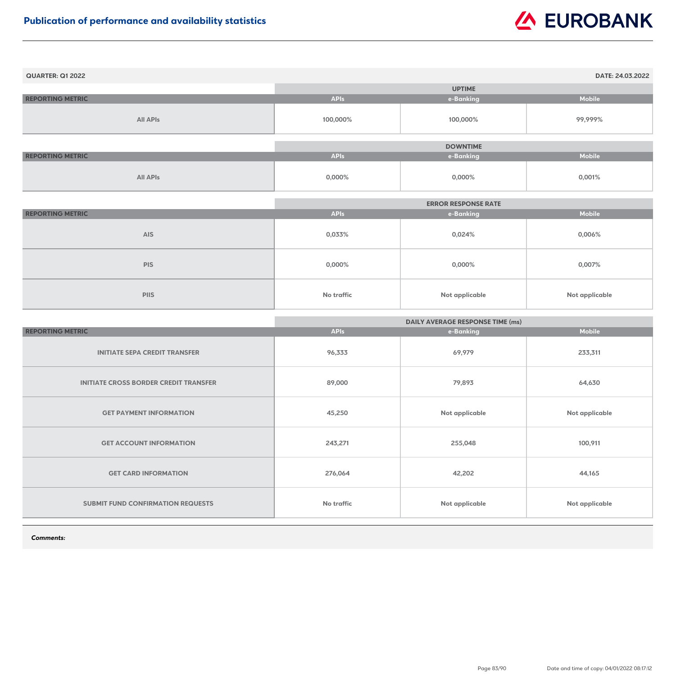| <b>QUARTER: Q1 2022</b> |             |                 | DATE: 24.03.2022 |
|-------------------------|-------------|-----------------|------------------|
|                         |             | <b>UPTIME</b>   |                  |
| <b>REPORTING METRIC</b> | <b>APIs</b> | e-Banking       | <b>Mobile</b>    |
| <b>All APIs</b>         | 100,000%    | 100,000%        | 99,999%          |
|                         |             |                 |                  |
|                         |             | <b>DOWNTIME</b> |                  |
| <b>REPORTING METRIC</b> | <b>APIs</b> | e-Banking       | <b>Mobile</b>    |
| <b>All APIs</b>         | 0,000%      | 0,000%          | 0,001%           |

|                         |                   | <b>ERROR RESPONSE RATE</b> |                       |
|-------------------------|-------------------|----------------------------|-----------------------|
| <b>REPORTING METRIC</b> | <b>APIs</b>       | e-Banking                  | <b>Mobile</b>         |
| <b>AIS</b>              | 0,033%            | 0,024%                     | $0,006\%$             |
| <b>PIS</b>              | $0,000\%$         | $0,000\%$                  | 0,007%                |
| <b>PIIS</b>             | <b>No traffic</b> | Not applicable             | <b>Not applicable</b> |

|                                              | <b>DAILY AVERAGE RESPONSE TIME (ms)</b> |                |                       |
|----------------------------------------------|-----------------------------------------|----------------|-----------------------|
| <b>REPORTING METRIC</b>                      | <b>APIs</b>                             | e-Banking      | <b>Mobile</b>         |
| <b>INITIATE SEPA CREDIT TRANSFER</b>         | 96,333                                  | 69,979         | 233,311               |
| <b>INITIATE CROSS BORDER CREDIT TRANSFER</b> | 89,000                                  | 79,893         | 64,630                |
| <b>GET PAYMENT INFORMATION</b>               | 45,250                                  | Not applicable | <b>Not applicable</b> |
| <b>GET ACCOUNT INFORMATION</b>               | 243,271                                 | 255,048        | 100,911               |
| <b>GET CARD INFORMATION</b>                  | 276,064                                 | 42,202         | 44,165                |
| <b>SUBMIT FUND CONFIRMATION REQUESTS</b>     | <b>No traffic</b>                       | Not applicable | <b>Not applicable</b> |

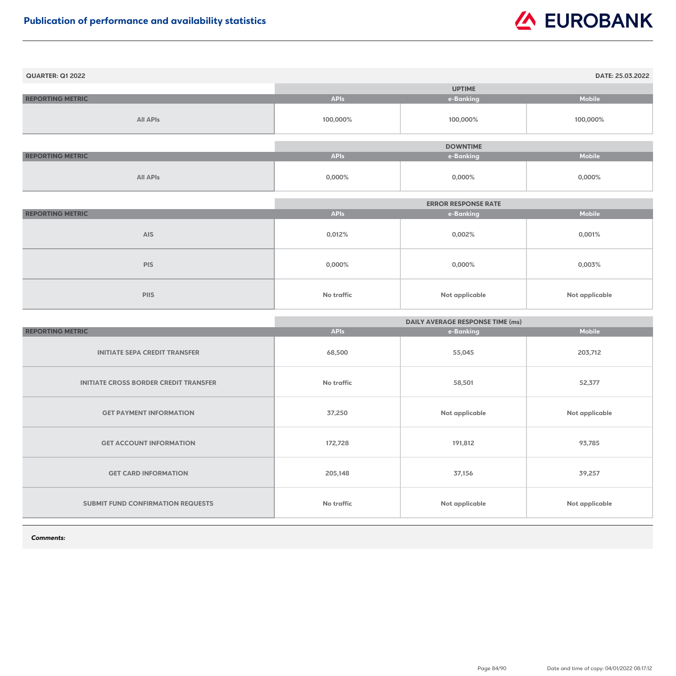| <b>QUARTER: Q1 2022</b> |             |                 | DATE: 25.03.2022 |
|-------------------------|-------------|-----------------|------------------|
|                         |             | <b>UPTIME</b>   |                  |
| <b>REPORTING METRIC</b> | <b>APIs</b> | e-Banking       | <b>Mobile</b>    |
| <b>All APIs</b>         | 100,000%    | 100,000%        | 100,000%         |
|                         |             | <b>DOWNTIME</b> |                  |
| <b>REPORTING METRIC</b> | <b>APIs</b> | e-Banking       | <b>Mobile</b>    |
| <b>All APIs</b>         | $0,000\%$   | $0,000\%$       | $0,000\%$        |

|                         |                   | <b>ERROR RESPONSE RATE</b> |                |
|-------------------------|-------------------|----------------------------|----------------|
| <b>REPORTING METRIC</b> | <b>APIs</b>       | e-Banking                  | <b>Mobile</b>  |
| <b>AIS</b>              | 0,012%            | 0,002%                     | 0,001%         |
| <b>PIS</b>              | $0,000\%$         | $0,000\%$                  | 0,003%         |
| <b>PIIS</b>             | <b>No traffic</b> | <b>Not applicable</b>      | Not applicable |

|                                              | <b>DAILY AVERAGE RESPONSE TIME (ms)</b> |                       |                       |
|----------------------------------------------|-----------------------------------------|-----------------------|-----------------------|
| <b>REPORTING METRIC</b>                      | <b>APIs</b>                             | e-Banking             | <b>Mobile</b>         |
| <b>INITIATE SEPA CREDIT TRANSFER</b>         | 68,500                                  | 55,045                | 203,712               |
| <b>INITIATE CROSS BORDER CREDIT TRANSFER</b> | <b>No traffic</b>                       | 58,501                | 52,377                |
| <b>GET PAYMENT INFORMATION</b>               | 37,250                                  | <b>Not applicable</b> | <b>Not applicable</b> |
| <b>GET ACCOUNT INFORMATION</b>               | 172,728                                 | 191,812               | 93,785                |
| <b>GET CARD INFORMATION</b>                  | 205,148                                 | 37,156                | 39,257                |
| <b>SUBMIT FUND CONFIRMATION REQUESTS</b>     | No traffic                              | Not applicable        | <b>Not applicable</b> |

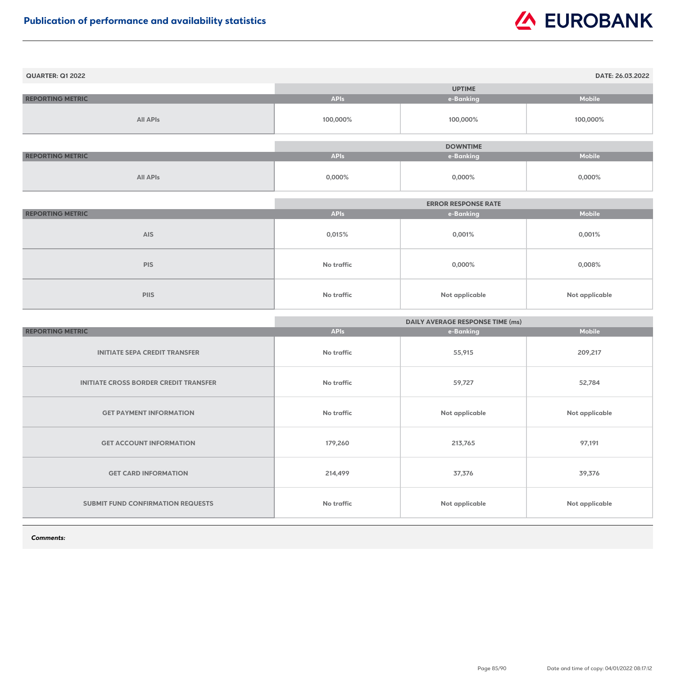| <b>QUARTER: Q1 2022</b> |             |                 | DATE: 26.03.2022 |
|-------------------------|-------------|-----------------|------------------|
|                         |             | <b>UPTIME</b>   |                  |
| <b>REPORTING METRIC</b> | <b>APIs</b> | e-Banking       | <b>Mobile</b>    |
| <b>All APIs</b>         | 100,000%    | 100,000%        | 100,000%         |
|                         |             |                 |                  |
|                         |             | <b>DOWNTIME</b> |                  |
| <b>REPORTING METRIC</b> | <b>APIs</b> | e-Banking       | <b>Mobile</b>    |
| <b>All APIs</b>         | $0,000\%$   | $0,000\%$       | $0,000\%$        |

|                         |             | <b>ERROR RESPONSE RATE</b> |                       |
|-------------------------|-------------|----------------------------|-----------------------|
| <b>REPORTING METRIC</b> | <b>APIs</b> | e-Banking                  | <b>Mobile</b>         |
| <b>AIS</b>              | 0,015%      | 0,001%                     | 0,001%                |
| <b>PIS</b>              | No traffic  | 0,000%                     | 0,008%                |
| <b>PIIS</b>             | No traffic  | <b>Not applicable</b>      | <b>Not applicable</b> |

|                                              | <b>DAILY AVERAGE RESPONSE TIME (ms)</b> |                       |                       |
|----------------------------------------------|-----------------------------------------|-----------------------|-----------------------|
| <b>REPORTING METRIC</b>                      | <b>APIs</b>                             | e-Banking             | <b>Mobile</b>         |
| <b>INITIATE SEPA CREDIT TRANSFER</b>         | No traffic                              | 55,915                | 209,217               |
| <b>INITIATE CROSS BORDER CREDIT TRANSFER</b> | <b>No traffic</b>                       | 59,727                | 52,784                |
| <b>GET PAYMENT INFORMATION</b>               | No traffic                              | Not applicable        | <b>Not applicable</b> |
| <b>GET ACCOUNT INFORMATION</b>               | 179,260                                 | 213,765               | 97,191                |
| <b>GET CARD INFORMATION</b>                  | 214,499                                 | 37,376                | 39,376                |
| <b>SUBMIT FUND CONFIRMATION REQUESTS</b>     | No traffic                              | <b>Not applicable</b> | <b>Not applicable</b> |

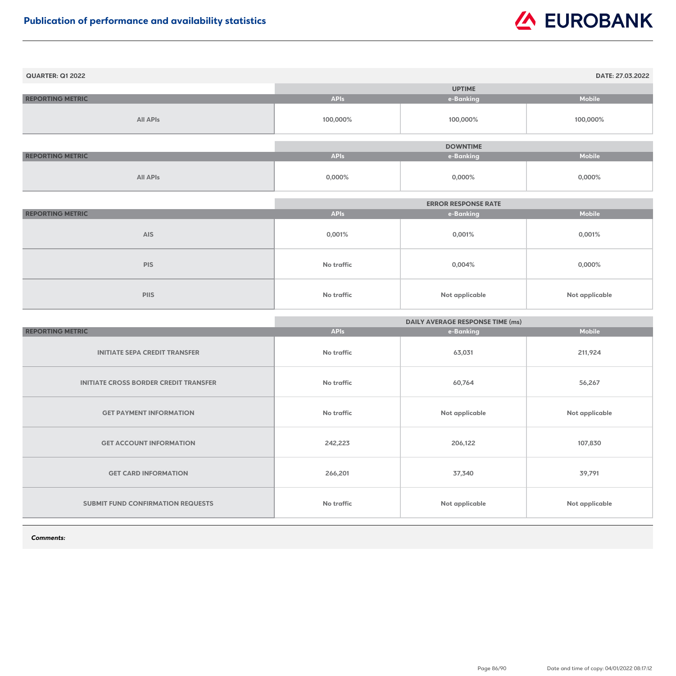| <b>QUARTER: Q1 2022</b> |             |                 | DATE: 27.03.2022 |
|-------------------------|-------------|-----------------|------------------|
|                         |             | <b>UPTIME</b>   |                  |
| <b>REPORTING METRIC</b> | <b>APIs</b> | e-Banking       | <b>Mobile</b>    |
| <b>All APIs</b>         | 100,000%    | 100,000%        | 100,000%         |
|                         |             |                 |                  |
|                         |             | <b>DOWNTIME</b> |                  |
| <b>REPORTING METRIC</b> | <b>APIs</b> | e-Banking       | <b>Mobile</b>    |
| <b>All APIs</b>         | $0,000\%$   | $0,000\%$       | $0,000\%$        |

|                         | <b>ERROR RESPONSE RATE</b> |                       |                |
|-------------------------|----------------------------|-----------------------|----------------|
| <b>REPORTING METRIC</b> | <b>APIs</b>                | e-Banking             | <b>Mobile</b>  |
| <b>AIS</b>              | 0,001%                     | 0,001%                | 0,001%         |
| <b>PIS</b>              | <b>No traffic</b>          | 0,004%                | $0,000\%$      |
| <b>PIIS</b>             | No traffic                 | <b>Not applicable</b> | Not applicable |

|                                              | <b>DAILY AVERAGE RESPONSE TIME (ms)</b> |                       |                |
|----------------------------------------------|-----------------------------------------|-----------------------|----------------|
| <b>REPORTING METRIC</b>                      | <b>APIs</b>                             | e-Banking             | <b>Mobile</b>  |
| <b>INITIATE SEPA CREDIT TRANSFER</b>         | <b>No traffic</b>                       | 63,031                | 211,924        |
| <b>INITIATE CROSS BORDER CREDIT TRANSFER</b> | <b>No traffic</b>                       | 60,764                | 56,267         |
| <b>GET PAYMENT INFORMATION</b>               | <b>No traffic</b>                       | <b>Not applicable</b> | Not applicable |
| <b>GET ACCOUNT INFORMATION</b>               | 242,223                                 | 206,122               | 107,830        |
| <b>GET CARD INFORMATION</b>                  | 266,201                                 | 37,340                | 39,791         |
| SUBMIT FUND CONFIRMATION REQUESTS            | <b>No traffic</b>                       | Not applicable        | Not applicable |

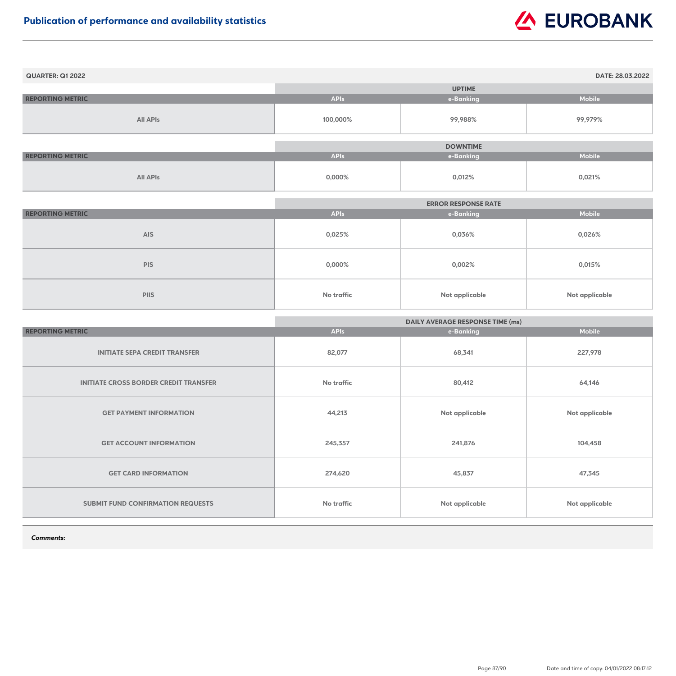| <b>QUARTER: Q1 2022</b> |             |                 | DATE: 28.03.2022 |
|-------------------------|-------------|-----------------|------------------|
|                         |             | <b>UPTIME</b>   |                  |
| <b>REPORTING METRIC</b> | <b>APIs</b> | e-Banking       | <b>Mobile</b>    |
| <b>All APIs</b>         | 100,000%    | 99,988%         | 99,979%          |
|                         |             |                 |                  |
|                         |             | <b>DOWNTIME</b> |                  |
| <b>REPORTING METRIC</b> | <b>APIs</b> | e-Banking       | <b>Mobile</b>    |
| <b>All APIs</b>         | $0,000\%$   | 0,012%          | 0,021%           |

|                         |             | <b>ERROR RESPONSE RATE</b> |                |
|-------------------------|-------------|----------------------------|----------------|
| <b>REPORTING METRIC</b> | <b>APIs</b> | e-Banking                  | <b>Mobile</b>  |
| <b>AIS</b>              | 0,025%      | 0,036%                     | 0,026%         |
| <b>PIS</b>              | 0,000%      | 0,002%                     | 0,015%         |
| <b>PIIS</b>             | No traffic  | <b>Not applicable</b>      | Not applicable |

|                                              | <b>DAILY AVERAGE RESPONSE TIME (ms)</b> |                       |                       |
|----------------------------------------------|-----------------------------------------|-----------------------|-----------------------|
| <b>REPORTING METRIC</b>                      | <b>APIs</b>                             | e-Banking             | <b>Mobile</b>         |
| <b>INITIATE SEPA CREDIT TRANSFER</b>         | 82,077                                  | 68,341                | 227,978               |
| <b>INITIATE CROSS BORDER CREDIT TRANSFER</b> | <b>No traffic</b>                       | 80,412                | 64,146                |
| <b>GET PAYMENT INFORMATION</b>               | 44,213                                  | Not applicable        | <b>Not applicable</b> |
| <b>GET ACCOUNT INFORMATION</b>               | 245,357                                 | 241,876               | 104,458               |
| <b>GET CARD INFORMATION</b>                  | 274,620                                 | 45,837                | 47,345                |
| <b>SUBMIT FUND CONFIRMATION REQUESTS</b>     | No traffic                              | <b>Not applicable</b> | <b>Not applicable</b> |

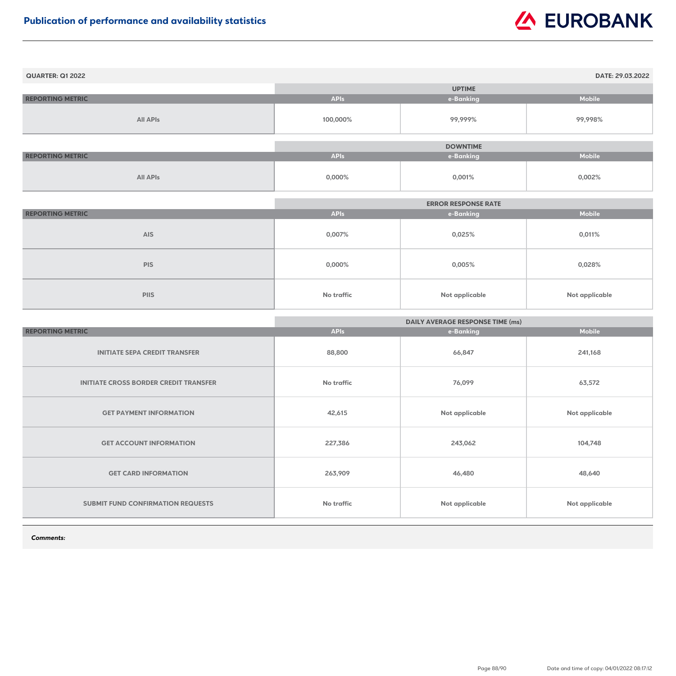| <b>QUARTER: Q1 2022</b> |             |                 | DATE: 29.03.2022 |
|-------------------------|-------------|-----------------|------------------|
|                         |             | <b>UPTIME</b>   |                  |
| <b>REPORTING METRIC</b> | <b>APIs</b> | e-Banking       | <b>Mobile</b>    |
| <b>All APIs</b>         | 100,000%    | 99,999%         | 99,998%          |
|                         |             |                 |                  |
|                         |             | <b>DOWNTIME</b> |                  |
| <b>REPORTING METRIC</b> | <b>APIs</b> | e-Banking       | <b>Mobile</b>    |
| <b>All APIs</b>         | 0,000%      | 0,001%          | 0,002%           |

|                         |                   | <b>ERROR RESPONSE RATE</b> |                |
|-------------------------|-------------------|----------------------------|----------------|
| <b>REPORTING METRIC</b> | <b>APIs</b>       | e-Banking                  | <b>Mobile</b>  |
| <b>AIS</b>              | 0,007%            | 0,025%                     | 0,011%         |
| <b>PIS</b>              | $0,000\%$         | 0,005%                     | 0,028%         |
| <b>PIIS</b>             | <b>No traffic</b> | Not applicable             | Not applicable |

|                                              | <b>DAILY AVERAGE RESPONSE TIME (ms)</b> |                       |                       |
|----------------------------------------------|-----------------------------------------|-----------------------|-----------------------|
| <b>REPORTING METRIC</b>                      | <b>APIs</b>                             | e-Banking             | <b>Mobile</b>         |
| <b>INITIATE SEPA CREDIT TRANSFER</b>         | 88,800                                  | 66,847                | 241,168               |
| <b>INITIATE CROSS BORDER CREDIT TRANSFER</b> | <b>No traffic</b>                       | 76,099                | 63,572                |
| <b>GET PAYMENT INFORMATION</b>               | 42,615                                  | Not applicable        | <b>Not applicable</b> |
| <b>GET ACCOUNT INFORMATION</b>               | 227,386                                 | 243,062               | 104,748               |
| <b>GET CARD INFORMATION</b>                  | 263,909                                 | 46,480                | 48,640                |
| <b>SUBMIT FUND CONFIRMATION REQUESTS</b>     | No traffic                              | <b>Not applicable</b> | <b>Not applicable</b> |

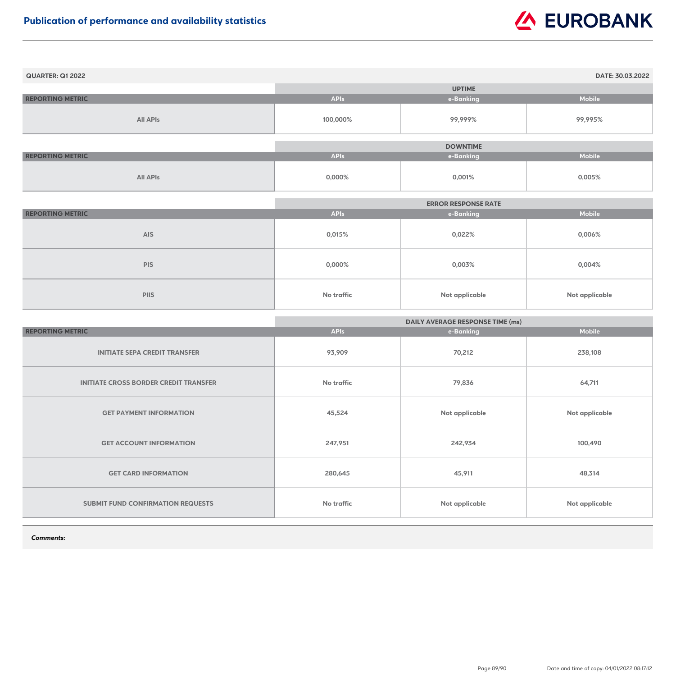| <b>QUARTER: Q1 2022</b> |             |                 | DATE: 30.03.2022 |
|-------------------------|-------------|-----------------|------------------|
|                         |             | <b>UPTIME</b>   |                  |
| <b>REPORTING METRIC</b> | <b>APIs</b> | e-Banking       | <b>Mobile</b>    |
| <b>All APIs</b>         | 100,000%    | 99,999%         | 99,995%          |
|                         |             | <b>DOWNTIME</b> |                  |
|                         |             |                 |                  |
| <b>REPORTING METRIC</b> | <b>APIs</b> | e-Banking       | <b>Mobile</b>    |
| <b>All APIs</b>         | $0,000\%$   | 0,001%          | 0,005%           |

|                         | <b>ERROR RESPONSE RATE</b> |                       |                       |
|-------------------------|----------------------------|-----------------------|-----------------------|
| <b>REPORTING METRIC</b> | <b>APIs</b>                | e-Banking             | <b>Mobile</b>         |
| <b>AIS</b>              | 0,015%                     | 0,022%                | 0,006%                |
| <b>PIS</b>              | $0,000\%$                  | 0,003%                | 0,004%                |
| <b>PIIS</b>             | No traffic                 | <b>Not applicable</b> | <b>Not applicable</b> |

|                                              | <b>DAILY AVERAGE RESPONSE TIME (ms)</b> |                       |                |
|----------------------------------------------|-----------------------------------------|-----------------------|----------------|
| <b>REPORTING METRIC</b>                      | <b>APIs</b>                             | e-Banking             | <b>Mobile</b>  |
| <b>INITIATE SEPA CREDIT TRANSFER</b>         | 93,909                                  | 70,212                | 238,108        |
| <b>INITIATE CROSS BORDER CREDIT TRANSFER</b> | <b>No traffic</b>                       | 79,836                | 64,711         |
| <b>GET PAYMENT INFORMATION</b>               | 45,524                                  | <b>Not applicable</b> | Not applicable |
| <b>GET ACCOUNT INFORMATION</b>               | 247,951                                 | 242,934               | 100,490        |
| <b>GET CARD INFORMATION</b>                  | 280,645                                 | 45,911                | 48,314         |
| <b>SUBMIT FUND CONFIRMATION REQUESTS</b>     | No traffic                              | <b>Not applicable</b> | Not applicable |